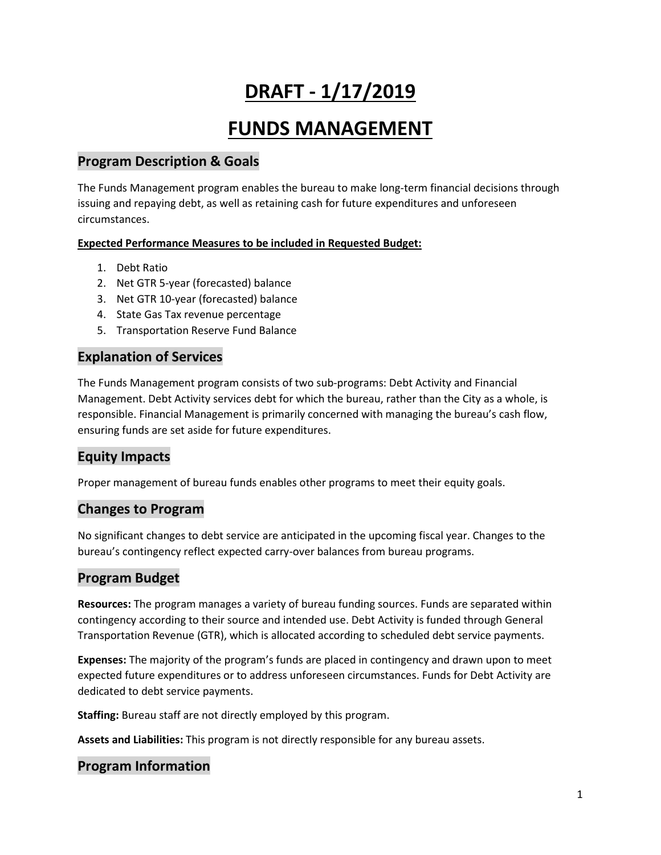# **DRAFT - 1/17/2019**

# **FUNDS MANAGEMENT**

# **Program Description & Goals**

The Funds Management program enables the bureau to make long-term financial decisions through issuing and repaying debt, as well as retaining cash for future expenditures and unforeseen circumstances.

### **Expected Performance Measures to be included in Requested Budget:**

- 1. Debt Ratio
- 2. Net GTR 5-year (forecasted) balance
- 3. Net GTR 10-year (forecasted) balance
- 4. State Gas Tax revenue percentage
- 5. Transportation Reserve Fund Balance

## **Explanation of Services**

The Funds Management program consists of two sub-programs: Debt Activity and Financial Management. Debt Activity services debt for which the bureau, rather than the City as a whole, is responsible. Financial Management is primarily concerned with managing the bureau's cash flow, ensuring funds are set aside for future expenditures.

# **Equity Impacts**

Proper management of bureau funds enables other programs to meet their equity goals.

# **Changes to Program**

No significant changes to debt service are anticipated in the upcoming fiscal year. Changes to the bureau's contingency reflect expected carry-over balances from bureau programs.

# **Program Budget**

**Resources:** The program manages a variety of bureau funding sources. Funds are separated within contingency according to their source and intended use. Debt Activity is funded through General Transportation Revenue (GTR), which is allocated according to scheduled debt service payments.

**Expenses:** The majority of the program's funds are placed in contingency and drawn upon to meet expected future expenditures or to address unforeseen circumstances. Funds for Debt Activity are dedicated to debt service payments.

**Staffing:** Bureau staff are not directly employed by this program.

**Assets and Liabilities:** This program is not directly responsible for any bureau assets.

# **Program Information**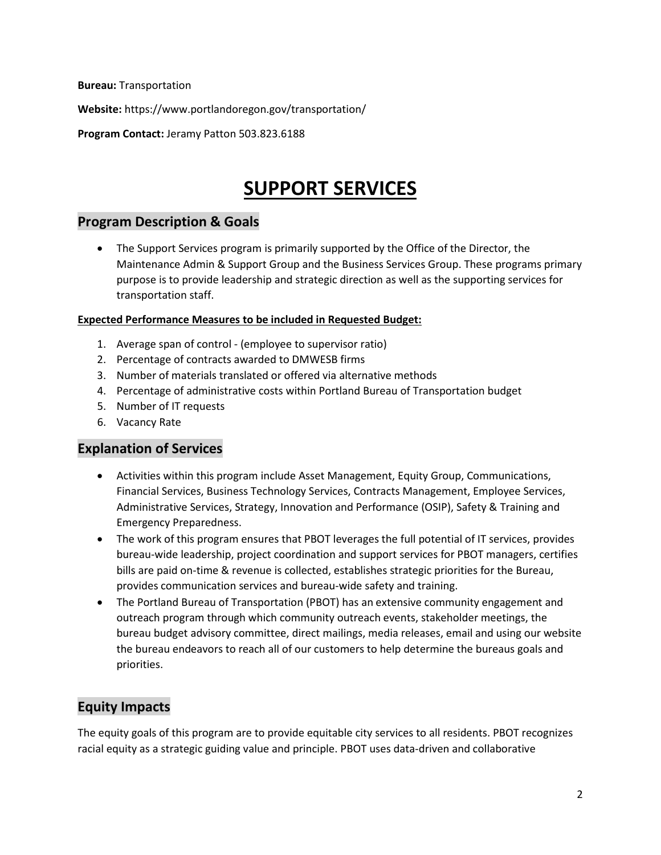**Bureau:** Transportation

**Website:** https://www.portlandoregon.gov/transportation/

**Program Contact:** Jeramy Patton 503.823.6188

# **SUPPORT SERVICES**

## **Program Description & Goals**

• The Support Services program is primarily supported by the Office of the Director, the Maintenance Admin & Support Group and the Business Services Group. These programs primary purpose is to provide leadership and strategic direction as well as the supporting services for transportation staff.

#### **Expected Performance Measures to be included in Requested Budget:**

- 1. Average span of control (employee to supervisor ratio)
- 2. Percentage of contracts awarded to DMWESB firms
- 3. Number of materials translated or offered via alternative methods
- 4. Percentage of administrative costs within Portland Bureau of Transportation budget
- 5. Number of IT requests
- 6. Vacancy Rate

# **Explanation of Services**

- Activities within this program include Asset Management, Equity Group, Communications, Financial Services, Business Technology Services, Contracts Management, Employee Services, Administrative Services, Strategy, Innovation and Performance (OSIP), Safety & Training and Emergency Preparedness.
- The work of this program ensures that PBOT leverages the full potential of IT services, provides bureau-wide leadership, project coordination and support services for PBOT managers, certifies bills are paid on-time & revenue is collected, establishes strategic priorities for the Bureau, provides communication services and bureau-wide safety and training.
- The Portland Bureau of Transportation (PBOT) has an extensive community engagement and outreach program through which community outreach events, stakeholder meetings, the bureau budget advisory committee, direct mailings, media releases, email and using our website the bureau endeavors to reach all of our customers to help determine the bureaus goals and priorities.

# **Equity Impacts**

The equity goals of this program are to provide equitable city services to all residents. PBOT recognizes racial equity as a strategic guiding value and principle. PBOT uses data-driven and collaborative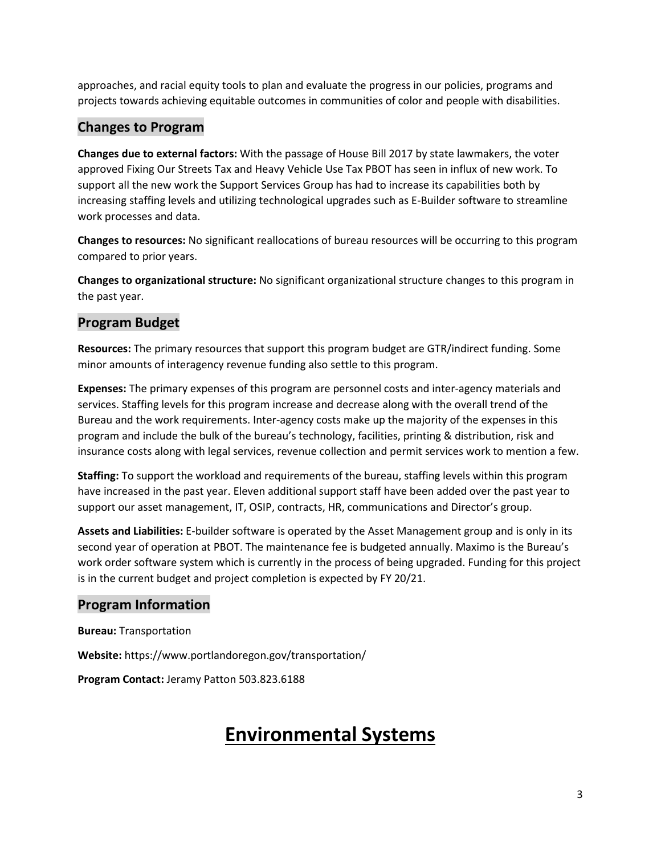approaches, and racial equity tools to plan and evaluate the progress in our policies, programs and projects towards achieving equitable outcomes in communities of color and people with disabilities.

# **Changes to Program**

**Changes due to external factors:** With the passage of House Bill 2017 by state lawmakers, the voter approved Fixing Our Streets Tax and Heavy Vehicle Use Tax PBOT has seen in influx of new work. To support all the new work the Support Services Group has had to increase its capabilities both by increasing staffing levels and utilizing technological upgrades such as E-Builder software to streamline work processes and data.

**Changes to resources:** No significant reallocations of bureau resources will be occurring to this program compared to prior years.

**Changes to organizational structure:** No significant organizational structure changes to this program in the past year.

# **Program Budget**

**Resources:** The primary resources that support this program budget are GTR/indirect funding. Some minor amounts of interagency revenue funding also settle to this program.

**Expenses:** The primary expenses of this program are personnel costs and inter-agency materials and services. Staffing levels for this program increase and decrease along with the overall trend of the Bureau and the work requirements. Inter-agency costs make up the majority of the expenses in this program and include the bulk of the bureau's technology, facilities, printing & distribution, risk and insurance costs along with legal services, revenue collection and permit services work to mention a few.

**Staffing:** To support the workload and requirements of the bureau, staffing levels within this program have increased in the past year. Eleven additional support staff have been added over the past year to support our asset management, IT, OSIP, contracts, HR, communications and Director's group.

**Assets and Liabilities:** E-builder software is operated by the Asset Management group and is only in its second year of operation at PBOT. The maintenance fee is budgeted annually. Maximo is the Bureau's work order software system which is currently in the process of being upgraded. Funding for this project is in the current budget and project completion is expected by FY 20/21.

# **Program Information**

**Bureau:** Transportation

**Website:** https://www.portlandoregon.gov/transportation/

**Program Contact:** Jeramy Patton 503.823.6188

# **Environmental Systems**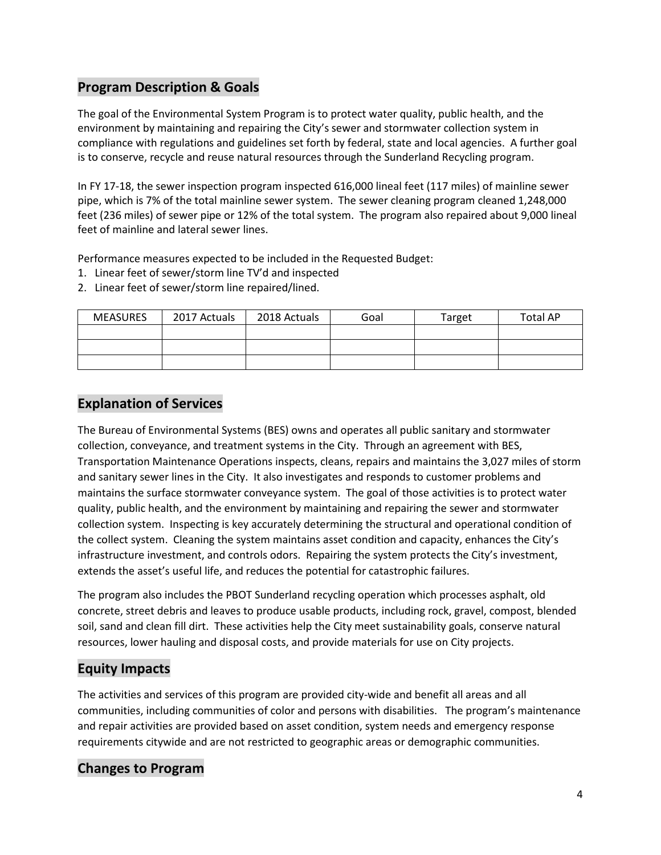# **Program Description & Goals**

The goal of the Environmental System Program is to protect water quality, public health, and the environment by maintaining and repairing the City's sewer and stormwater collection system in compliance with regulations and guidelines set forth by federal, state and local agencies. A further goal is to conserve, recycle and reuse natural resources through the Sunderland Recycling program.

In FY 17-18, the sewer inspection program inspected 616,000 lineal feet (117 miles) of mainline sewer pipe, which is 7% of the total mainline sewer system. The sewer cleaning program cleaned 1,248,000 feet (236 miles) of sewer pipe or 12% of the total system. The program also repaired about 9,000 lineal feet of mainline and lateral sewer lines.

Performance measures expected to be included in the Requested Budget:

- 1. Linear feet of sewer/storm line TV'd and inspected
- 2. Linear feet of sewer/storm line repaired/lined.

| <b>MEASURES</b> | 2017 Actuals | 2018 Actuals | Goal | Target | <b>Total AP</b> |
|-----------------|--------------|--------------|------|--------|-----------------|
|                 |              |              |      |        |                 |
|                 |              |              |      |        |                 |
|                 |              |              |      |        |                 |

# **Explanation of Services**

The Bureau of Environmental Systems (BES) owns and operates all public sanitary and stormwater collection, conveyance, and treatment systems in the City. Through an agreement with BES, Transportation Maintenance Operations inspects, cleans, repairs and maintains the 3,027 miles of storm and sanitary sewer lines in the City. It also investigates and responds to customer problems and maintains the surface stormwater conveyance system. The goal of those activities is to protect water quality, public health, and the environment by maintaining and repairing the sewer and stormwater collection system. Inspecting is key accurately determining the structural and operational condition of the collect system. Cleaning the system maintains asset condition and capacity, enhances the City's infrastructure investment, and controls odors. Repairing the system protects the City's investment, extends the asset's useful life, and reduces the potential for catastrophic failures.

The program also includes the PBOT Sunderland recycling operation which processes asphalt, old concrete, street debris and leaves to produce usable products, including rock, gravel, compost, blended soil, sand and clean fill dirt. These activities help the City meet sustainability goals, conserve natural resources, lower hauling and disposal costs, and provide materials for use on City projects.

# **Equity Impacts**

The activities and services of this program are provided city-wide and benefit all areas and all communities, including communities of color and persons with disabilities. The program's maintenance and repair activities are provided based on asset condition, system needs and emergency response requirements citywide and are not restricted to geographic areas or demographic communities.

# **Changes to Program**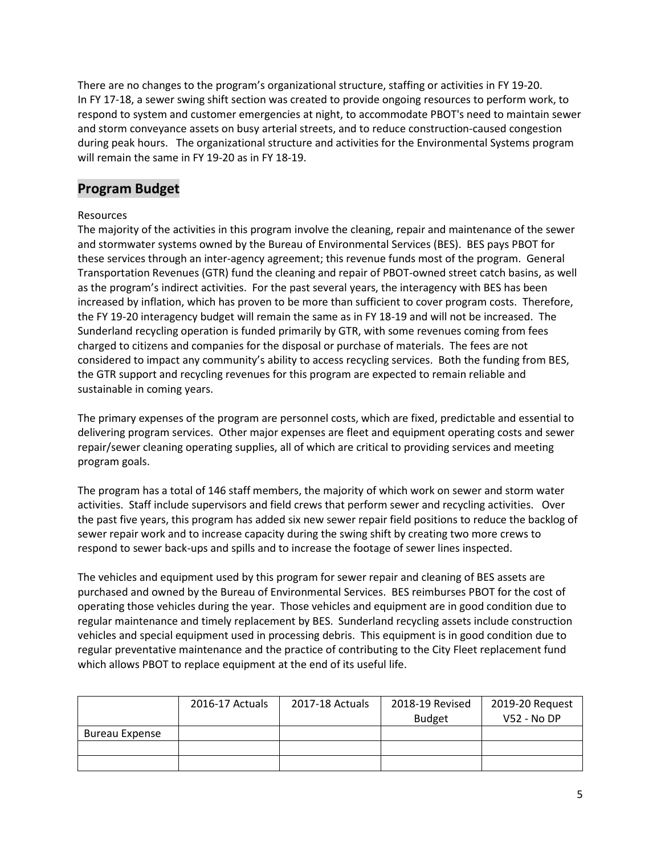There are no changes to the program's organizational structure, staffing or activities in FY 19-20. In FY 17-18, a sewer swing shift section was created to provide ongoing resources to perform work, to respond to system and customer emergencies at night, to accommodate PBOT's need to maintain sewer and storm conveyance assets on busy arterial streets, and to reduce construction-caused congestion during peak hours. The organizational structure and activities for the Environmental Systems program will remain the same in FY 19-20 as in FY 18-19.

## **Program Budget**

#### Resources

The majority of the activities in this program involve the cleaning, repair and maintenance of the sewer and stormwater systems owned by the Bureau of Environmental Services (BES). BES pays PBOT for these services through an inter-agency agreement; this revenue funds most of the program. General Transportation Revenues (GTR) fund the cleaning and repair of PBOT-owned street catch basins, as well as the program's indirect activities. For the past several years, the interagency with BES has been increased by inflation, which has proven to be more than sufficient to cover program costs. Therefore, the FY 19-20 interagency budget will remain the same as in FY 18-19 and will not be increased. The Sunderland recycling operation is funded primarily by GTR, with some revenues coming from fees charged to citizens and companies for the disposal or purchase of materials. The fees are not considered to impact any community's ability to access recycling services. Both the funding from BES, the GTR support and recycling revenues for this program are expected to remain reliable and sustainable in coming years.

The primary expenses of the program are personnel costs, which are fixed, predictable and essential to delivering program services. Other major expenses are fleet and equipment operating costs and sewer repair/sewer cleaning operating supplies, all of which are critical to providing services and meeting program goals.

The program has a total of 146 staff members, the majority of which work on sewer and storm water activities. Staff include supervisors and field crews that perform sewer and recycling activities. Over the past five years, this program has added six new sewer repair field positions to reduce the backlog of sewer repair work and to increase capacity during the swing shift by creating two more crews to respond to sewer back-ups and spills and to increase the footage of sewer lines inspected.

The vehicles and equipment used by this program for sewer repair and cleaning of BES assets are purchased and owned by the Bureau of Environmental Services. BES reimburses PBOT for the cost of operating those vehicles during the year. Those vehicles and equipment are in good condition due to regular maintenance and timely replacement by BES. Sunderland recycling assets include construction vehicles and special equipment used in processing debris. This equipment is in good condition due to regular preventative maintenance and the practice of contributing to the City Fleet replacement fund which allows PBOT to replace equipment at the end of its useful life.

|                       | 2016-17 Actuals | 2017-18 Actuals | 2018-19 Revised | 2019-20 Request |
|-----------------------|-----------------|-----------------|-----------------|-----------------|
|                       |                 |                 | <b>Budget</b>   | V52 - No DP     |
| <b>Bureau Expense</b> |                 |                 |                 |                 |
|                       |                 |                 |                 |                 |
|                       |                 |                 |                 |                 |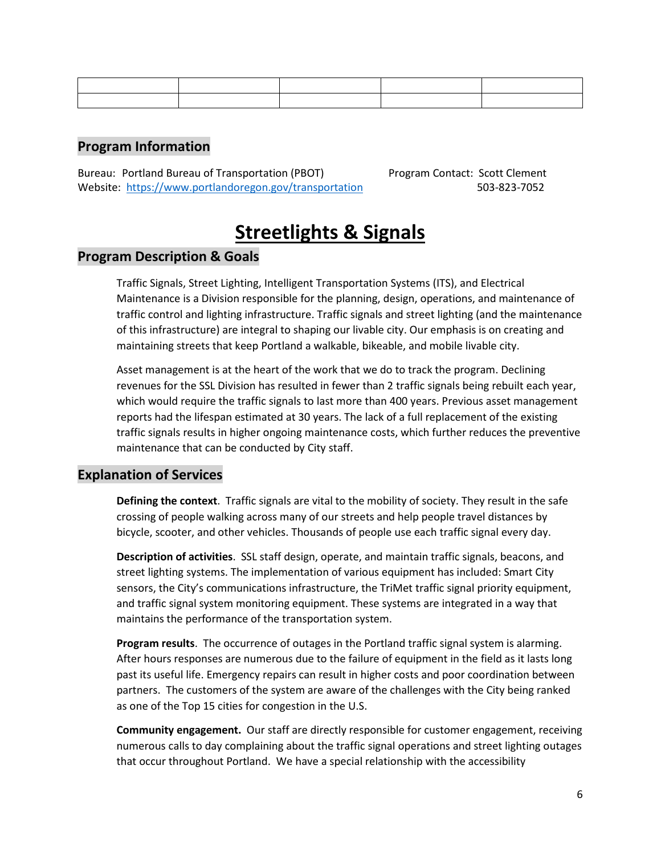# **Program Information**

Bureau: Portland Bureau of Transportation (PBOT) Program Contact: Scott Clement Website: <https://www.portlandoregon.gov/transportation> 503-823-7052

# **Streetlights & Signals**

## **Program Description & Goals**

Traffic Signals, Street Lighting, Intelligent Transportation Systems (ITS), and Electrical Maintenance is a Division responsible for the planning, design, operations, and maintenance of traffic control and lighting infrastructure. Traffic signals and street lighting (and the maintenance of this infrastructure) are integral to shaping our livable city. Our emphasis is on creating and maintaining streets that keep Portland a walkable, bikeable, and mobile livable city.

Asset management is at the heart of the work that we do to track the program. Declining revenues for the SSL Division has resulted in fewer than 2 traffic signals being rebuilt each year, which would require the traffic signals to last more than 400 years. Previous asset management reports had the lifespan estimated at 30 years. The lack of a full replacement of the existing traffic signals results in higher ongoing maintenance costs, which further reduces the preventive maintenance that can be conducted by City staff.

## **Explanation of Services**

**Defining the context**. Traffic signals are vital to the mobility of society. They result in the safe crossing of people walking across many of our streets and help people travel distances by bicycle, scooter, and other vehicles. Thousands of people use each traffic signal every day.

**Description of activities**. SSL staff design, operate, and maintain traffic signals, beacons, and street lighting systems. The implementation of various equipment has included: Smart City sensors, the City's communications infrastructure, the TriMet traffic signal priority equipment, and traffic signal system monitoring equipment. These systems are integrated in a way that maintains the performance of the transportation system.

**Program results**. The occurrence of outages in the Portland traffic signal system is alarming. After hours responses are numerous due to the failure of equipment in the field as it lasts long past its useful life. Emergency repairs can result in higher costs and poor coordination between partners. The customers of the system are aware of the challenges with the City being ranked as one of the Top 15 cities for congestion in the U.S.

**Community engagement.** Our staff are directly responsible for customer engagement, receiving numerous calls to day complaining about the traffic signal operations and street lighting outages that occur throughout Portland. We have a special relationship with the accessibility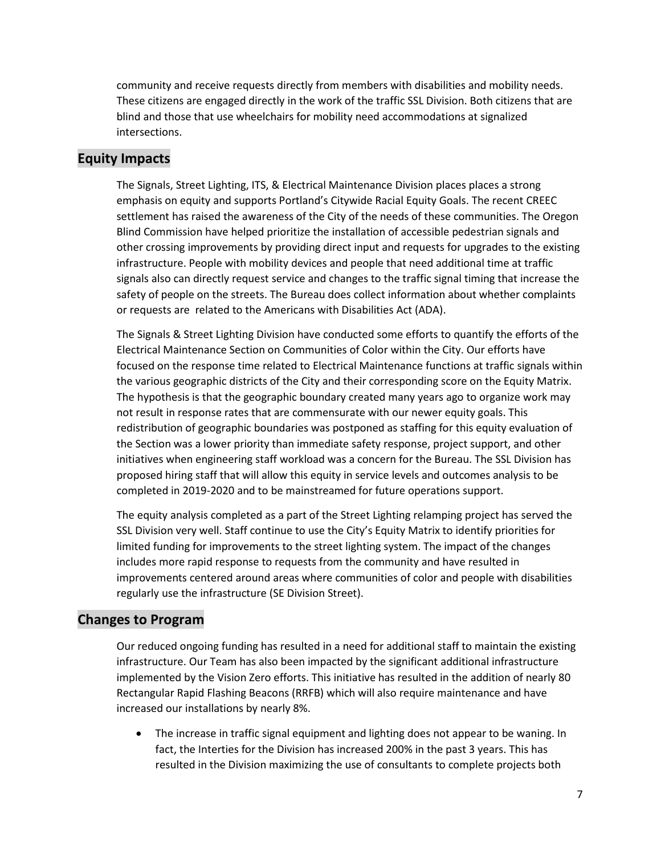community and receive requests directly from members with disabilities and mobility needs. These citizens are engaged directly in the work of the traffic SSL Division. Both citizens that are blind and those that use wheelchairs for mobility need accommodations at signalized intersections.

## **Equity Impacts**

The Signals, Street Lighting, ITS, & Electrical Maintenance Division places places a strong emphasis on equity and supports Portland's Citywide Racial Equity Goals. The recent CREEC settlement has raised the awareness of the City of the needs of these communities. The Oregon Blind Commission have helped prioritize the installation of accessible pedestrian signals and other crossing improvements by providing direct input and requests for upgrades to the existing infrastructure. People with mobility devices and people that need additional time at traffic signals also can directly request service and changes to the traffic signal timing that increase the safety of people on the streets. The Bureau does collect information about whether complaints or requests are related to the Americans with Disabilities Act (ADA).

The Signals & Street Lighting Division have conducted some efforts to quantify the efforts of the Electrical Maintenance Section on Communities of Color within the City. Our efforts have focused on the response time related to Electrical Maintenance functions at traffic signals within the various geographic districts of the City and their corresponding score on the Equity Matrix. The hypothesis is that the geographic boundary created many years ago to organize work may not result in response rates that are commensurate with our newer equity goals. This redistribution of geographic boundaries was postponed as staffing for this equity evaluation of the Section was a lower priority than immediate safety response, project support, and other initiatives when engineering staff workload was a concern for the Bureau. The SSL Division has proposed hiring staff that will allow this equity in service levels and outcomes analysis to be completed in 2019-2020 and to be mainstreamed for future operations support.

The equity analysis completed as a part of the Street Lighting relamping project has served the SSL Division very well. Staff continue to use the City's Equity Matrix to identify priorities for limited funding for improvements to the street lighting system. The impact of the changes includes more rapid response to requests from the community and have resulted in improvements centered around areas where communities of color and people with disabilities regularly use the infrastructure (SE Division Street).

# **Changes to Program**

Our reduced ongoing funding has resulted in a need for additional staff to maintain the existing infrastructure. Our Team has also been impacted by the significant additional infrastructure implemented by the Vision Zero efforts. This initiative has resulted in the addition of nearly 80 Rectangular Rapid Flashing Beacons (RRFB) which will also require maintenance and have increased our installations by nearly 8%.

• The increase in traffic signal equipment and lighting does not appear to be waning. In fact, the Interties for the Division has increased 200% in the past 3 years. This has resulted in the Division maximizing the use of consultants to complete projects both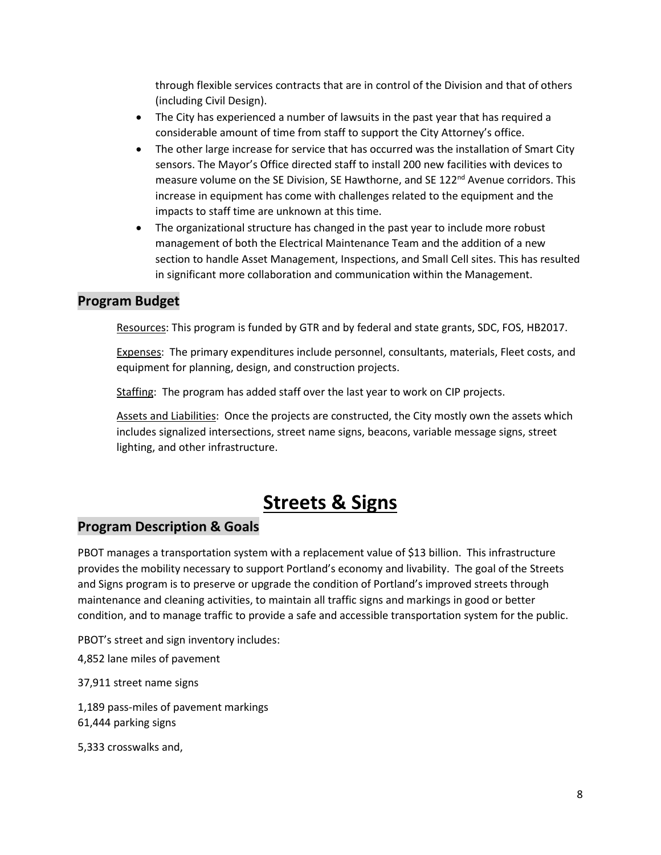through flexible services contracts that are in control of the Division and that of others (including Civil Design).

- The City has experienced a number of lawsuits in the past year that has required a considerable amount of time from staff to support the City Attorney's office.
- The other large increase for service that has occurred was the installation of Smart City sensors. The Mayor's Office directed staff to install 200 new facilities with devices to measure volume on the SE Division, SE Hawthorne, and SE 122<sup>nd</sup> Avenue corridors. This increase in equipment has come with challenges related to the equipment and the impacts to staff time are unknown at this time.
- The organizational structure has changed in the past year to include more robust management of both the Electrical Maintenance Team and the addition of a new section to handle Asset Management, Inspections, and Small Cell sites. This has resulted in significant more collaboration and communication within the Management.

# **Program Budget**

Resources: This program is funded by GTR and by federal and state grants, SDC, FOS, HB2017.

Expenses: The primary expenditures include personnel, consultants, materials, Fleet costs, and equipment for planning, design, and construction projects.

Staffing: The program has added staff over the last year to work on CIP projects.

Assets and Liabilities: Once the projects are constructed, the City mostly own the assets which includes signalized intersections, street name signs, beacons, variable message signs, street lighting, and other infrastructure.

# **Streets & Signs**

# **Program Description & Goals**

PBOT manages a transportation system with a replacement value of \$13 billion. This infrastructure provides the mobility necessary to support Portland's economy and livability. The goal of the Streets and Signs program is to preserve or upgrade the condition of Portland's improved streets through maintenance and cleaning activities, to maintain all traffic signs and markings in good or better condition, and to manage traffic to provide a safe and accessible transportation system for the public.

PBOT's street and sign inventory includes:

4,852 lane miles of pavement

37,911 street name signs

1,189 pass-miles of pavement markings 61,444 parking signs

5,333 crosswalks and,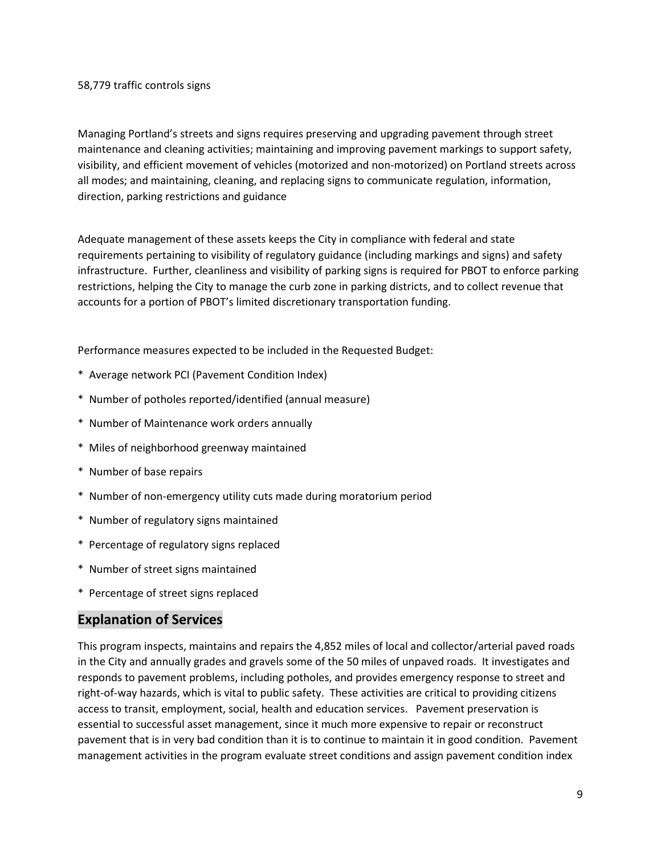#### 58,779 traffic controls signs

Managing Portland's streets and signs requires preserving and upgrading pavement through street maintenance and cleaning activities; maintaining and improving pavement markings to support safety, visibility, and efficient movement of vehicles (motorized and non-motorized) on Portland streets across all modes; and maintaining, cleaning, and replacing signs to communicate regulation, information, direction, parking restrictions and guidance

Adequate management of these assets keeps the City in compliance with federal and state requirements pertaining to visibility of regulatory guidance (including markings and signs) and safety infrastructure. Further, cleanliness and visibility of parking signs is required for PBOT to enforce parking restrictions, helping the City to manage the curb zone in parking districts, and to collect revenue that accounts for a portion of PBOT's limited discretionary transportation funding.

Performance measures expected to be included in the Requested Budget:

- \* Average network PCI (Pavement Condition Index)
- \* Number of potholes reported/identified (annual measure)
- \* Number of Maintenance work orders annually
- \* Miles of neighborhood greenway maintained
- \* Number of base repairs
- \* Number of non-emergency utility cuts made during moratorium period
- \* Number of regulatory signs maintained
- \* Percentage of regulatory signs replaced
- \* Number of street signs maintained
- \* Percentage of street signs replaced

## **Explanation of Services**

This program inspects, maintains and repairs the 4,852 miles of local and collector/arterial paved roads in the City and annually grades and gravels some of the 50 miles of unpaved roads. It investigates and responds to pavement problems, including potholes, and provides emergency response to street and right-of-way hazards, which is vital to public safety. These activities are critical to providing citizens access to transit, employment, social, health and education services. Pavement preservation is essential to successful asset management, since it much more expensive to repair or reconstruct pavement that is in very bad condition than it is to continue to maintain it in good condition. Pavement management activities in the program evaluate street conditions and assign pavement condition index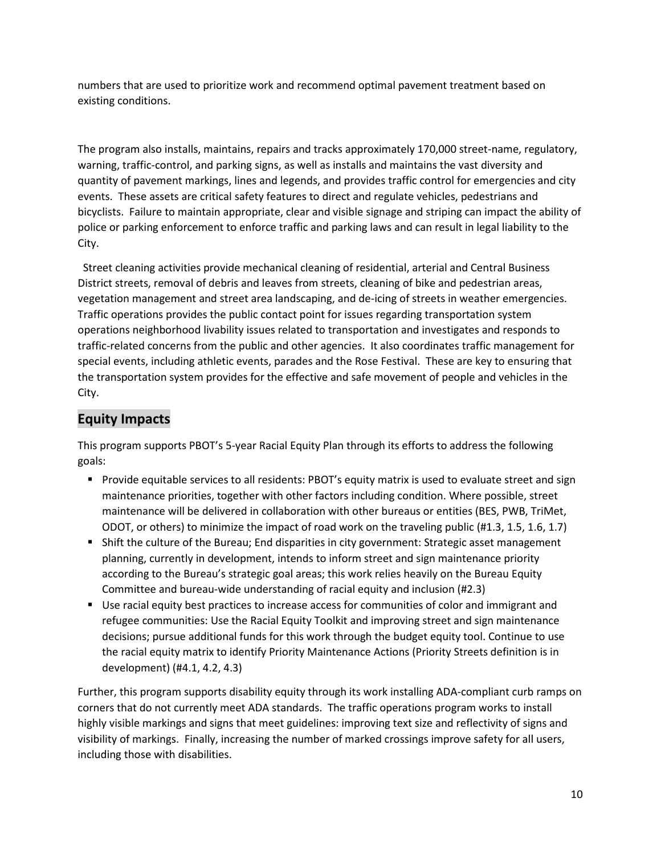numbers that are used to prioritize work and recommend optimal pavement treatment based on existing conditions.

The program also installs, maintains, repairs and tracks approximately 170,000 street-name, regulatory, warning, traffic-control, and parking signs, as well as installs and maintains the vast diversity and quantity of pavement markings, lines and legends, and provides traffic control for emergencies and city events. These assets are critical safety features to direct and regulate vehicles, pedestrians and bicyclists. Failure to maintain appropriate, clear and visible signage and striping can impact the ability of police or parking enforcement to enforce traffic and parking laws and can result in legal liability to the City.

 Street cleaning activities provide mechanical cleaning of residential, arterial and Central Business District streets, removal of debris and leaves from streets, cleaning of bike and pedestrian areas, vegetation management and street area landscaping, and de-icing of streets in weather emergencies. Traffic operations provides the public contact point for issues regarding transportation system operations neighborhood livability issues related to transportation and investigates and responds to traffic-related concerns from the public and other agencies. It also coordinates traffic management for special events, including athletic events, parades and the Rose Festival. These are key to ensuring that the transportation system provides for the effective and safe movement of people and vehicles in the City.

# **Equity Impacts**

This program supports PBOT's 5-year Racial Equity Plan through its efforts to address the following goals:

- **Provide equitable services to all residents: PBOT's equity matrix is used to evaluate street and sign** maintenance priorities, together with other factors including condition. Where possible, street maintenance will be delivered in collaboration with other bureaus or entities (BES, PWB, TriMet, ODOT, or others) to minimize the impact of road work on the traveling public (#1.3, 1.5, 1.6, 1.7)
- Shift the culture of the Bureau; End disparities in city government: Strategic asset management planning, currently in development, intends to inform street and sign maintenance priority according to the Bureau's strategic goal areas; this work relies heavily on the Bureau Equity Committee and bureau-wide understanding of racial equity and inclusion (#2.3)
- Use racial equity best practices to increase access for communities of color and immigrant and refugee communities: Use the Racial Equity Toolkit and improving street and sign maintenance decisions; pursue additional funds for this work through the budget equity tool. Continue to use the racial equity matrix to identify Priority Maintenance Actions (Priority Streets definition is in development) (#4.1, 4.2, 4.3)

Further, this program supports disability equity through its work installing ADA-compliant curb ramps on corners that do not currently meet ADA standards. The traffic operations program works to install highly visible markings and signs that meet guidelines: improving text size and reflectivity of signs and visibility of markings. Finally, increasing the number of marked crossings improve safety for all users, including those with disabilities.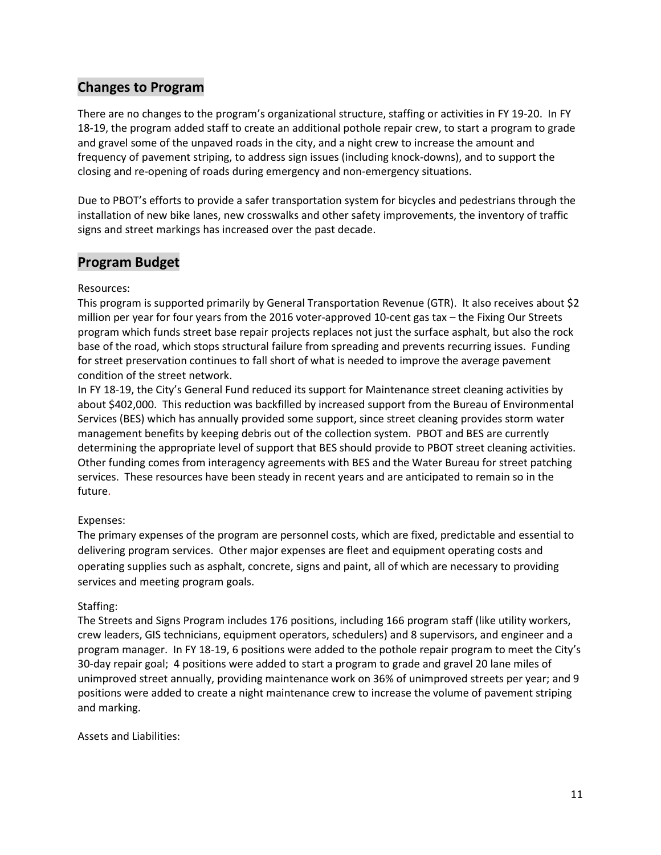# **Changes to Program**

There are no changes to the program's organizational structure, staffing or activities in FY 19-20. In FY 18-19, the program added staff to create an additional pothole repair crew, to start a program to grade and gravel some of the unpaved roads in the city, and a night crew to increase the amount and frequency of pavement striping, to address sign issues (including knock-downs), and to support the closing and re-opening of roads during emergency and non-emergency situations.

Due to PBOT's efforts to provide a safer transportation system for bicycles and pedestrians through the installation of new bike lanes, new crosswalks and other safety improvements, the inventory of traffic signs and street markings has increased over the past decade.

## **Program Budget**

#### Resources:

This program is supported primarily by General Transportation Revenue (GTR). It also receives about \$2 million per year for four years from the 2016 voter-approved 10-cent gas tax – the Fixing Our Streets program which funds street base repair projects replaces not just the surface asphalt, but also the rock base of the road, which stops structural failure from spreading and prevents recurring issues. Funding for street preservation continues to fall short of what is needed to improve the average pavement condition of the street network.

In FY 18-19, the City's General Fund reduced its support for Maintenance street cleaning activities by about \$402,000. This reduction was backfilled by increased support from the Bureau of Environmental Services (BES) which has annually provided some support, since street cleaning provides storm water management benefits by keeping debris out of the collection system. PBOT and BES are currently determining the appropriate level of support that BES should provide to PBOT street cleaning activities. Other funding comes from interagency agreements with BES and the Water Bureau for street patching services. These resources have been steady in recent years and are anticipated to remain so in the future.

### Expenses:

The primary expenses of the program are personnel costs, which are fixed, predictable and essential to delivering program services. Other major expenses are fleet and equipment operating costs and operating supplies such as asphalt, concrete, signs and paint, all of which are necessary to providing services and meeting program goals.

#### Staffing:

The Streets and Signs Program includes 176 positions, including 166 program staff (like utility workers, crew leaders, GIS technicians, equipment operators, schedulers) and 8 supervisors, and engineer and a program manager. In FY 18-19, 6 positions were added to the pothole repair program to meet the City's 30-day repair goal; 4 positions were added to start a program to grade and gravel 20 lane miles of unimproved street annually, providing maintenance work on 36% of unimproved streets per year; and 9 positions were added to create a night maintenance crew to increase the volume of pavement striping and marking.

#### Assets and Liabilities: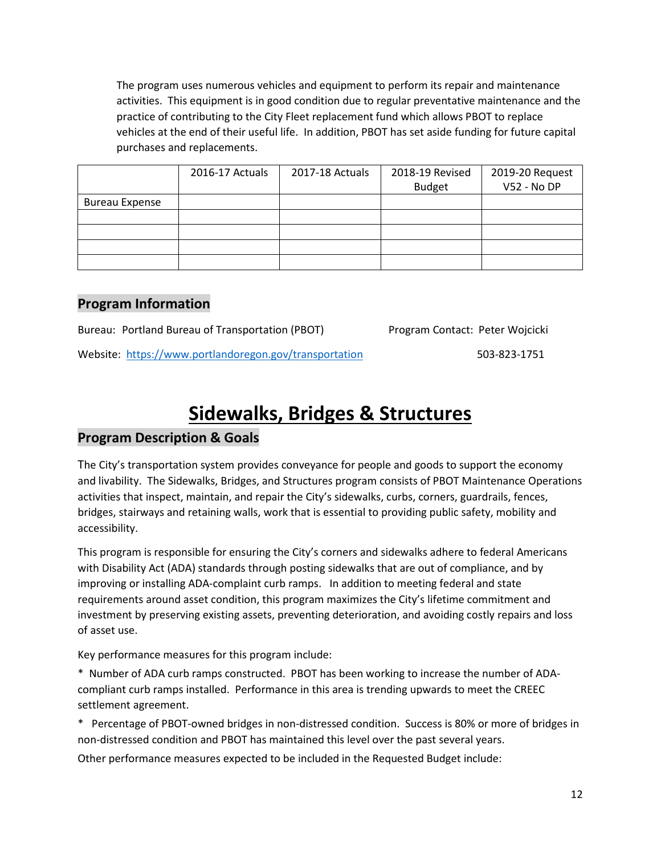The program uses numerous vehicles and equipment to perform its repair and maintenance activities. This equipment is in good condition due to regular preventative maintenance and the practice of contributing to the City Fleet replacement fund which allows PBOT to replace vehicles at the end of their useful life. In addition, PBOT has set aside funding for future capital purchases and replacements.

|                       | 2016-17 Actuals | 2017-18 Actuals | 2018-19 Revised | 2019-20 Request |
|-----------------------|-----------------|-----------------|-----------------|-----------------|
|                       |                 |                 | <b>Budget</b>   | V52 - No DP     |
| <b>Bureau Expense</b> |                 |                 |                 |                 |
|                       |                 |                 |                 |                 |
|                       |                 |                 |                 |                 |
|                       |                 |                 |                 |                 |
|                       |                 |                 |                 |                 |

## **Program Information**

Bureau: Portland Bureau of Transportation (PBOT) Program Contact: Peter Wojcicki

Website: <https://www.portlandoregon.gov/transportation> 503-823-1751

# **Sidewalks, Bridges & Structures**

# **Program Description & Goals**

The City's transportation system provides conveyance for people and goods to support the economy and livability. The Sidewalks, Bridges, and Structures program consists of PBOT Maintenance Operations activities that inspect, maintain, and repair the City's sidewalks, curbs, corners, guardrails, fences, bridges, stairways and retaining walls, work that is essential to providing public safety, mobility and accessibility.

This program is responsible for ensuring the City's corners and sidewalks adhere to federal Americans with Disability Act (ADA) standards through posting sidewalks that are out of compliance, and by improving or installing ADA-complaint curb ramps. In addition to meeting federal and state requirements around asset condition, this program maximizes the City's lifetime commitment and investment by preserving existing assets, preventing deterioration, and avoiding costly repairs and loss of asset use.

Key performance measures for this program include:

\* Number of ADA curb ramps constructed. PBOT has been working to increase the number of ADAcompliant curb ramps installed. Performance in this area is trending upwards to meet the CREEC settlement agreement.

\* Percentage of PBOT-owned bridges in non-distressed condition. Success is 80% or more of bridges in non-distressed condition and PBOT has maintained this level over the past several years.

Other performance measures expected to be included in the Requested Budget include: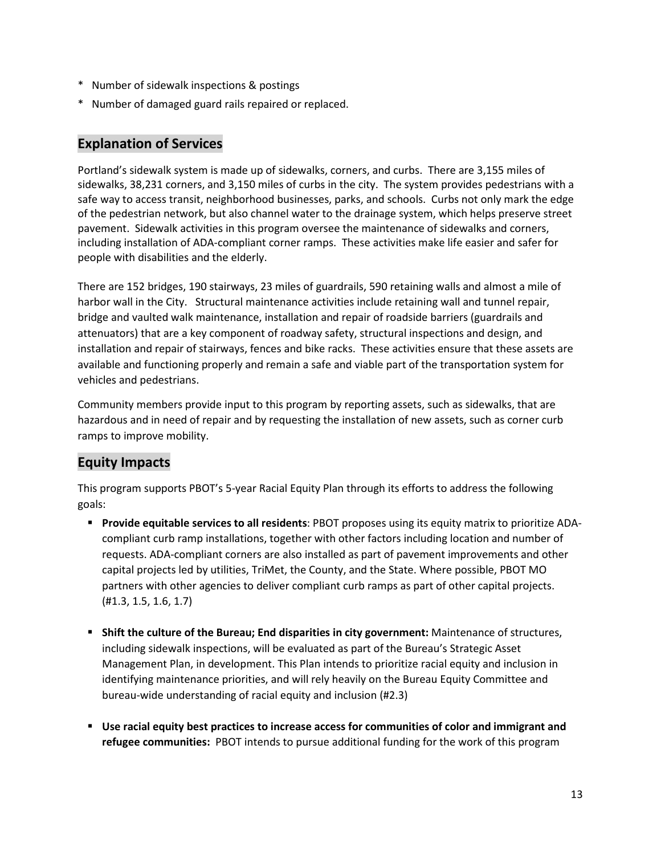- \* Number of sidewalk inspections & postings
- \* Number of damaged guard rails repaired or replaced.

## **Explanation of Services**

Portland's sidewalk system is made up of sidewalks, corners, and curbs. There are 3,155 miles of sidewalks, 38,231 corners, and 3,150 miles of curbs in the city. The system provides pedestrians with a safe way to access transit, neighborhood businesses, parks, and schools. Curbs not only mark the edge of the pedestrian network, but also channel water to the drainage system, which helps preserve street pavement. Sidewalk activities in this program oversee the maintenance of sidewalks and corners, including installation of ADA-compliant corner ramps. These activities make life easier and safer for people with disabilities and the elderly.

There are 152 bridges, 190 stairways, 23 miles of guardrails, 590 retaining walls and almost a mile of harbor wall in the City. Structural maintenance activities include retaining wall and tunnel repair, bridge and vaulted walk maintenance, installation and repair of roadside barriers (guardrails and attenuators) that are a key component of roadway safety, structural inspections and design, and installation and repair of stairways, fences and bike racks. These activities ensure that these assets are available and functioning properly and remain a safe and viable part of the transportation system for vehicles and pedestrians.

Community members provide input to this program by reporting assets, such as sidewalks, that are hazardous and in need of repair and by requesting the installation of new assets, such as corner curb ramps to improve mobility.

# **Equity Impacts**

This program supports PBOT's 5-year Racial Equity Plan through its efforts to address the following goals:

- **Provide equitable services to all residents**: PBOT proposes using its equity matrix to prioritize ADAcompliant curb ramp installations, together with other factors including location and number of requests. ADA-compliant corners are also installed as part of pavement improvements and other capital projects led by utilities, TriMet, the County, and the State. Where possible, PBOT MO partners with other agencies to deliver compliant curb ramps as part of other capital projects. (#1.3, 1.5, 1.6, 1.7)
- **Shift the culture of the Bureau; End disparities in city government:** Maintenance of structures, including sidewalk inspections, will be evaluated as part of the Bureau's Strategic Asset Management Plan, in development. This Plan intends to prioritize racial equity and inclusion in identifying maintenance priorities, and will rely heavily on the Bureau Equity Committee and bureau-wide understanding of racial equity and inclusion (#2.3)
- **Use racial equity best practices to increase access for communities of color and immigrant and refugee communities:** PBOT intends to pursue additional funding for the work of this program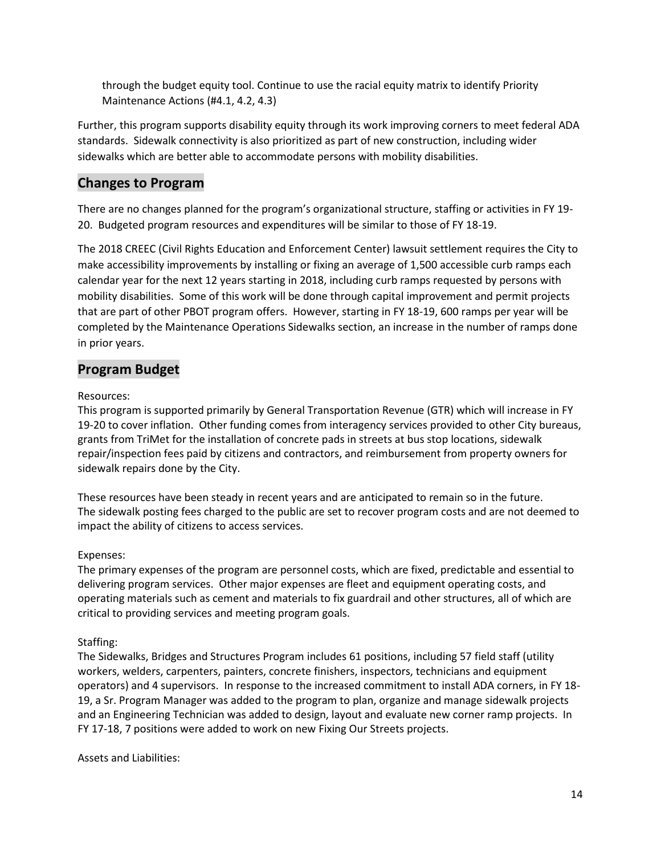through the budget equity tool. Continue to use the racial equity matrix to identify Priority Maintenance Actions (#4.1, 4.2, 4.3)

Further, this program supports disability equity through its work improving corners to meet federal ADA standards. Sidewalk connectivity is also prioritized as part of new construction, including wider sidewalks which are better able to accommodate persons with mobility disabilities.

# **Changes to Program**

There are no changes planned for the program's organizational structure, staffing or activities in FY 19- 20. Budgeted program resources and expenditures will be similar to those of FY 18-19.

The 2018 CREEC (Civil Rights Education and Enforcement Center) lawsuit settlement requires the City to make accessibility improvements by installing or fixing an average of 1,500 accessible curb ramps each calendar year for the next 12 years starting in 2018, including curb ramps requested by persons with mobility disabilities. Some of this work will be done through capital improvement and permit projects that are part of other PBOT program offers. However, starting in FY 18-19, 600 ramps per year will be completed by the Maintenance Operations Sidewalks section, an increase in the number of ramps done in prior years.

# **Program Budget**

### Resources:

This program is supported primarily by General Transportation Revenue (GTR) which will increase in FY 19-20 to cover inflation. Other funding comes from interagency services provided to other City bureaus, grants from TriMet for the installation of concrete pads in streets at bus stop locations, sidewalk repair/inspection fees paid by citizens and contractors, and reimbursement from property owners for sidewalk repairs done by the City.

These resources have been steady in recent years and are anticipated to remain so in the future. The sidewalk posting fees charged to the public are set to recover program costs and are not deemed to impact the ability of citizens to access services.

### Expenses:

The primary expenses of the program are personnel costs, which are fixed, predictable and essential to delivering program services. Other major expenses are fleet and equipment operating costs, and operating materials such as cement and materials to fix guardrail and other structures, all of which are critical to providing services and meeting program goals.

### Staffing:

The Sidewalks, Bridges and Structures Program includes 61 positions, including 57 field staff (utility workers, welders, carpenters, painters, concrete finishers, inspectors, technicians and equipment operators) and 4 supervisors. In response to the increased commitment to install ADA corners, in FY 18- 19, a Sr. Program Manager was added to the program to plan, organize and manage sidewalk projects and an Engineering Technician was added to design, layout and evaluate new corner ramp projects. In FY 17-18, 7 positions were added to work on new Fixing Our Streets projects.

Assets and Liabilities: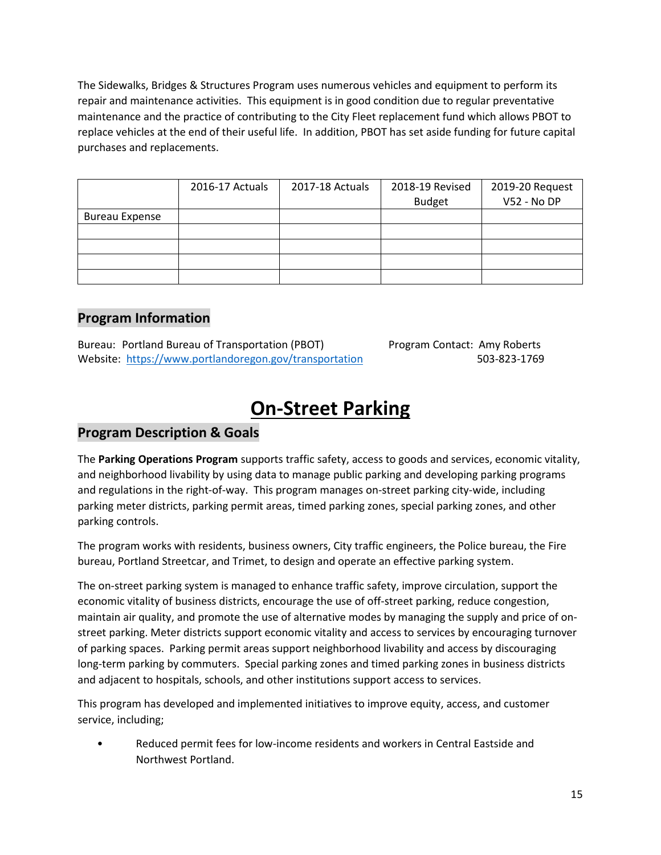The Sidewalks, Bridges & Structures Program uses numerous vehicles and equipment to perform its repair and maintenance activities. This equipment is in good condition due to regular preventative maintenance and the practice of contributing to the City Fleet replacement fund which allows PBOT to replace vehicles at the end of their useful life. In addition, PBOT has set aside funding for future capital purchases and replacements.

|                       | 2016-17 Actuals | 2017-18 Actuals | 2018-19 Revised<br><b>Budget</b> | 2019-20 Request<br>V52 - No DP |
|-----------------------|-----------------|-----------------|----------------------------------|--------------------------------|
| <b>Bureau Expense</b> |                 |                 |                                  |                                |
|                       |                 |                 |                                  |                                |
|                       |                 |                 |                                  |                                |
|                       |                 |                 |                                  |                                |
|                       |                 |                 |                                  |                                |

# **Program Information**

Bureau: Portland Bureau of Transportation (PBOT) Program Contact: Amy Roberts Website: <https://www.portlandoregon.gov/transportation> 503-823-1769

# **On-Street Parking**

# **Program Description & Goals**

The **Parking Operations Program** supports traffic safety, access to goods and services, economic vitality, and neighborhood livability by using data to manage public parking and developing parking programs and regulations in the right-of-way. This program manages on-street parking city-wide, including parking meter districts, parking permit areas, timed parking zones, special parking zones, and other parking controls.

The program works with residents, business owners, City traffic engineers, the Police bureau, the Fire bureau, Portland Streetcar, and Trimet, to design and operate an effective parking system.

The on-street parking system is managed to enhance traffic safety, improve circulation, support the economic vitality of business districts, encourage the use of off-street parking, reduce congestion, maintain air quality, and promote the use of alternative modes by managing the supply and price of onstreet parking. Meter districts support economic vitality and access to services by encouraging turnover of parking spaces. Parking permit areas support neighborhood livability and access by discouraging long-term parking by commuters. Special parking zones and timed parking zones in business districts and adjacent to hospitals, schools, and other institutions support access to services.

This program has developed and implemented initiatives to improve equity, access, and customer service, including;

• Reduced permit fees for low-income residents and workers in Central Eastside and Northwest Portland.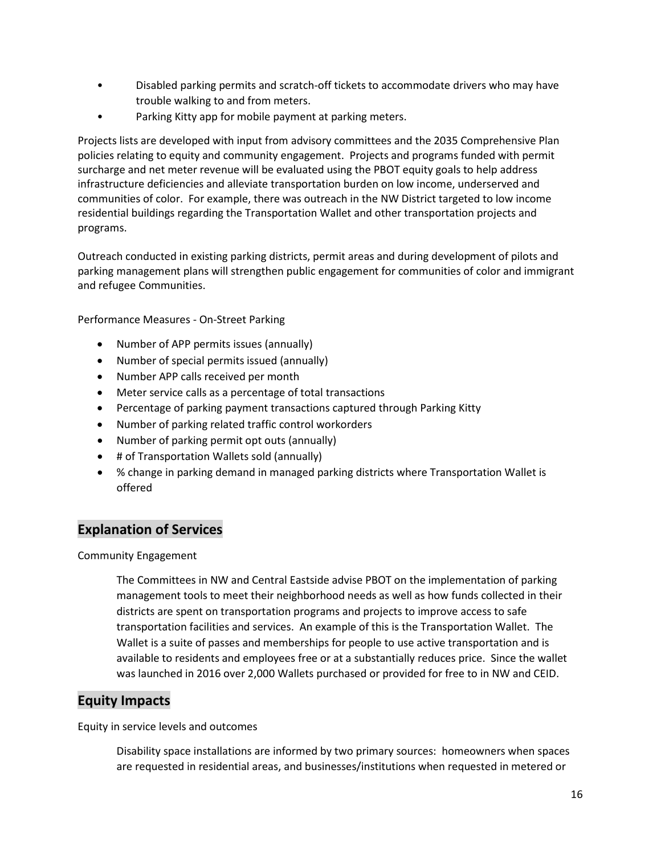- Disabled parking permits and scratch-off tickets to accommodate drivers who may have trouble walking to and from meters.
- Parking Kitty app for mobile payment at parking meters.

Projects lists are developed with input from advisory committees and the 2035 Comprehensive Plan policies relating to equity and community engagement. Projects and programs funded with permit surcharge and net meter revenue will be evaluated using the PBOT equity goals to help address infrastructure deficiencies and alleviate transportation burden on low income, underserved and communities of color. For example, there was outreach in the NW District targeted to low income residential buildings regarding the Transportation Wallet and other transportation projects and programs.

Outreach conducted in existing parking districts, permit areas and during development of pilots and parking management plans will strengthen public engagement for communities of color and immigrant and refugee Communities.

Performance Measures - On-Street Parking

- Number of APP permits issues (annually)
- Number of special permits issued (annually)
- Number APP calls received per month
- Meter service calls as a percentage of total transactions
- Percentage of parking payment transactions captured through Parking Kitty
- Number of parking related traffic control workorders
- Number of parking permit opt outs (annually)
- # of Transportation Wallets sold (annually)
- % change in parking demand in managed parking districts where Transportation Wallet is offered

# **Explanation of Services**

Community Engagement

The Committees in NW and Central Eastside advise PBOT on the implementation of parking management tools to meet their neighborhood needs as well as how funds collected in their districts are spent on transportation programs and projects to improve access to safe transportation facilities and services. An example of this is the Transportation Wallet. The Wallet is a suite of passes and memberships for people to use active transportation and is available to residents and employees free or at a substantially reduces price. Since the wallet was launched in 2016 over 2,000 Wallets purchased or provided for free to in NW and CEID.

## **Equity Impacts**

Equity in service levels and outcomes

Disability space installations are informed by two primary sources: homeowners when spaces are requested in residential areas, and businesses/institutions when requested in metered or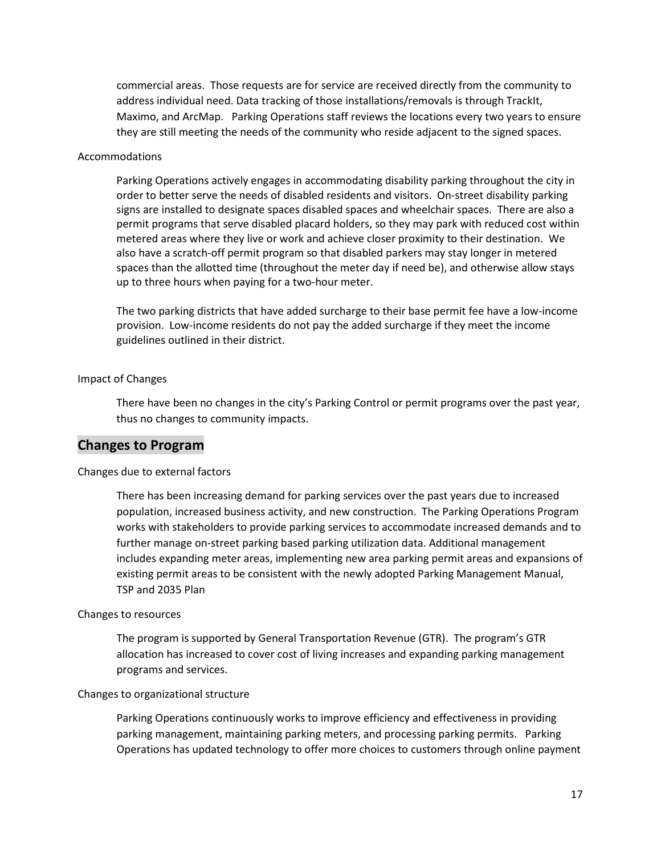commercial areas. Those requests are for service are received directly from the community to address individual need. Data tracking of those installations/removals is through TrackIt, Maximo, and ArcMap. Parking Operations staff reviews the locations every two years to ensure they are still meeting the needs of the community who reside adjacent to the signed spaces.

#### Accommodations

Parking Operations actively engages in accommodating disability parking throughout the city in order to better serve the needs of disabled residents and visitors. On-street disability parking signs are installed to designate spaces disabled spaces and wheelchair spaces. There are also a permit programs that serve disabled placard holders, so they may park with reduced cost within metered areas where they live or work and achieve closer proximity to their destination. We also have a scratch-off permit program so that disabled parkers may stay longer in metered spaces than the allotted time (throughout the meter day if need be), and otherwise allow stays up to three hours when paying for a two-hour meter.

The two parking districts that have added surcharge to their base permit fee have a low-income provision. Low-income residents do not pay the added surcharge if they meet the income guidelines outlined in their district.

#### Impact of Changes

There have been no changes in the city's Parking Control or permit programs over the past year, thus no changes to community impacts.

## **Changes to Program**

#### Changes due to external factors

There has been increasing demand for parking services over the past years due to increased population, increased business activity, and new construction. The Parking Operations Program works with stakeholders to provide parking services to accommodate increased demands and to further manage on-street parking based parking utilization data. Additional management includes expanding meter areas, implementing new area parking permit areas and expansions of existing permit areas to be consistent with the newly adopted Parking Management Manual, TSP and 2035 Plan

#### Changes to resources

The program is supported by General Transportation Revenue (GTR). The program's GTR allocation has increased to cover cost of living increases and expanding parking management programs and services.

#### Changes to organizational structure

Parking Operations continuously works to improve efficiency and effectiveness in providing parking management, maintaining parking meters, and processing parking permits. Parking Operations has updated technology to offer more choices to customers through online payment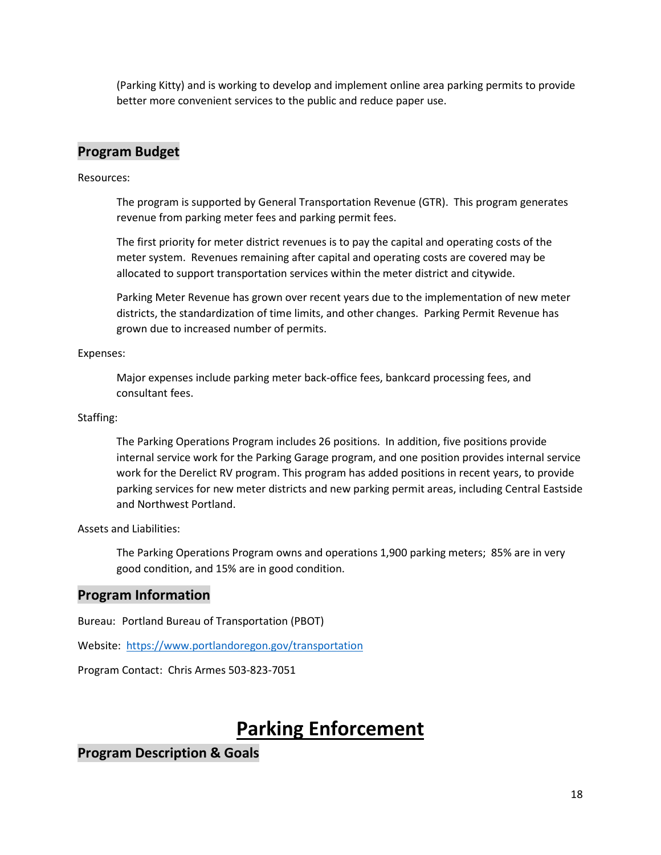(Parking Kitty) and is working to develop and implement online area parking permits to provide better more convenient services to the public and reduce paper use.

# **Program Budget**

Resources:

The program is supported by General Transportation Revenue (GTR). This program generates revenue from parking meter fees and parking permit fees.

The first priority for meter district revenues is to pay the capital and operating costs of the meter system. Revenues remaining after capital and operating costs are covered may be allocated to support transportation services within the meter district and citywide.

Parking Meter Revenue has grown over recent years due to the implementation of new meter districts, the standardization of time limits, and other changes. Parking Permit Revenue has grown due to increased number of permits.

Expenses:

Major expenses include parking meter back-office fees, bankcard processing fees, and consultant fees.

#### Staffing:

The Parking Operations Program includes 26 positions. In addition, five positions provide internal service work for the Parking Garage program, and one position provides internal service work for the Derelict RV program. This program has added positions in recent years, to provide parking services for new meter districts and new parking permit areas, including Central Eastside and Northwest Portland.

Assets and Liabilities:

The Parking Operations Program owns and operations 1,900 parking meters; 85% are in very good condition, and 15% are in good condition.

# **Program Information**

Bureau: Portland Bureau of Transportation (PBOT)

Website: <https://www.portlandoregon.gov/transportation>

Program Contact: Chris Armes 503-823-7051

# **Parking Enforcement**

# **Program Description & Goals**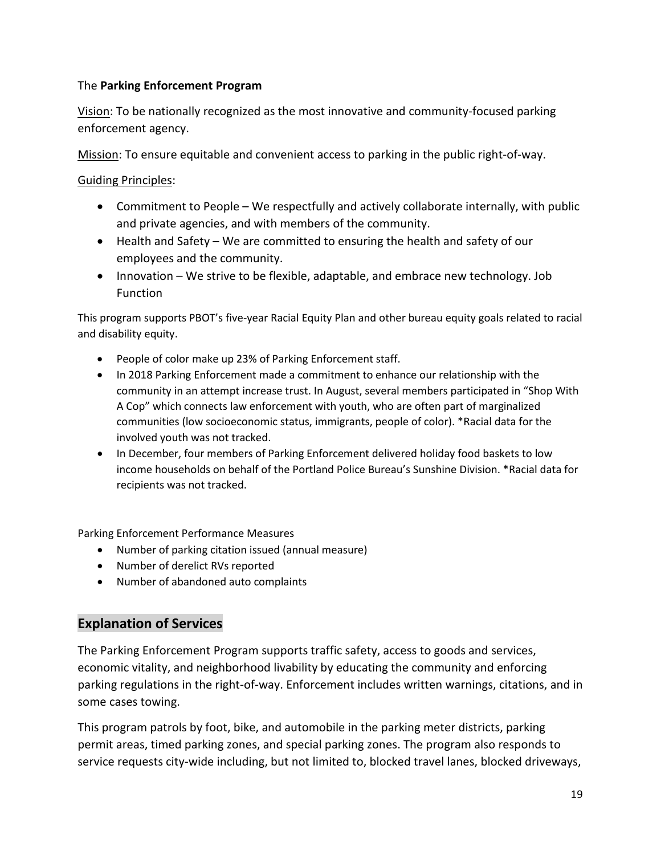## The **Parking Enforcement Program**

Vision: To be nationally recognized as the most innovative and community-focused parking enforcement agency.

Mission: To ensure equitable and convenient access to parking in the public right-of-way.

Guiding Principles:

- Commitment to People We respectfully and actively collaborate internally, with public and private agencies, and with members of the community.
- Health and Safety We are committed to ensuring the health and safety of our employees and the community.
- Innovation We strive to be flexible, adaptable, and embrace new technology. Job Function

This program supports PBOT's five-year Racial Equity Plan and other bureau equity goals related to racial and disability equity.

- People of color make up 23% of Parking Enforcement staff.
- In 2018 Parking Enforcement made a commitment to enhance our relationship with the community in an attempt increase trust. In August, several members participated in "Shop With A Cop" which connects law enforcement with youth, who are often part of marginalized communities (low socioeconomic status, immigrants, people of color). \*Racial data for the involved youth was not tracked.
- In December, four members of Parking Enforcement delivered holiday food baskets to low income households on behalf of the Portland Police Bureau's Sunshine Division. \*Racial data for recipients was not tracked.

Parking Enforcement Performance Measures

- Number of parking citation issued (annual measure)
- Number of derelict RVs reported
- Number of abandoned auto complaints

# **Explanation of Services**

The Parking Enforcement Program supports traffic safety, access to goods and services, economic vitality, and neighborhood livability by educating the community and enforcing parking regulations in the right-of-way. Enforcement includes written warnings, citations, and in some cases towing.

This program patrols by foot, bike, and automobile in the parking meter districts, parking permit areas, timed parking zones, and special parking zones. The program also responds to service requests city-wide including, but not limited to, blocked travel lanes, blocked driveways,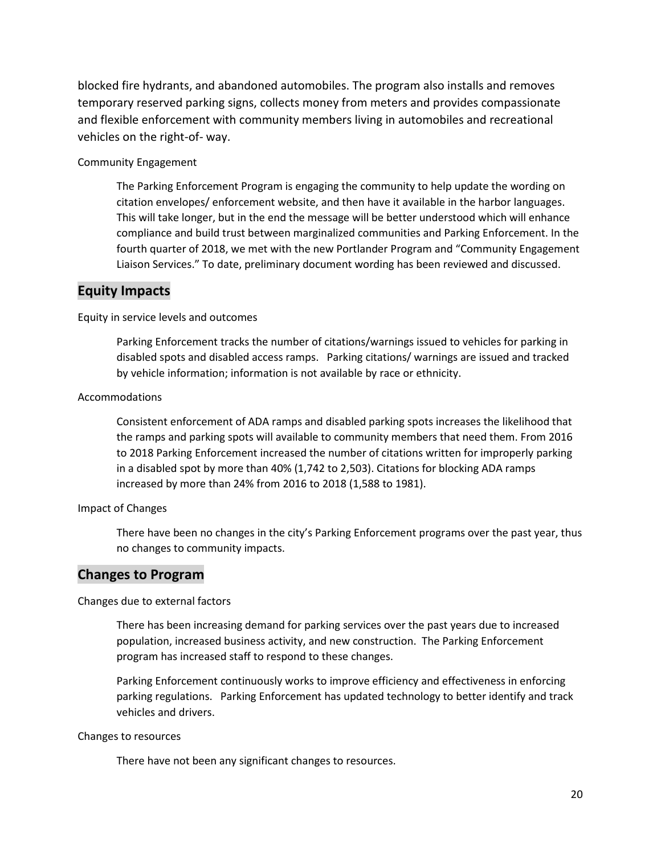blocked fire hydrants, and abandoned automobiles. The program also installs and removes temporary reserved parking signs, collects money from meters and provides compassionate and flexible enforcement with community members living in automobiles and recreational vehicles on the right-of- way.

#### Community Engagement

The Parking Enforcement Program is engaging the community to help update the wording on citation envelopes/ enforcement website, and then have it available in the harbor languages. This will take longer, but in the end the message will be better understood which will enhance compliance and build trust between marginalized communities and Parking Enforcement. In the fourth quarter of 2018, we met with the new Portlander Program and "Community Engagement Liaison Services." To date, preliminary document wording has been reviewed and discussed.

### **Equity Impacts**

Equity in service levels and outcomes

Parking Enforcement tracks the number of citations/warnings issued to vehicles for parking in disabled spots and disabled access ramps. Parking citations/ warnings are issued and tracked by vehicle information; information is not available by race or ethnicity.

#### Accommodations

Consistent enforcement of ADA ramps and disabled parking spots increases the likelihood that the ramps and parking spots will available to community members that need them. From 2016 to 2018 Parking Enforcement increased the number of citations written for improperly parking in a disabled spot by more than 40% (1,742 to 2,503). Citations for blocking ADA ramps increased by more than 24% from 2016 to 2018 (1,588 to 1981).

#### Impact of Changes

There have been no changes in the city's Parking Enforcement programs over the past year, thus no changes to community impacts.

### **Changes to Program**

#### Changes due to external factors

There has been increasing demand for parking services over the past years due to increased population, increased business activity, and new construction. The Parking Enforcement program has increased staff to respond to these changes.

Parking Enforcement continuously works to improve efficiency and effectiveness in enforcing parking regulations. Parking Enforcement has updated technology to better identify and track vehicles and drivers.

#### Changes to resources

There have not been any significant changes to resources.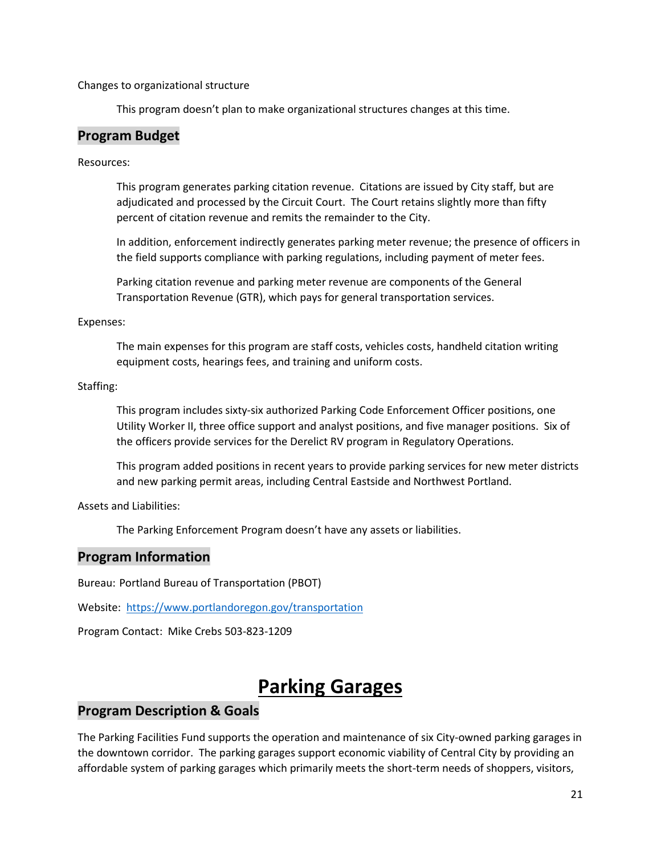Changes to organizational structure

This program doesn't plan to make organizational structures changes at this time.

### **Program Budget**

Resources:

This program generates parking citation revenue. Citations are issued by City staff, but are adjudicated and processed by the Circuit Court. The Court retains slightly more than fifty percent of citation revenue and remits the remainder to the City.

In addition, enforcement indirectly generates parking meter revenue; the presence of officers in the field supports compliance with parking regulations, including payment of meter fees.

Parking citation revenue and parking meter revenue are components of the General Transportation Revenue (GTR), which pays for general transportation services.

#### Expenses:

The main expenses for this program are staff costs, vehicles costs, handheld citation writing equipment costs, hearings fees, and training and uniform costs.

#### Staffing:

This program includes sixty-six authorized Parking Code Enforcement Officer positions, one Utility Worker II, three office support and analyst positions, and five manager positions. Six of the officers provide services for the Derelict RV program in Regulatory Operations.

This program added positions in recent years to provide parking services for new meter districts and new parking permit areas, including Central Eastside and Northwest Portland.

Assets and Liabilities:

The Parking Enforcement Program doesn't have any assets or liabilities.

### **Program Information**

Bureau: Portland Bureau of Transportation (PBOT)

Website: <https://www.portlandoregon.gov/transportation>

Program Contact: Mike Crebs 503-823-1209

# **Parking Garages**

### **Program Description & Goals**

The Parking Facilities Fund supports the operation and maintenance of six City-owned parking garages in the downtown corridor. The parking garages support economic viability of Central City by providing an affordable system of parking garages which primarily meets the short-term needs of shoppers, visitors,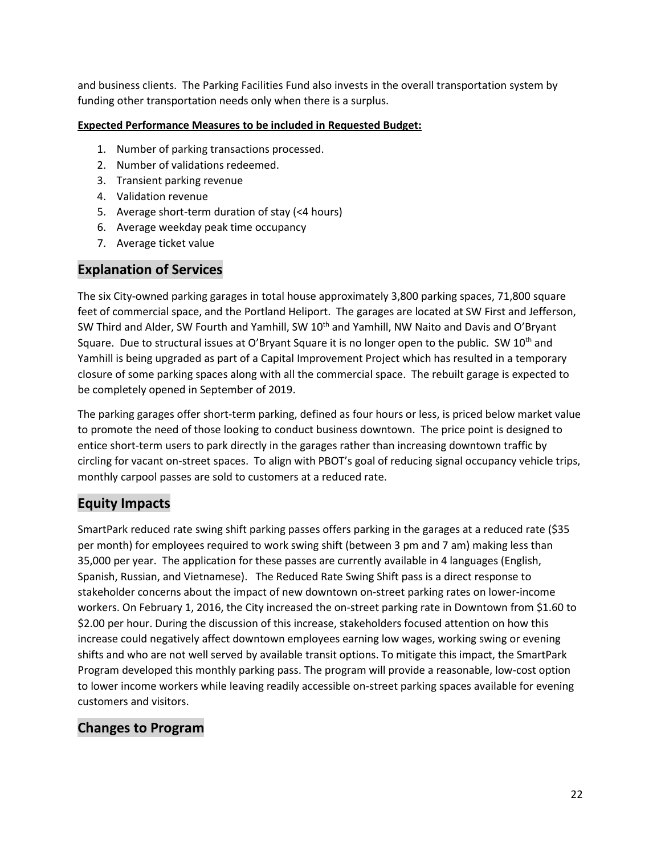and business clients. The Parking Facilities Fund also invests in the overall transportation system by funding other transportation needs only when there is a surplus.

#### **Expected Performance Measures to be included in Requested Budget:**

- 1. Number of parking transactions processed.
- 2. Number of validations redeemed.
- 3. Transient parking revenue
- 4. Validation revenue
- 5. Average short-term duration of stay (<4 hours)
- 6. Average weekday peak time occupancy
- 7. Average ticket value

## **Explanation of Services**

The six City-owned parking garages in total house approximately 3,800 parking spaces, 71,800 square feet of commercial space, and the Portland Heliport. The garages are located at SW First and Jefferson, SW Third and Alder, SW Fourth and Yamhill, SW 10<sup>th</sup> and Yamhill, NW Naito and Davis and O'Bryant Square. Due to structural issues at O'Bryant Square it is no longer open to the public. SW 10<sup>th</sup> and Yamhill is being upgraded as part of a Capital Improvement Project which has resulted in a temporary closure of some parking spaces along with all the commercial space. The rebuilt garage is expected to be completely opened in September of 2019.

The parking garages offer short-term parking, defined as four hours or less, is priced below market value to promote the need of those looking to conduct business downtown. The price point is designed to entice short-term users to park directly in the garages rather than increasing downtown traffic by circling for vacant on-street spaces. To align with PBOT's goal of reducing signal occupancy vehicle trips, monthly carpool passes are sold to customers at a reduced rate.

# **Equity Impacts**

SmartPark reduced rate swing shift parking passes offers parking in the garages at a reduced rate (\$35 per month) for employees required to work swing shift (between 3 pm and 7 am) making less than 35,000 per year. The application for these passes are currently available in 4 languages (English, Spanish, Russian, and Vietnamese). The Reduced Rate Swing Shift pass is a direct response to stakeholder concerns about the impact of new downtown on-street parking rates on lower-income workers. On February 1, 2016, the City increased the on-street parking rate in Downtown from \$1.60 to \$2.00 per hour. During the discussion of this increase, stakeholders focused attention on how this increase could negatively affect downtown employees earning low wages, working swing or evening shifts and who are not well served by available transit options. To mitigate this impact, the SmartPark Program developed this monthly parking pass. The program will provide a reasonable, low-cost option to lower income workers while leaving readily accessible on-street parking spaces available for evening customers and visitors.

## **Changes to Program**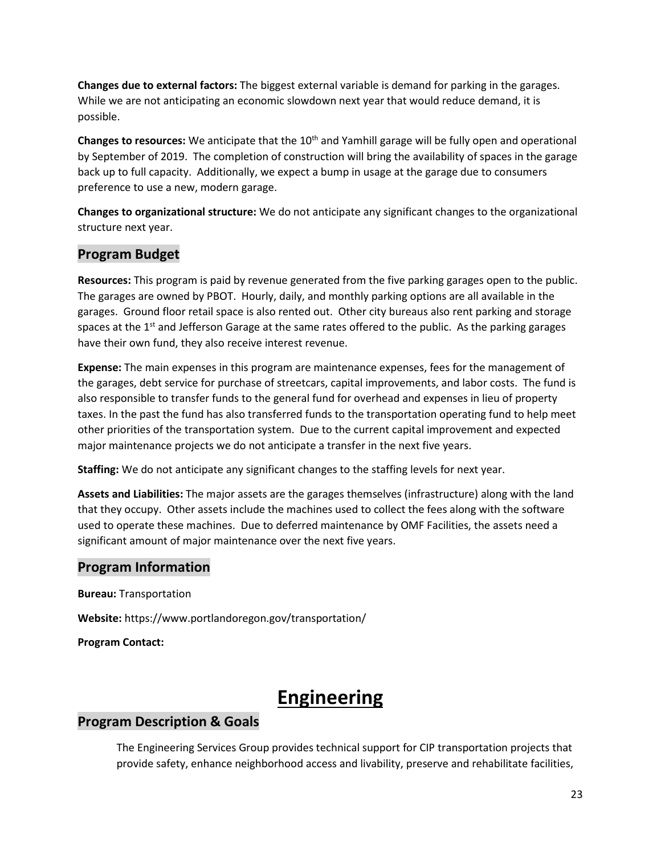**Changes due to external factors:** The biggest external variable is demand for parking in the garages. While we are not anticipating an economic slowdown next year that would reduce demand, it is possible.

Changes to resources: We anticipate that the 10<sup>th</sup> and Yamhill garage will be fully open and operational by September of 2019. The completion of construction will bring the availability of spaces in the garage back up to full capacity. Additionally, we expect a bump in usage at the garage due to consumers preference to use a new, modern garage.

**Changes to organizational structure:** We do not anticipate any significant changes to the organizational structure next year.

# **Program Budget**

**Resources:** This program is paid by revenue generated from the five parking garages open to the public. The garages are owned by PBOT. Hourly, daily, and monthly parking options are all available in the garages. Ground floor retail space is also rented out. Other city bureaus also rent parking and storage spaces at the  $1<sup>st</sup>$  and Jefferson Garage at the same rates offered to the public. As the parking garages have their own fund, they also receive interest revenue.

**Expense:** The main expenses in this program are maintenance expenses, fees for the management of the garages, debt service for purchase of streetcars, capital improvements, and labor costs. The fund is also responsible to transfer funds to the general fund for overhead and expenses in lieu of property taxes. In the past the fund has also transferred funds to the transportation operating fund to help meet other priorities of the transportation system. Due to the current capital improvement and expected major maintenance projects we do not anticipate a transfer in the next five years.

**Staffing:** We do not anticipate any significant changes to the staffing levels for next year.

**Assets and Liabilities:** The major assets are the garages themselves (infrastructure) along with the land that they occupy. Other assets include the machines used to collect the fees along with the software used to operate these machines. Due to deferred maintenance by OMF Facilities, the assets need a significant amount of major maintenance over the next five years.

## **Program Information**

**Bureau:** Transportation

**Website:** https://www.portlandoregon.gov/transportation/

**Program Contact:**

# **Engineering**

# **Program Description & Goals**

The Engineering Services Group provides technical support for CIP transportation projects that provide safety, enhance neighborhood access and livability, preserve and rehabilitate facilities,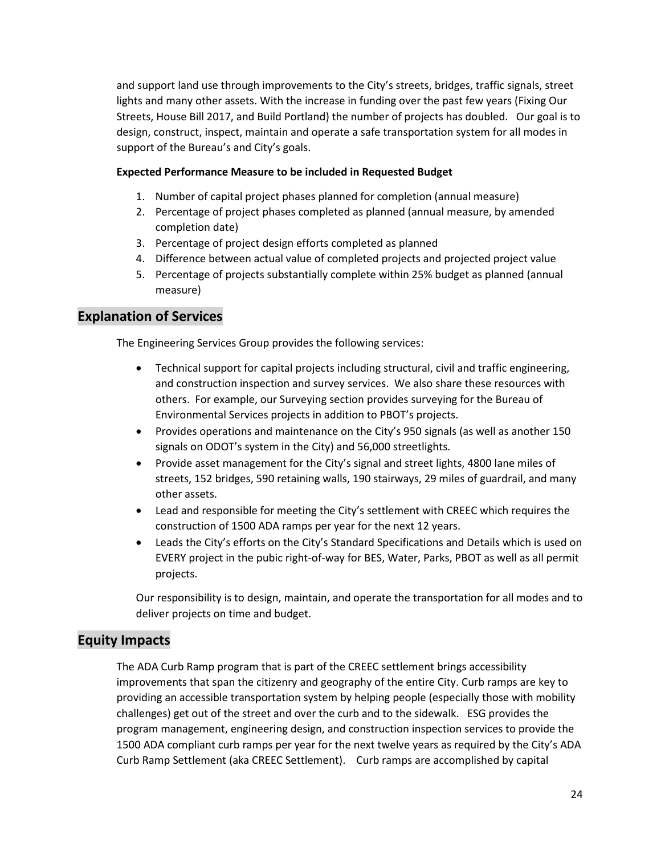and support land use through improvements to the City's streets, bridges, traffic signals, street lights and many other assets. With the increase in funding over the past few years (Fixing Our Streets, House Bill 2017, and Build Portland) the number of projects has doubled. Our goal is to design, construct, inspect, maintain and operate a safe transportation system for all modes in support of the Bureau's and City's goals.

#### **Expected Performance Measure to be included in Requested Budget**

- 1. Number of capital project phases planned for completion (annual measure)
- 2. Percentage of project phases completed as planned (annual measure, by amended completion date)
- 3. Percentage of project design efforts completed as planned
- 4. Difference between actual value of completed projects and projected project value
- 5. Percentage of projects substantially complete within 25% budget as planned (annual measure)

## **Explanation of Services**

The Engineering Services Group provides the following services:

- Technical support for capital projects including structural, civil and traffic engineering, and construction inspection and survey services. We also share these resources with others. For example, our Surveying section provides surveying for the Bureau of Environmental Services projects in addition to PBOT's projects.
- Provides operations and maintenance on the City's 950 signals (as well as another 150 signals on ODOT's system in the City) and 56,000 streetlights.
- Provide asset management for the City's signal and street lights, 4800 lane miles of streets, 152 bridges, 590 retaining walls, 190 stairways, 29 miles of guardrail, and many other assets.
- Lead and responsible for meeting the City's settlement with CREEC which requires the construction of 1500 ADA ramps per year for the next 12 years.
- Leads the City's efforts on the City's Standard Specifications and Details which is used on EVERY project in the pubic right-of-way for BES, Water, Parks, PBOT as well as all permit projects.

Our responsibility is to design, maintain, and operate the transportation for all modes and to deliver projects on time and budget.

## **Equity Impacts**

The ADA Curb Ramp program that is part of the CREEC settlement brings accessibility improvements that span the citizenry and geography of the entire City. Curb ramps are key to providing an accessible transportation system by helping people (especially those with mobility challenges) get out of the street and over the curb and to the sidewalk. ESG provides the program management, engineering design, and construction inspection services to provide the 1500 ADA compliant curb ramps per year for the next twelve years as required by the City's ADA Curb Ramp Settlement (aka CREEC Settlement). Curb ramps are accomplished by capital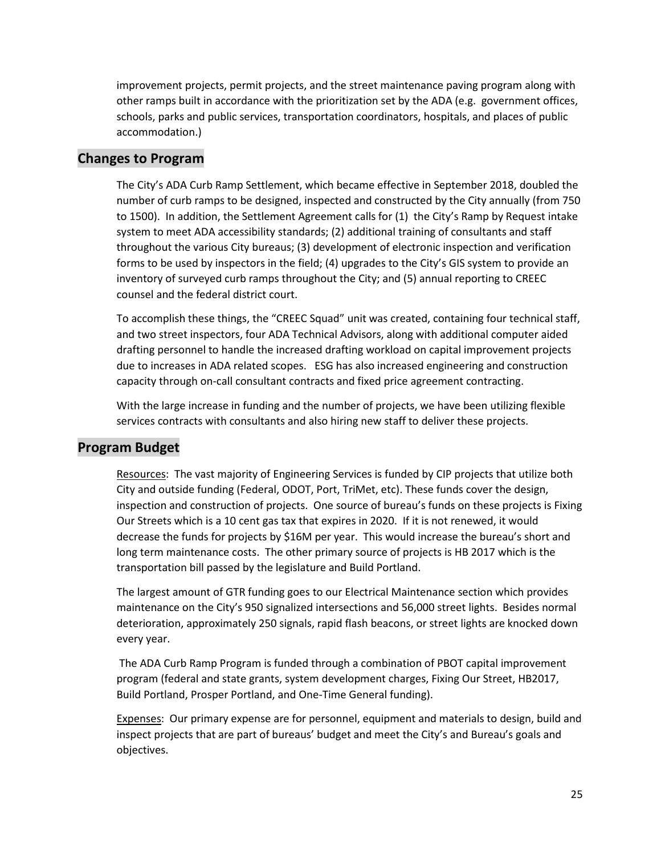improvement projects, permit projects, and the street maintenance paving program along with other ramps built in accordance with the prioritization set by the ADA (e.g. government offices, schools, parks and public services, transportation coordinators, hospitals, and places of public accommodation.)

## **Changes to Program**

The City's ADA Curb Ramp Settlement, which became effective in September 2018, doubled the number of curb ramps to be designed, inspected and constructed by the City annually (from 750 to 1500). In addition, the Settlement Agreement calls for (1) the City's Ramp by Request intake system to meet ADA accessibility standards; (2) additional training of consultants and staff throughout the various City bureaus; (3) development of electronic inspection and verification forms to be used by inspectors in the field; (4) upgrades to the City's GIS system to provide an inventory of surveyed curb ramps throughout the City; and (5) annual reporting to CREEC counsel and the federal district court.

To accomplish these things, the "CREEC Squad" unit was created, containing four technical staff, and two street inspectors, four ADA Technical Advisors, along with additional computer aided drafting personnel to handle the increased drafting workload on capital improvement projects due to increases in ADA related scopes. ESG has also increased engineering and construction capacity through on-call consultant contracts and fixed price agreement contracting.

With the large increase in funding and the number of projects, we have been utilizing flexible services contracts with consultants and also hiring new staff to deliver these projects.

# **Program Budget**

Resources: The vast majority of Engineering Services is funded by CIP projects that utilize both City and outside funding (Federal, ODOT, Port, TriMet, etc). These funds cover the design, inspection and construction of projects. One source of bureau's funds on these projects is Fixing Our Streets which is a 10 cent gas tax that expires in 2020. If it is not renewed, it would decrease the funds for projects by \$16M per year. This would increase the bureau's short and long term maintenance costs. The other primary source of projects is HB 2017 which is the transportation bill passed by the legislature and Build Portland.

The largest amount of GTR funding goes to our Electrical Maintenance section which provides maintenance on the City's 950 signalized intersections and 56,000 street lights. Besides normal deterioration, approximately 250 signals, rapid flash beacons, or street lights are knocked down every year.

The ADA Curb Ramp Program is funded through a combination of PBOT capital improvement program (federal and state grants, system development charges, Fixing Our Street, HB2017, Build Portland, Prosper Portland, and One-Time General funding).

Expenses: Our primary expense are for personnel, equipment and materials to design, build and inspect projects that are part of bureaus' budget and meet the City's and Bureau's goals and objectives.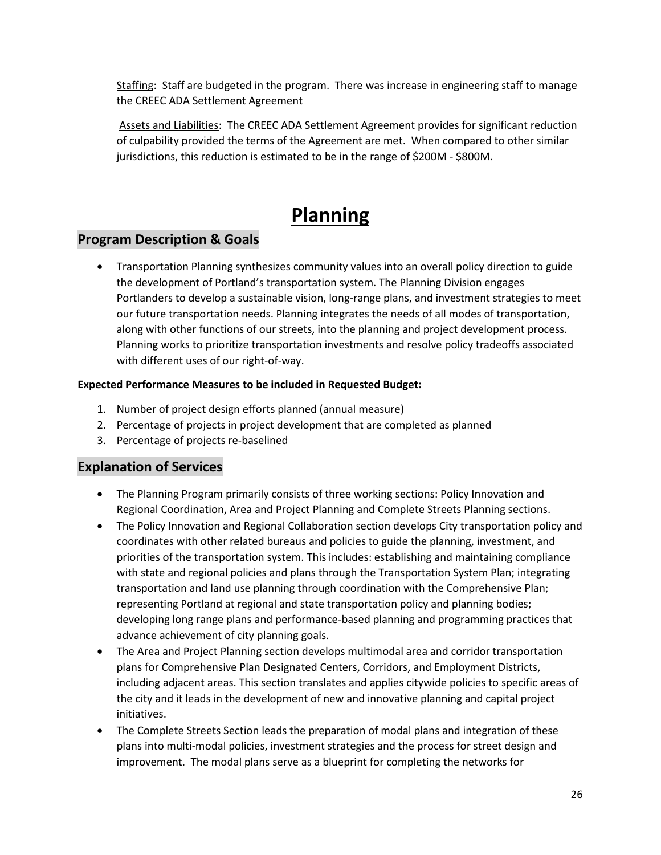Staffing: Staff are budgeted in the program. There was increase in engineering staff to manage the CREEC ADA Settlement Agreement

Assets and Liabilities: The CREEC ADA Settlement Agreement provides for significant reduction of culpability provided the terms of the Agreement are met. When compared to other similar jurisdictions, this reduction is estimated to be in the range of \$200M - \$800M.

# **Planning**

# **Program Description & Goals**

• Transportation Planning synthesizes community values into an overall policy direction to guide the development of Portland's transportation system. The Planning Division engages Portlanders to develop a sustainable vision, long-range plans, and investment strategies to meet our future transportation needs. Planning integrates the needs of all modes of transportation, along with other functions of our streets, into the planning and project development process. Planning works to prioritize transportation investments and resolve policy tradeoffs associated with different uses of our right-of-way.

#### **Expected Performance Measures to be included in Requested Budget:**

- 1. Number of project design efforts planned (annual measure)
- 2. Percentage of projects in project development that are completed as planned
- 3. Percentage of projects re-baselined

# **Explanation of Services**

- The Planning Program primarily consists of three working sections: Policy Innovation and Regional Coordination, Area and Project Planning and Complete Streets Planning sections.
- The Policy Innovation and Regional Collaboration section develops City transportation policy and coordinates with other related bureaus and policies to guide the planning, investment, and priorities of the transportation system. This includes: establishing and maintaining compliance with state and regional policies and plans through the Transportation System Plan; integrating transportation and land use planning through coordination with the Comprehensive Plan; representing Portland at regional and state transportation policy and planning bodies; developing long range plans and performance-based planning and programming practices that advance achievement of city planning goals.
- The Area and Project Planning section develops multimodal area and corridor transportation plans for Comprehensive Plan Designated Centers, Corridors, and Employment Districts, including adjacent areas. This section translates and applies citywide policies to specific areas of the city and it leads in the development of new and innovative planning and capital project initiatives.
- The Complete Streets Section leads the preparation of modal plans and integration of these plans into multi-modal policies, investment strategies and the process for street design and improvement. The modal plans serve as a blueprint for completing the networks for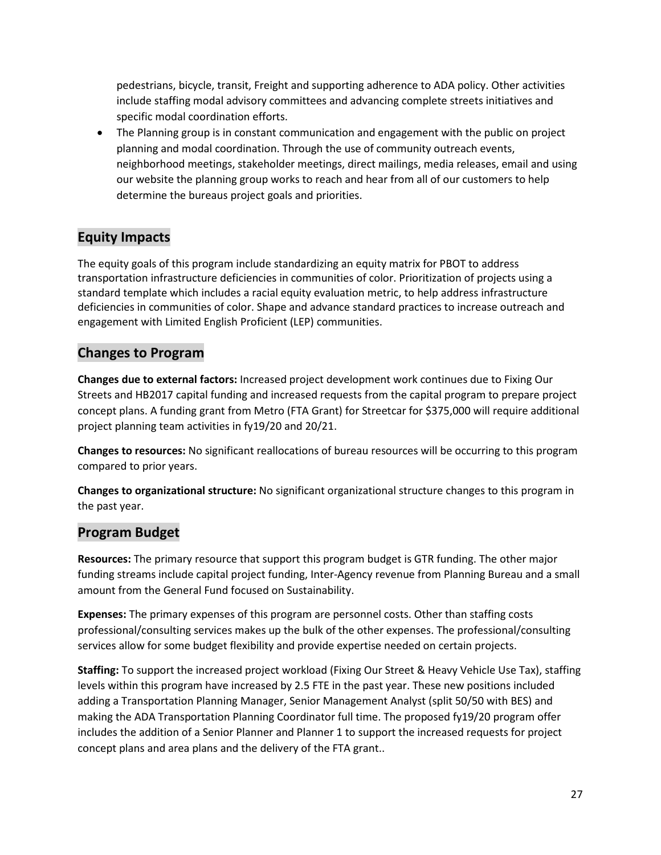pedestrians, bicycle, transit, Freight and supporting adherence to ADA policy. Other activities include staffing modal advisory committees and advancing complete streets initiatives and specific modal coordination efforts.

• The Planning group is in constant communication and engagement with the public on project planning and modal coordination. Through the use of community outreach events, neighborhood meetings, stakeholder meetings, direct mailings, media releases, email and using our website the planning group works to reach and hear from all of our customers to help determine the bureaus project goals and priorities.

# **Equity Impacts**

The equity goals of this program include standardizing an equity matrix for PBOT to address transportation infrastructure deficiencies in communities of color. Prioritization of projects using a standard template which includes a racial equity evaluation metric, to help address infrastructure deficiencies in communities of color. Shape and advance standard practices to increase outreach and engagement with Limited English Proficient (LEP) communities.

# **Changes to Program**

**Changes due to external factors:** Increased project development work continues due to Fixing Our Streets and HB2017 capital funding and increased requests from the capital program to prepare project concept plans. A funding grant from Metro (FTA Grant) for Streetcar for \$375,000 will require additional project planning team activities in fy19/20 and 20/21.

**Changes to resources:** No significant reallocations of bureau resources will be occurring to this program compared to prior years.

**Changes to organizational structure:** No significant organizational structure changes to this program in the past year.

# **Program Budget**

**Resources:** The primary resource that support this program budget is GTR funding. The other major funding streams include capital project funding, Inter-Agency revenue from Planning Bureau and a small amount from the General Fund focused on Sustainability.

**Expenses:** The primary expenses of this program are personnel costs. Other than staffing costs professional/consulting services makes up the bulk of the other expenses. The professional/consulting services allow for some budget flexibility and provide expertise needed on certain projects.

**Staffing:** To support the increased project workload (Fixing Our Street & Heavy Vehicle Use Tax), staffing levels within this program have increased by 2.5 FTE in the past year. These new positions included adding a Transportation Planning Manager, Senior Management Analyst (split 50/50 with BES) and making the ADA Transportation Planning Coordinator full time. The proposed fy19/20 program offer includes the addition of a Senior Planner and Planner 1 to support the increased requests for project concept plans and area plans and the delivery of the FTA grant..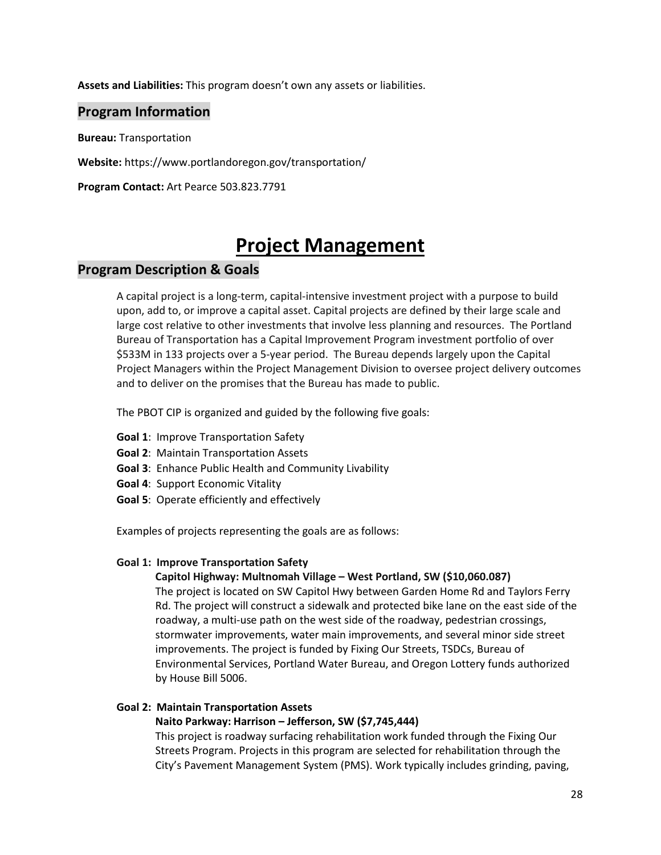**Assets and Liabilities:** This program doesn't own any assets or liabilities.

### **Program Information**

**Bureau:** Transportation

**Website:** https://www.portlandoregon.gov/transportation/

**Program Contact:** Art Pearce 503.823.7791

# **Project Management**

### **Program Description & Goals**

A capital project is a long-term, capital-intensive investment project with a purpose to build upon, add to, or improve a capital asset. Capital projects are defined by their large scale and large cost relative to other investments that involve less planning and resources. The Portland Bureau of Transportation has a Capital Improvement Program investment portfolio of over \$533M in 133 projects over a 5-year period. The Bureau depends largely upon the Capital Project Managers within the Project Management Division to oversee project delivery outcomes and to deliver on the promises that the Bureau has made to public.

The PBOT CIP is organized and guided by the following five goals:

- **Goal 1**: Improve Transportation Safety
- **Goal 2**: Maintain Transportation Assets
- **Goal 3**: Enhance Public Health and Community Livability
- **Goal 4**: Support Economic Vitality
- **Goal 5**: Operate efficiently and effectively

Examples of projects representing the goals are as follows:

#### **Goal 1: Improve Transportation Safety**

#### **Capitol Highway: Multnomah Village – West Portland, SW (\$10,060.087)**

The project is located on SW Capitol Hwy between Garden Home Rd and Taylors Ferry Rd. The project will construct a sidewalk and protected bike lane on the east side of the roadway, a multi-use path on the west side of the roadway, pedestrian crossings, stormwater improvements, water main improvements, and several minor side street improvements. The project is funded by Fixing Our Streets, TSDCs, Bureau of Environmental Services, Portland Water Bureau, and Oregon Lottery funds authorized by House Bill 5006.

#### **Goal 2: Maintain Transportation Assets**

#### **Naito Parkway: Harrison – Jefferson, SW (\$7,745,444)**

This project is roadway surfacing rehabilitation work funded through the Fixing Our Streets Program. Projects in this program are selected for rehabilitation through the City's Pavement Management System (PMS). Work typically includes grinding, paving,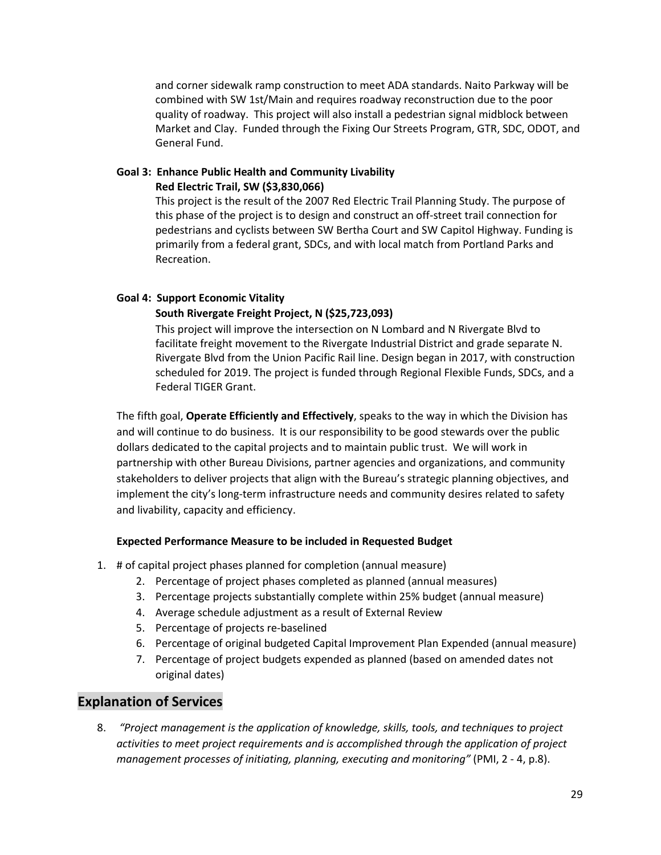and corner sidewalk ramp construction to meet ADA standards. Naito Parkway will be combined with SW 1st/Main and requires roadway reconstruction due to the poor quality of roadway. This project will also install a pedestrian signal midblock between Market and Clay. Funded through the Fixing Our Streets Program, GTR, SDC, ODOT, and General Fund.

#### **Goal 3: Enhance Public Health and Community Livability Red Electric Trail, SW (\$3,830,066)**

This project is the result of the 2007 Red Electric Trail Planning Study. The purpose of this phase of the project is to design and construct an off-street trail connection for pedestrians and cyclists between SW Bertha Court and SW Capitol Highway. Funding is primarily from a federal grant, SDCs, and with local match from Portland Parks and Recreation.

#### **Goal 4: Support Economic Vitality**

#### **South Rivergate Freight Project, N (\$25,723,093)**

This project will improve the intersection on N Lombard and N Rivergate Blvd to facilitate freight movement to the Rivergate Industrial District and grade separate N. Rivergate Blvd from the Union Pacific Rail line. Design began in 2017, with construction scheduled for 2019. The project is funded through Regional Flexible Funds, SDCs, and a Federal TIGER Grant.

The fifth goal, **Operate Efficiently and Effectively**, speaks to the way in which the Division has and will continue to do business. It is our responsibility to be good stewards over the public dollars dedicated to the capital projects and to maintain public trust. We will work in partnership with other Bureau Divisions, partner agencies and organizations, and community stakeholders to deliver projects that align with the Bureau's strategic planning objectives, and implement the city's long-term infrastructure needs and community desires related to safety and livability, capacity and efficiency.

#### **Expected Performance Measure to be included in Requested Budget**

- 1. # of capital project phases planned for completion (annual measure)
	- 2. Percentage of project phases completed as planned (annual measures)
	- 3. Percentage projects substantially complete within 25% budget (annual measure)
	- 4. Average schedule adjustment as a result of External Review
	- 5. Percentage of projects re-baselined
	- 6. Percentage of original budgeted Capital Improvement Plan Expended (annual measure)
	- 7. Percentage of project budgets expended as planned (based on amended dates not original dates)

## **Explanation of Services**

8. *"Project management is the application of knowledge, skills, tools, and techniques to project activities to meet project requirements and is accomplished through the application of project management processes of initiating, planning, executing and monitoring"* (PMI, 2 - 4, p.8).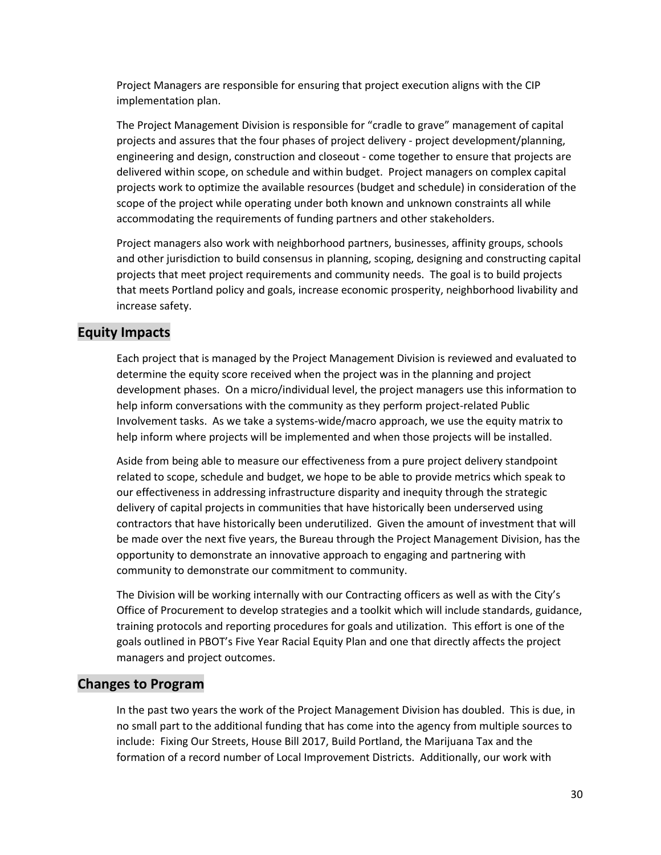Project Managers are responsible for ensuring that project execution aligns with the CIP implementation plan.

The Project Management Division is responsible for "cradle to grave" management of capital projects and assures that the four phases of project delivery - project development/planning, engineering and design, construction and closeout - come together to ensure that projects are delivered within scope, on schedule and within budget. Project managers on complex capital projects work to optimize the available resources (budget and schedule) in consideration of the scope of the project while operating under both known and unknown constraints all while accommodating the requirements of funding partners and other stakeholders.

Project managers also work with neighborhood partners, businesses, affinity groups, schools and other jurisdiction to build consensus in planning, scoping, designing and constructing capital projects that meet project requirements and community needs. The goal is to build projects that meets Portland policy and goals, increase economic prosperity, neighborhood livability and increase safety.

### **Equity Impacts**

Each project that is managed by the Project Management Division is reviewed and evaluated to determine the equity score received when the project was in the planning and project development phases. On a micro/individual level, the project managers use this information to help inform conversations with the community as they perform project-related Public Involvement tasks. As we take a systems-wide/macro approach, we use the equity matrix to help inform where projects will be implemented and when those projects will be installed.

Aside from being able to measure our effectiveness from a pure project delivery standpoint related to scope, schedule and budget, we hope to be able to provide metrics which speak to our effectiveness in addressing infrastructure disparity and inequity through the strategic delivery of capital projects in communities that have historically been underserved using contractors that have historically been underutilized. Given the amount of investment that will be made over the next five years, the Bureau through the Project Management Division, has the opportunity to demonstrate an innovative approach to engaging and partnering with community to demonstrate our commitment to community.

The Division will be working internally with our Contracting officers as well as with the City's Office of Procurement to develop strategies and a toolkit which will include standards, guidance, training protocols and reporting procedures for goals and utilization. This effort is one of the goals outlined in PBOT's Five Year Racial Equity Plan and one that directly affects the project managers and project outcomes.

#### **Changes to Program**

In the past two years the work of the Project Management Division has doubled. This is due, in no small part to the additional funding that has come into the agency from multiple sources to include: Fixing Our Streets, House Bill 2017, Build Portland, the Marijuana Tax and the formation of a record number of Local Improvement Districts. Additionally, our work with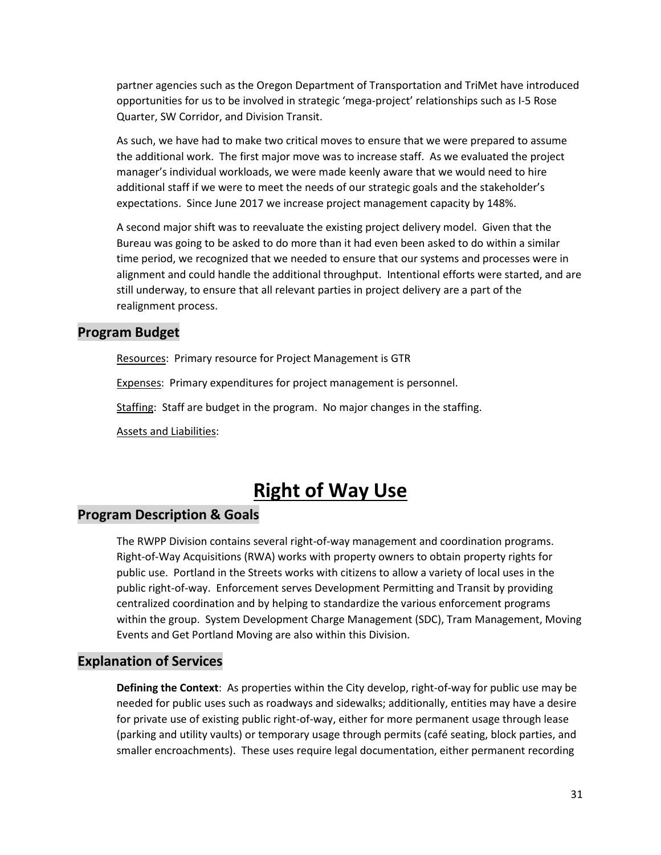partner agencies such as the Oregon Department of Transportation and TriMet have introduced opportunities for us to be involved in strategic 'mega-project' relationships such as I-5 Rose Quarter, SW Corridor, and Division Transit.

As such, we have had to make two critical moves to ensure that we were prepared to assume the additional work. The first major move was to increase staff. As we evaluated the project manager's individual workloads, we were made keenly aware that we would need to hire additional staff if we were to meet the needs of our strategic goals and the stakeholder's expectations. Since June 2017 we increase project management capacity by 148%.

A second major shift was to reevaluate the existing project delivery model. Given that the Bureau was going to be asked to do more than it had even been asked to do within a similar time period, we recognized that we needed to ensure that our systems and processes were in alignment and could handle the additional throughput. Intentional efforts were started, and are still underway, to ensure that all relevant parties in project delivery are a part of the realignment process.

### **Program Budget**

Resources: Primary resource for Project Management is GTR

Expenses: Primary expenditures for project management is personnel.

Staffing: Staff are budget in the program. No major changes in the staffing.

Assets and Liabilities:

# **Right of Way Use**

## **Program Description & Goals**

The RWPP Division contains several right-of-way management and coordination programs. Right-of-Way Acquisitions (RWA) works with property owners to obtain property rights for public use. Portland in the Streets works with citizens to allow a variety of local uses in the public right-of-way. Enforcement serves Development Permitting and Transit by providing centralized coordination and by helping to standardize the various enforcement programs within the group. System Development Charge Management (SDC), Tram Management, Moving Events and Get Portland Moving are also within this Division.

## **Explanation of Services**

**Defining the Context**: As properties within the City develop, right-of-way for public use may be needed for public uses such as roadways and sidewalks; additionally, entities may have a desire for private use of existing public right-of-way, either for more permanent usage through lease (parking and utility vaults) or temporary usage through permits (café seating, block parties, and smaller encroachments). These uses require legal documentation, either permanent recording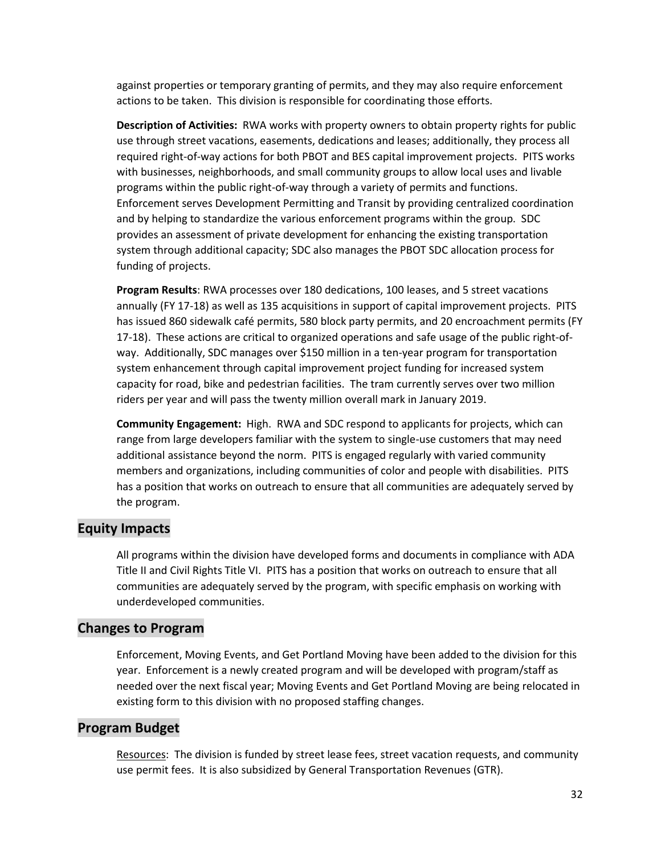against properties or temporary granting of permits, and they may also require enforcement actions to be taken. This division is responsible for coordinating those efforts.

**Description of Activities:** RWA works with property owners to obtain property rights for public use through street vacations, easements, dedications and leases; additionally, they process all required right-of-way actions for both PBOT and BES capital improvement projects. PITS works with businesses, neighborhoods, and small community groups to allow local uses and livable programs within the public right-of-way through a variety of permits and functions. Enforcement serves Development Permitting and Transit by providing centralized coordination and by helping to standardize the various enforcement programs within the group. SDC provides an assessment of private development for enhancing the existing transportation system through additional capacity; SDC also manages the PBOT SDC allocation process for funding of projects.

**Program Results**: RWA processes over 180 dedications, 100 leases, and 5 street vacations annually (FY 17-18) as well as 135 acquisitions in support of capital improvement projects. PITS has issued 860 sidewalk café permits, 580 block party permits, and 20 encroachment permits (FY 17-18). These actions are critical to organized operations and safe usage of the public right-ofway. Additionally, SDC manages over \$150 million in a ten-year program for transportation system enhancement through capital improvement project funding for increased system capacity for road, bike and pedestrian facilities. The tram currently serves over two million riders per year and will pass the twenty million overall mark in January 2019.

**Community Engagement:** High. RWA and SDC respond to applicants for projects, which can range from large developers familiar with the system to single-use customers that may need additional assistance beyond the norm. PITS is engaged regularly with varied community members and organizations, including communities of color and people with disabilities. PITS has a position that works on outreach to ensure that all communities are adequately served by the program.

### **Equity Impacts**

All programs within the division have developed forms and documents in compliance with ADA Title II and Civil Rights Title VI. PITS has a position that works on outreach to ensure that all communities are adequately served by the program, with specific emphasis on working with underdeveloped communities.

### **Changes to Program**

Enforcement, Moving Events, and Get Portland Moving have been added to the division for this year. Enforcement is a newly created program and will be developed with program/staff as needed over the next fiscal year; Moving Events and Get Portland Moving are being relocated in existing form to this division with no proposed staffing changes.

#### **Program Budget**

Resources: The division is funded by street lease fees, street vacation requests, and community use permit fees. It is also subsidized by General Transportation Revenues (GTR).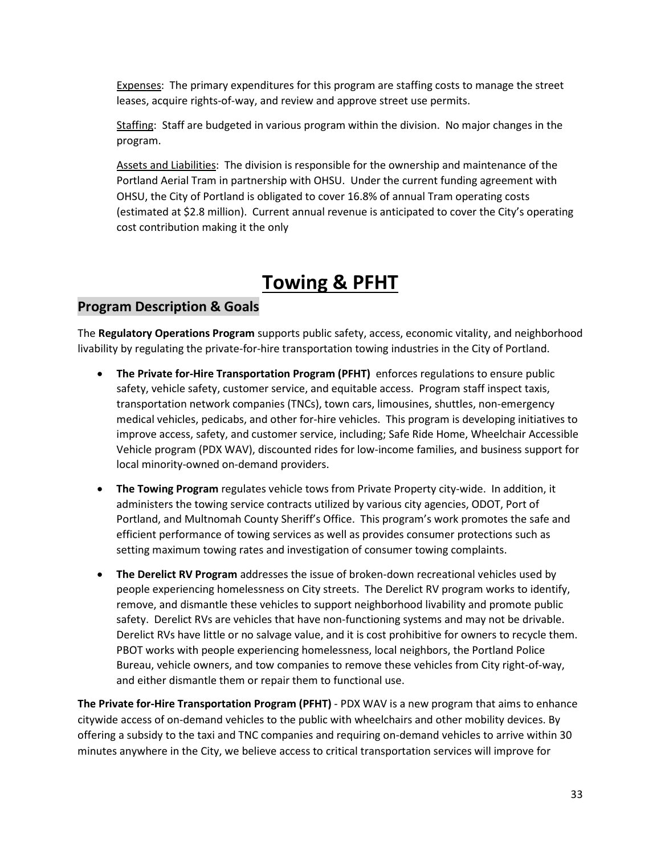Expenses: The primary expenditures for this program are staffing costs to manage the street leases, acquire rights-of-way, and review and approve street use permits.

Staffing: Staff are budgeted in various program within the division. No major changes in the program.

Assets and Liabilities: The division is responsible for the ownership and maintenance of the Portland Aerial Tram in partnership with OHSU. Under the current funding agreement with OHSU, the City of Portland is obligated to cover 16.8% of annual Tram operating costs (estimated at \$2.8 million). Current annual revenue is anticipated to cover the City's operating cost contribution making it the only

# **Towing & PFHT**

# **Program Description & Goals**

The **Regulatory Operations Program** supports public safety, access, economic vitality, and neighborhood livability by regulating the private-for-hire transportation towing industries in the City of Portland.

- **The Private for-Hire Transportation Program (PFHT)** enforces regulations to ensure public safety, vehicle safety, customer service, and equitable access. Program staff inspect taxis, transportation network companies (TNCs), town cars, limousines, shuttles, non-emergency medical vehicles, pedicabs, and other for-hire vehicles. This program is developing initiatives to improve access, safety, and customer service, including; Safe Ride Home, Wheelchair Accessible Vehicle program (PDX WAV), discounted rides for low-income families, and business support for local minority-owned on-demand providers.
- **The Towing Program** regulates vehicle tows from Private Property city-wide. In addition, it administers the towing service contracts utilized by various city agencies, ODOT, Port of Portland, and Multnomah County Sheriff's Office. This program's work promotes the safe and efficient performance of towing services as well as provides consumer protections such as setting maximum towing rates and investigation of consumer towing complaints.
- **The Derelict RV Program** addresses the issue of broken-down recreational vehicles used by people experiencing homelessness on City streets. The Derelict RV program works to identify, remove, and dismantle these vehicles to support neighborhood livability and promote public safety. Derelict RVs are vehicles that have non-functioning systems and may not be drivable. Derelict RVs have little or no salvage value, and it is cost prohibitive for owners to recycle them. PBOT works with people experiencing homelessness, local neighbors, the Portland Police Bureau, vehicle owners, and tow companies to remove these vehicles from City right-of-way, and either dismantle them or repair them to functional use.

**The Private for-Hire Transportation Program (PFHT)** - PDX WAV is a new program that aims to enhance citywide access of on-demand vehicles to the public with wheelchairs and other mobility devices. By offering a subsidy to the taxi and TNC companies and requiring on-demand vehicles to arrive within 30 minutes anywhere in the City, we believe access to critical transportation services will improve for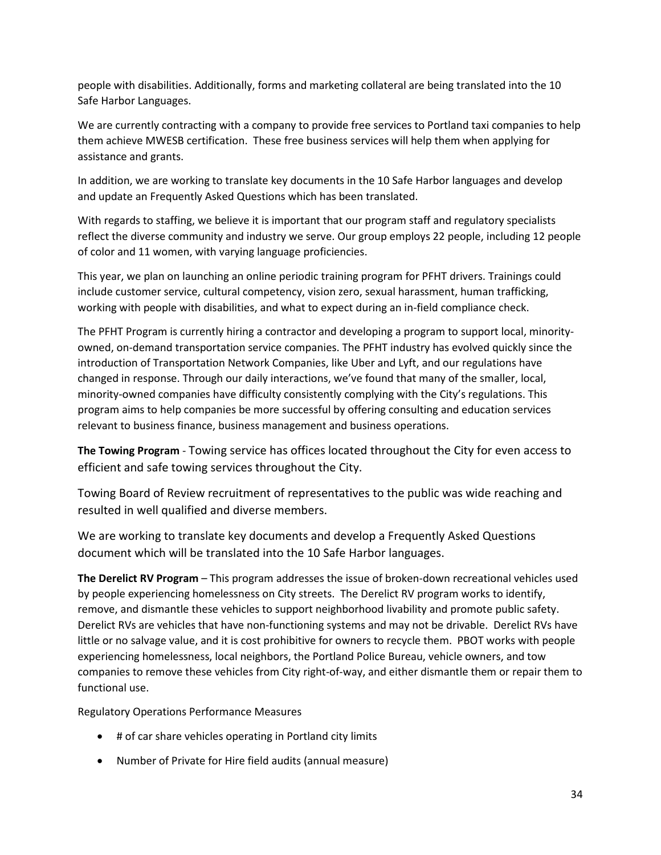people with disabilities. Additionally, forms and marketing collateral are being translated into the 10 Safe Harbor Languages.

We are currently contracting with a company to provide free services to Portland taxi companies to help them achieve MWESB certification. These free business services will help them when applying for assistance and grants.

In addition, we are working to translate key documents in the 10 Safe Harbor languages and develop and update an Frequently Asked Questions which has been translated.

With regards to staffing, we believe it is important that our program staff and regulatory specialists reflect the diverse community and industry we serve. Our group employs 22 people, including 12 people of color and 11 women, with varying language proficiencies.

This year, we plan on launching an online periodic training program for PFHT drivers. Trainings could include customer service, cultural competency, vision zero, sexual harassment, human trafficking, working with people with disabilities, and what to expect during an in-field compliance check.

The PFHT Program is currently hiring a contractor and developing a program to support local, minorityowned, on-demand transportation service companies. The PFHT industry has evolved quickly since the introduction of Transportation Network Companies, like Uber and Lyft, and our regulations have changed in response. Through our daily interactions, we've found that many of the smaller, local, minority-owned companies have difficulty consistently complying with the City's regulations. This program aims to help companies be more successful by offering consulting and education services relevant to business finance, business management and business operations.

**The Towing Program** - Towing service has offices located throughout the City for even access to efficient and safe towing services throughout the City.

Towing Board of Review recruitment of representatives to the public was wide reaching and resulted in well qualified and diverse members.

We are working to translate key documents and develop a Frequently Asked Questions document which will be translated into the 10 Safe Harbor languages.

**The Derelict RV Program** – This program addresses the issue of broken-down recreational vehicles used by people experiencing homelessness on City streets. The Derelict RV program works to identify, remove, and dismantle these vehicles to support neighborhood livability and promote public safety. Derelict RVs are vehicles that have non-functioning systems and may not be drivable. Derelict RVs have little or no salvage value, and it is cost prohibitive for owners to recycle them. PBOT works with people experiencing homelessness, local neighbors, the Portland Police Bureau, vehicle owners, and tow companies to remove these vehicles from City right-of-way, and either dismantle them or repair them to functional use.

Regulatory Operations Performance Measures

- # of car share vehicles operating in Portland city limits
- Number of Private for Hire field audits (annual measure)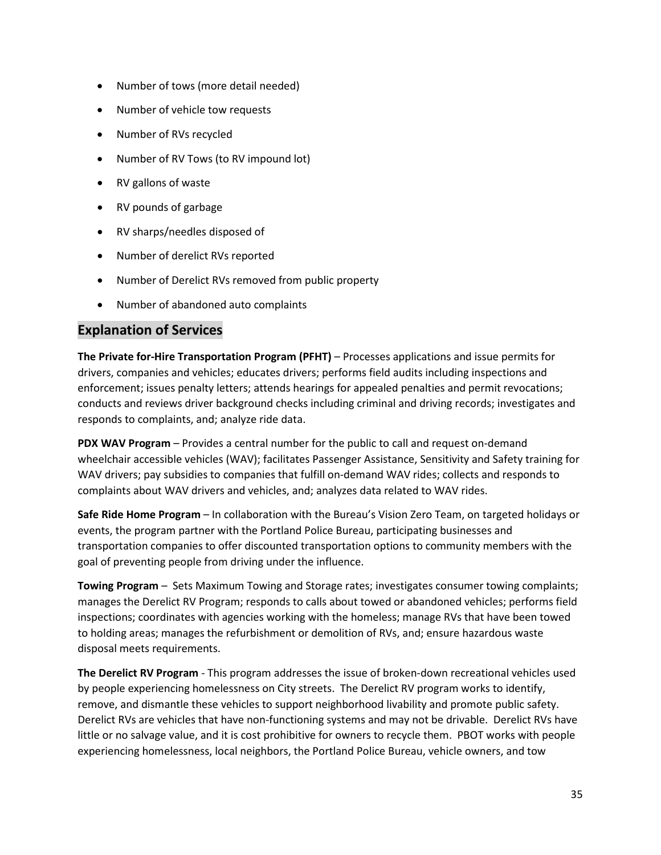- Number of tows (more detail needed)
- Number of vehicle tow requests
- Number of RVs recycled
- Number of RV Tows (to RV impound lot)
- RV gallons of waste
- RV pounds of garbage
- RV sharps/needles disposed of
- Number of derelict RVs reported
- Number of Derelict RVs removed from public property
- Number of abandoned auto complaints

# **Explanation of Services**

**The Private for-Hire Transportation Program (PFHT)** – Processes applications and issue permits for drivers, companies and vehicles; educates drivers; performs field audits including inspections and enforcement; issues penalty letters; attends hearings for appealed penalties and permit revocations; conducts and reviews driver background checks including criminal and driving records; investigates and responds to complaints, and; analyze ride data.

**PDX WAV Program** – Provides a central number for the public to call and request on-demand wheelchair accessible vehicles (WAV); facilitates Passenger Assistance, Sensitivity and Safety training for WAV drivers; pay subsidies to companies that fulfill on-demand WAV rides; collects and responds to complaints about WAV drivers and vehicles, and; analyzes data related to WAV rides.

**Safe Ride Home Program** – In collaboration with the Bureau's Vision Zero Team, on targeted holidays or events, the program partner with the Portland Police Bureau, participating businesses and transportation companies to offer discounted transportation options to community members with the goal of preventing people from driving under the influence.

**Towing Program** – Sets Maximum Towing and Storage rates; investigates consumer towing complaints; manages the Derelict RV Program; responds to calls about towed or abandoned vehicles; performs field inspections; coordinates with agencies working with the homeless; manage RVs that have been towed to holding areas; manages the refurbishment or demolition of RVs, and; ensure hazardous waste disposal meets requirements.

**The Derelict RV Program** - This program addresses the issue of broken-down recreational vehicles used by people experiencing homelessness on City streets. The Derelict RV program works to identify, remove, and dismantle these vehicles to support neighborhood livability and promote public safety. Derelict RVs are vehicles that have non-functioning systems and may not be drivable. Derelict RVs have little or no salvage value, and it is cost prohibitive for owners to recycle them. PBOT works with people experiencing homelessness, local neighbors, the Portland Police Bureau, vehicle owners, and tow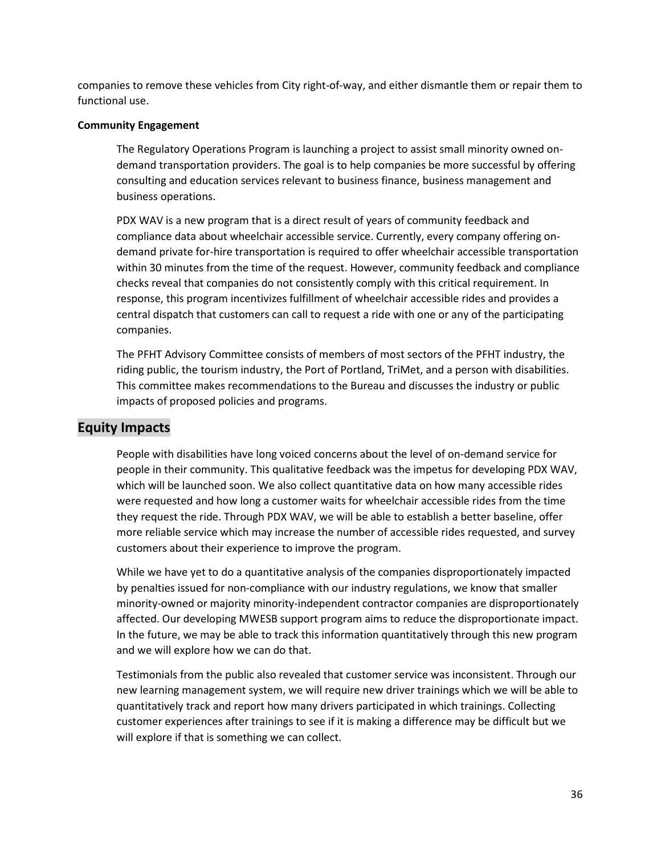companies to remove these vehicles from City right-of-way, and either dismantle them or repair them to functional use.

#### **Community Engagement**

The Regulatory Operations Program is launching a project to assist small minority owned ondemand transportation providers. The goal is to help companies be more successful by offering consulting and education services relevant to business finance, business management and business operations.

PDX WAV is a new program that is a direct result of years of community feedback and compliance data about wheelchair accessible service. Currently, every company offering ondemand private for-hire transportation is required to offer wheelchair accessible transportation within 30 minutes from the time of the request. However, community feedback and compliance checks reveal that companies do not consistently comply with this critical requirement. In response, this program incentivizes fulfillment of wheelchair accessible rides and provides a central dispatch that customers can call to request a ride with one or any of the participating companies.

The PFHT Advisory Committee consists of members of most sectors of the PFHT industry, the riding public, the tourism industry, the Port of Portland, TriMet, and a person with disabilities. This committee makes recommendations to the Bureau and discusses the industry or public impacts of proposed policies and programs.

## **Equity Impacts**

People with disabilities have long voiced concerns about the level of on-demand service for people in their community. This qualitative feedback was the impetus for developing PDX WAV, which will be launched soon. We also collect quantitative data on how many accessible rides were requested and how long a customer waits for wheelchair accessible rides from the time they request the ride. Through PDX WAV, we will be able to establish a better baseline, offer more reliable service which may increase the number of accessible rides requested, and survey customers about their experience to improve the program.

While we have yet to do a quantitative analysis of the companies disproportionately impacted by penalties issued for non-compliance with our industry regulations, we know that smaller minority-owned or majority minority-independent contractor companies are disproportionately affected. Our developing MWESB support program aims to reduce the disproportionate impact. In the future, we may be able to track this information quantitatively through this new program and we will explore how we can do that.

Testimonials from the public also revealed that customer service was inconsistent. Through our new learning management system, we will require new driver trainings which we will be able to quantitatively track and report how many drivers participated in which trainings. Collecting customer experiences after trainings to see if it is making a difference may be difficult but we will explore if that is something we can collect.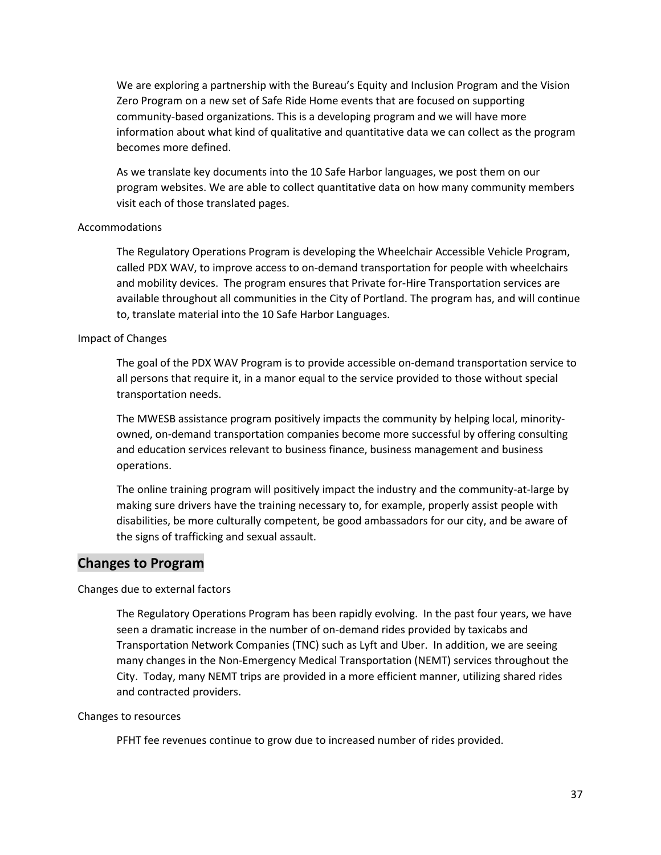We are exploring a partnership with the Bureau's Equity and Inclusion Program and the Vision Zero Program on a new set of Safe Ride Home events that are focused on supporting community-based organizations. This is a developing program and we will have more information about what kind of qualitative and quantitative data we can collect as the program becomes more defined.

As we translate key documents into the 10 Safe Harbor languages, we post them on our program websites. We are able to collect quantitative data on how many community members visit each of those translated pages.

#### Accommodations

The Regulatory Operations Program is developing the Wheelchair Accessible Vehicle Program, called PDX WAV, to improve access to on-demand transportation for people with wheelchairs and mobility devices. The program ensures that Private for-Hire Transportation services are available throughout all communities in the City of Portland. The program has, and will continue to, translate material into the 10 Safe Harbor Languages.

#### Impact of Changes

The goal of the PDX WAV Program is to provide accessible on-demand transportation service to all persons that require it, in a manor equal to the service provided to those without special transportation needs.

The MWESB assistance program positively impacts the community by helping local, minorityowned, on-demand transportation companies become more successful by offering consulting and education services relevant to business finance, business management and business operations.

The online training program will positively impact the industry and the community-at-large by making sure drivers have the training necessary to, for example, properly assist people with disabilities, be more culturally competent, be good ambassadors for our city, and be aware of the signs of trafficking and sexual assault.

### **Changes to Program**

Changes due to external factors

The Regulatory Operations Program has been rapidly evolving. In the past four years, we have seen a dramatic increase in the number of on-demand rides provided by taxicabs and Transportation Network Companies (TNC) such as Lyft and Uber. In addition, we are seeing many changes in the Non-Emergency Medical Transportation (NEMT) services throughout the City. Today, many NEMT trips are provided in a more efficient manner, utilizing shared rides and contracted providers.

#### Changes to resources

PFHT fee revenues continue to grow due to increased number of rides provided.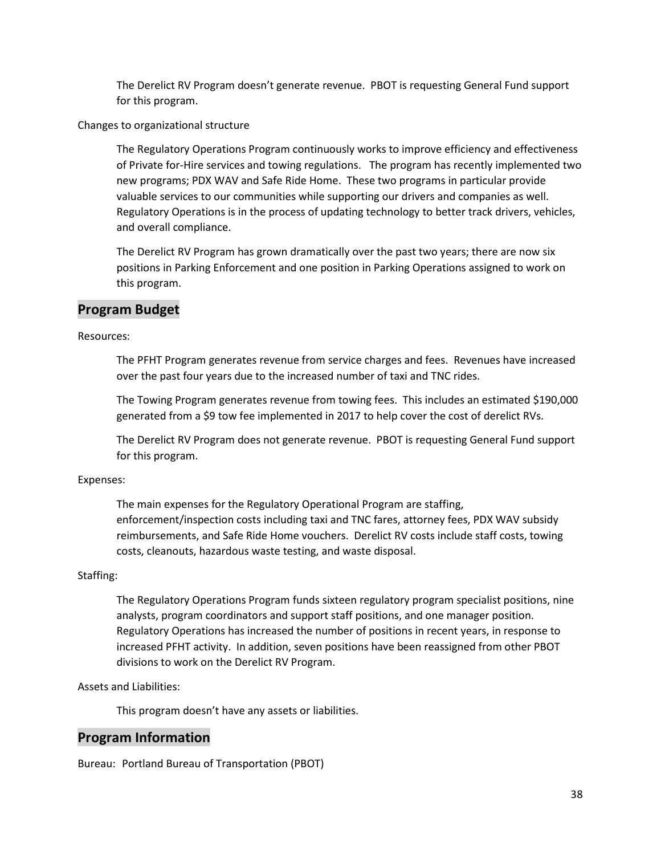The Derelict RV Program doesn't generate revenue. PBOT is requesting General Fund support for this program.

Changes to organizational structure

The Regulatory Operations Program continuously works to improve efficiency and effectiveness of Private for-Hire services and towing regulations. The program has recently implemented two new programs; PDX WAV and Safe Ride Home. These two programs in particular provide valuable services to our communities while supporting our drivers and companies as well. Regulatory Operations is in the process of updating technology to better track drivers, vehicles, and overall compliance.

The Derelict RV Program has grown dramatically over the past two years; there are now six positions in Parking Enforcement and one position in Parking Operations assigned to work on this program.

### **Program Budget**

Resources:

The PFHT Program generates revenue from service charges and fees. Revenues have increased over the past four years due to the increased number of taxi and TNC rides.

The Towing Program generates revenue from towing fees. This includes an estimated \$190,000 generated from a \$9 tow fee implemented in 2017 to help cover the cost of derelict RVs.

The Derelict RV Program does not generate revenue. PBOT is requesting General Fund support for this program.

#### Expenses:

The main expenses for the Regulatory Operational Program are staffing, enforcement/inspection costs including taxi and TNC fares, attorney fees, PDX WAV subsidy reimbursements, and Safe Ride Home vouchers. Derelict RV costs include staff costs, towing costs, cleanouts, hazardous waste testing, and waste disposal.

#### Staffing:

The Regulatory Operations Program funds sixteen regulatory program specialist positions, nine analysts, program coordinators and support staff positions, and one manager position. Regulatory Operations has increased the number of positions in recent years, in response to increased PFHT activity. In addition, seven positions have been reassigned from other PBOT divisions to work on the Derelict RV Program.

Assets and Liabilities:

This program doesn't have any assets or liabilities.

## **Program Information**

Bureau: Portland Bureau of Transportation (PBOT)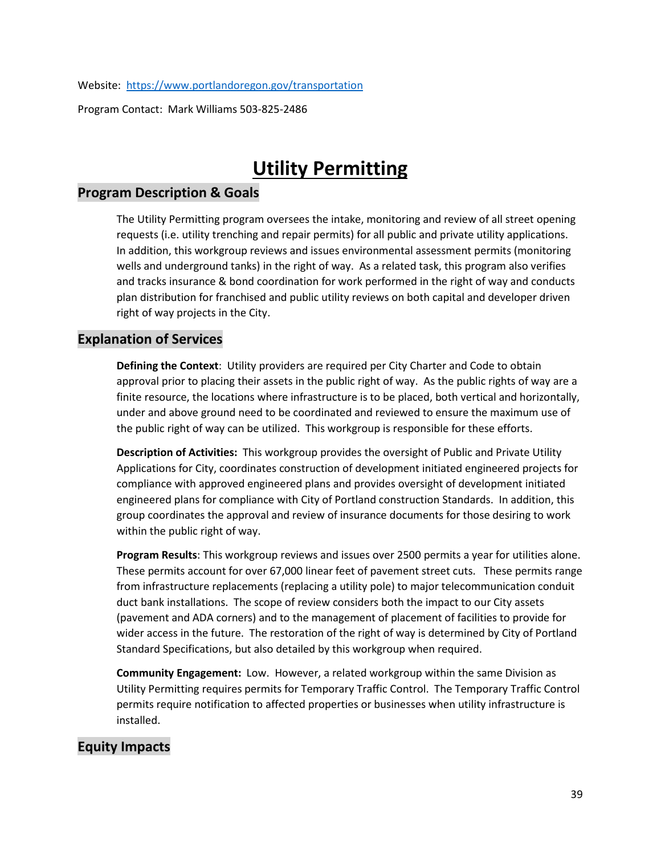Website: <https://www.portlandoregon.gov/transportation>

Program Contact: Mark Williams 503-825-2486

# **Utility Permitting**

### **Program Description & Goals**

The Utility Permitting program oversees the intake, monitoring and review of all street opening requests (i.e. utility trenching and repair permits) for all public and private utility applications. In addition, this workgroup reviews and issues environmental assessment permits (monitoring wells and underground tanks) in the right of way. As a related task, this program also verifies and tracks insurance & bond coordination for work performed in the right of way and conducts plan distribution for franchised and public utility reviews on both capital and developer driven right of way projects in the City.

### **Explanation of Services**

**Defining the Context**: Utility providers are required per City Charter and Code to obtain approval prior to placing their assets in the public right of way. As the public rights of way are a finite resource, the locations where infrastructure is to be placed, both vertical and horizontally, under and above ground need to be coordinated and reviewed to ensure the maximum use of the public right of way can be utilized. This workgroup is responsible for these efforts.

**Description of Activities:** This workgroup provides the oversight of Public and Private Utility Applications for City, coordinates construction of development initiated engineered projects for compliance with approved engineered plans and provides oversight of development initiated engineered plans for compliance with City of Portland construction Standards. In addition, this group coordinates the approval and review of insurance documents for those desiring to work within the public right of way.

**Program Results**: This workgroup reviews and issues over 2500 permits a year for utilities alone. These permits account for over 67,000 linear feet of pavement street cuts. These permits range from infrastructure replacements (replacing a utility pole) to major telecommunication conduit duct bank installations. The scope of review considers both the impact to our City assets (pavement and ADA corners) and to the management of placement of facilities to provide for wider access in the future. The restoration of the right of way is determined by City of Portland Standard Specifications, but also detailed by this workgroup when required.

**Community Engagement:** Low. However, a related workgroup within the same Division as Utility Permitting requires permits for Temporary Traffic Control. The Temporary Traffic Control permits require notification to affected properties or businesses when utility infrastructure is installed.

## **Equity Impacts**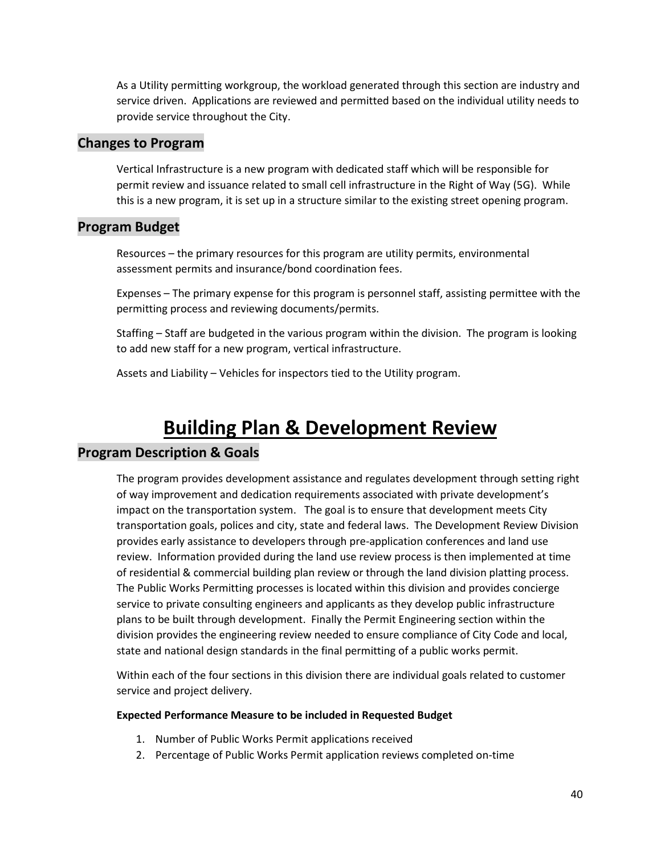As a Utility permitting workgroup, the workload generated through this section are industry and service driven. Applications are reviewed and permitted based on the individual utility needs to provide service throughout the City.

### **Changes to Program**

Vertical Infrastructure is a new program with dedicated staff which will be responsible for permit review and issuance related to small cell infrastructure in the Right of Way (5G). While this is a new program, it is set up in a structure similar to the existing street opening program.

## **Program Budget**

Resources – the primary resources for this program are utility permits, environmental assessment permits and insurance/bond coordination fees.

Expenses – The primary expense for this program is personnel staff, assisting permittee with the permitting process and reviewing documents/permits.

Staffing – Staff are budgeted in the various program within the division. The program is looking to add new staff for a new program, vertical infrastructure.

Assets and Liability – Vehicles for inspectors tied to the Utility program.

# **Building Plan & Development Review**

## **Program Description & Goals**

The program provides development assistance and regulates development through setting right of way improvement and dedication requirements associated with private development's impact on the transportation system. The goal is to ensure that development meets City transportation goals, polices and city, state and federal laws. The Development Review Division provides early assistance to developers through pre-application conferences and land use review. Information provided during the land use review process is then implemented at time of residential & commercial building plan review or through the land division platting process. The Public Works Permitting processes is located within this division and provides concierge service to private consulting engineers and applicants as they develop public infrastructure plans to be built through development. Finally the Permit Engineering section within the division provides the engineering review needed to ensure compliance of City Code and local, state and national design standards in the final permitting of a public works permit.

Within each of the four sections in this division there are individual goals related to customer service and project delivery.

#### **Expected Performance Measure to be included in Requested Budget**

- 1. Number of Public Works Permit applications received
- 2. Percentage of Public Works Permit application reviews completed on-time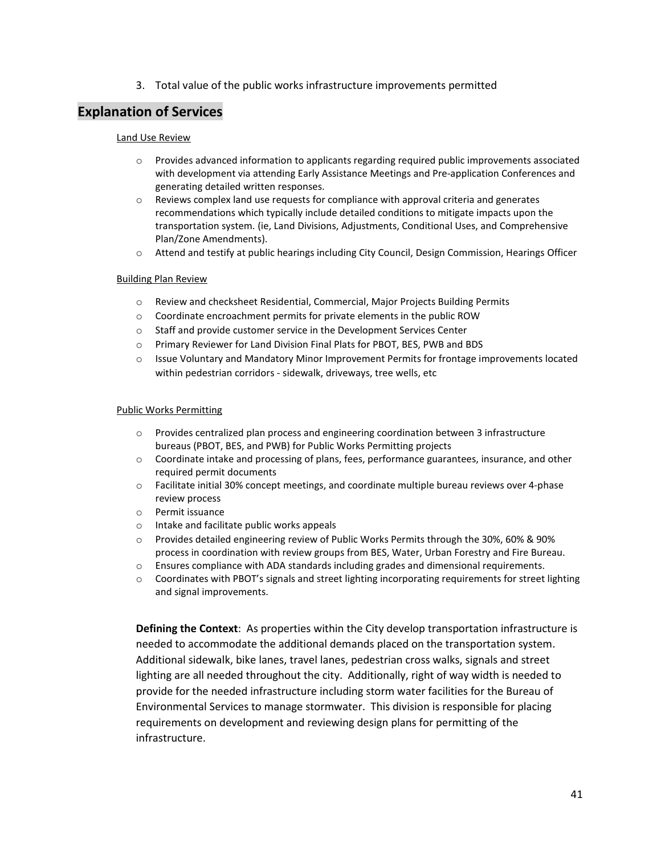3. Total value of the public works infrastructure improvements permitted

## **Explanation of Services**

#### Land Use Review

- o Provides advanced information to applicants regarding required public improvements associated with development via attending Early Assistance Meetings and Pre-application Conferences and generating detailed written responses.
- $\circ$  Reviews complex land use requests for compliance with approval criteria and generates recommendations which typically include detailed conditions to mitigate impacts upon the transportation system. (ie, Land Divisions, Adjustments, Conditional Uses, and Comprehensive Plan/Zone Amendments).
- o Attend and testify at public hearings including City Council, Design Commission, Hearings Officer

#### Building Plan Review

- o Review and checksheet Residential, Commercial, Major Projects Building Permits
- o Coordinate encroachment permits for private elements in the public ROW
- $\circ$  Staff and provide customer service in the Development Services Center
- o Primary Reviewer for Land Division Final Plats for PBOT, BES, PWB and BDS
- o Issue Voluntary and Mandatory Minor Improvement Permits for frontage improvements located within pedestrian corridors - sidewalk, driveways, tree wells, etc

#### Public Works Permitting

- o Provides centralized plan process and engineering coordination between 3 infrastructure bureaus (PBOT, BES, and PWB) for Public Works Permitting projects
- o Coordinate intake and processing of plans, fees, performance guarantees, insurance, and other required permit documents
- o Facilitate initial 30% concept meetings, and coordinate multiple bureau reviews over 4-phase review process
- o Permit issuance
- o Intake and facilitate public works appeals
- o Provides detailed engineering review of Public Works Permits through the 30%, 60% & 90% process in coordination with review groups from BES, Water, Urban Forestry and Fire Bureau.
- o Ensures compliance with ADA standards including grades and dimensional requirements.
- o Coordinates with PBOT's signals and street lighting incorporating requirements for street lighting and signal improvements.

**Defining the Context**: As properties within the City develop transportation infrastructure is needed to accommodate the additional demands placed on the transportation system. Additional sidewalk, bike lanes, travel lanes, pedestrian cross walks, signals and street lighting are all needed throughout the city. Additionally, right of way width is needed to provide for the needed infrastructure including storm water facilities for the Bureau of Environmental Services to manage stormwater. This division is responsible for placing requirements on development and reviewing design plans for permitting of the infrastructure.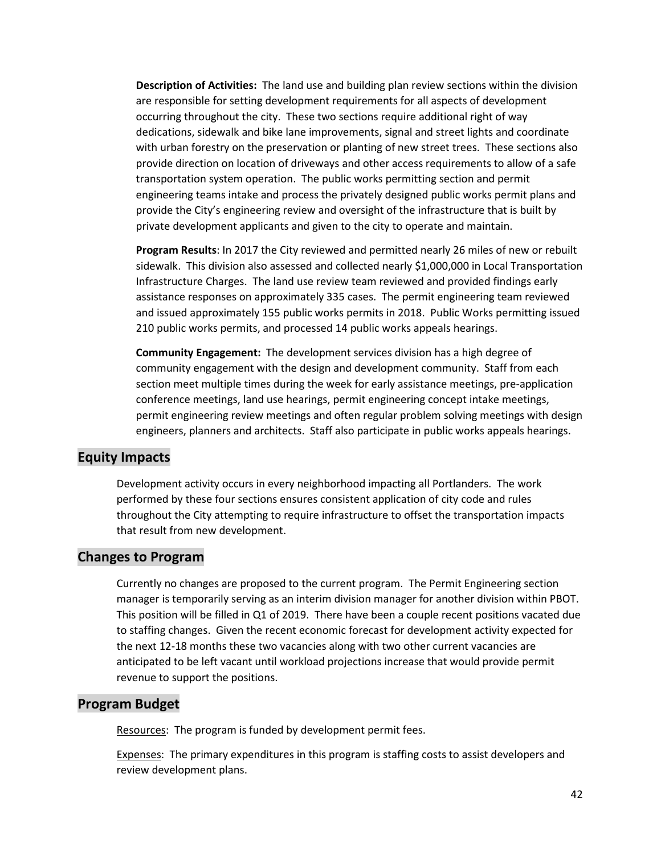**Description of Activities:** The land use and building plan review sections within the division are responsible for setting development requirements for all aspects of development occurring throughout the city. These two sections require additional right of way dedications, sidewalk and bike lane improvements, signal and street lights and coordinate with urban forestry on the preservation or planting of new street trees. These sections also provide direction on location of driveways and other access requirements to allow of a safe transportation system operation. The public works permitting section and permit engineering teams intake and process the privately designed public works permit plans and provide the City's engineering review and oversight of the infrastructure that is built by private development applicants and given to the city to operate and maintain.

**Program Results**: In 2017 the City reviewed and permitted nearly 26 miles of new or rebuilt sidewalk. This division also assessed and collected nearly \$1,000,000 in Local Transportation Infrastructure Charges. The land use review team reviewed and provided findings early assistance responses on approximately 335 cases. The permit engineering team reviewed and issued approximately 155 public works permits in 2018. Public Works permitting issued 210 public works permits, and processed 14 public works appeals hearings.

**Community Engagement:** The development services division has a high degree of community engagement with the design and development community. Staff from each section meet multiple times during the week for early assistance meetings, pre-application conference meetings, land use hearings, permit engineering concept intake meetings, permit engineering review meetings and often regular problem solving meetings with design engineers, planners and architects. Staff also participate in public works appeals hearings.

### **Equity Impacts**

Development activity occurs in every neighborhood impacting all Portlanders. The work performed by these four sections ensures consistent application of city code and rules throughout the City attempting to require infrastructure to offset the transportation impacts that result from new development.

## **Changes to Program**

Currently no changes are proposed to the current program. The Permit Engineering section manager is temporarily serving as an interim division manager for another division within PBOT. This position will be filled in Q1 of 2019. There have been a couple recent positions vacated due to staffing changes. Given the recent economic forecast for development activity expected for the next 12-18 months these two vacancies along with two other current vacancies are anticipated to be left vacant until workload projections increase that would provide permit revenue to support the positions.

### **Program Budget**

Resources: The program is funded by development permit fees.

Expenses: The primary expenditures in this program is staffing costs to assist developers and review development plans.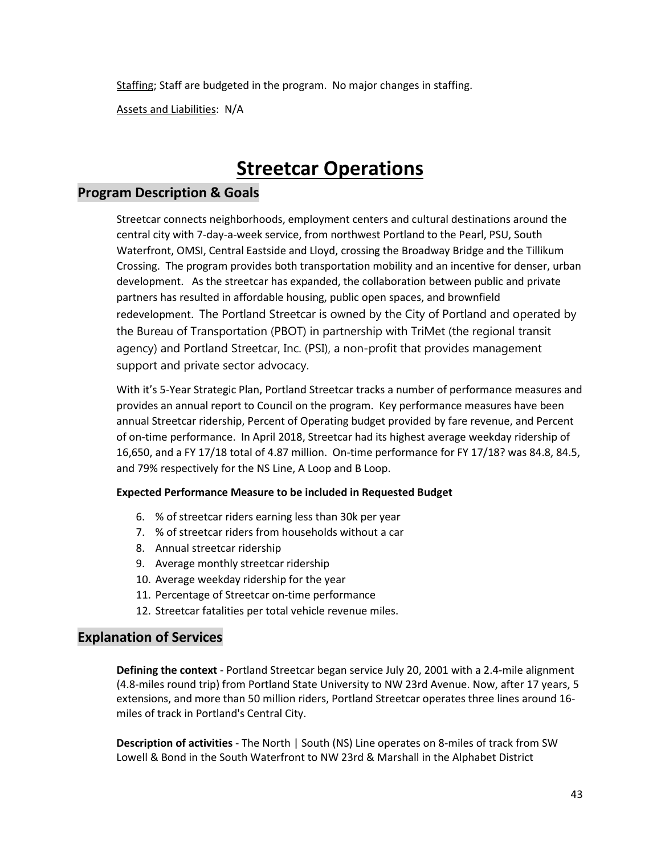Staffing; Staff are budgeted in the program. No major changes in staffing.

Assets and Liabilities: N/A

# **Streetcar Operations**

## **Program Description & Goals**

Streetcar connects neighborhoods, employment centers and cultural destinations around the central city with 7-day-a-week service, from northwest Portland to the Pearl, PSU, South Waterfront, OMSI, Central Eastside and Lloyd, crossing the Broadway Bridge and the Tillikum Crossing. The program provides both transportation mobility and an incentive for denser, urban development. As the streetcar has expanded, the collaboration between public and private partners has resulted in affordable housing, public open spaces, and brownfield redevelopment. The Portland Streetcar is owned by the City of Portland and operated by the Bureau of Transportation (PBOT) in partnership with TriMet (the regional transit agency) and Portland Streetcar, Inc. (PSI), a non-profit that provides management support and private sector advocacy.

With it's 5-Year Strategic Plan, Portland Streetcar tracks a number of performance measures and provides an annual report to Council on the program. Key performance measures have been annual Streetcar ridership, Percent of Operating budget provided by fare revenue, and Percent of on-time performance. In April 2018, Streetcar had its highest average weekday ridership of 16,650, and a FY 17/18 total of 4.87 million. On-time performance for FY 17/18? was 84.8, 84.5, and 79% respectively for the NS Line, A Loop and B Loop.

### **Expected Performance Measure to be included in Requested Budget**

- 6. % of streetcar riders earning less than 30k per year
- 7. % of streetcar riders from households without a car
- 8. Annual streetcar ridership
- 9. Average monthly streetcar ridership
- 10. Average weekday ridership for the year
- 11. Percentage of Streetcar on-time performance
- 12. Streetcar fatalities per total vehicle revenue miles.

## **Explanation of Services**

**Defining the context** - Portland Streetcar began service July 20, 2001 with a 2.4-mile alignment (4.8-miles round trip) from Portland State University to NW 23rd Avenue. Now, after 17 years, 5 extensions, and more than 50 million riders, Portland Streetcar operates three lines around 16 miles of track in Portland's Central City.

**Description of activities** - The North | South (NS) Line operates on 8-miles of track from SW Lowell & Bond in the South Waterfront to NW 23rd & Marshall in the Alphabet District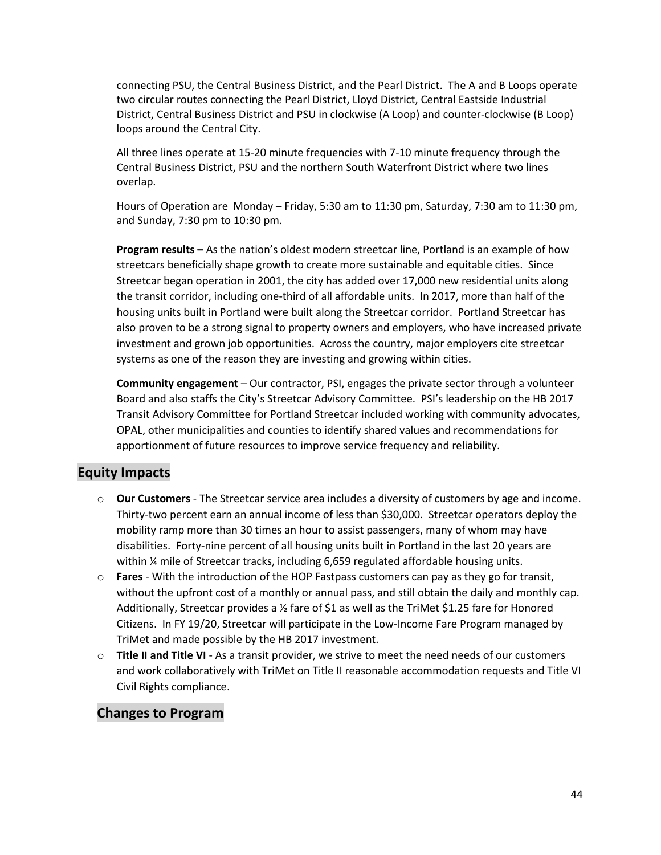connecting PSU, the Central Business District, and the Pearl District. The A and B Loops operate two circular routes connecting the Pearl District, Lloyd District, Central Eastside Industrial District, Central Business District and PSU in clockwise (A Loop) and counter-clockwise (B Loop) loops around the Central City.

All three lines operate at 15-20 minute frequencies with 7-10 minute frequency through the Central Business District, PSU and the northern South Waterfront District where two lines overlap.

Hours of Operation are Monday – Friday, 5:30 am to 11:30 pm, Saturday, 7:30 am to 11:30 pm, and Sunday, 7:30 pm to 10:30 pm.

**Program results –** As the nation's oldest modern streetcar line, Portland is an example of how streetcars beneficially shape growth to create more sustainable and equitable cities. Since Streetcar began operation in 2001, the city has added over 17,000 new residential units along the transit corridor, including one-third of all affordable units. In 2017, more than half of the housing units built in Portland were built along the Streetcar corridor. Portland Streetcar has also proven to be a strong signal to property owners and employers, who have increased private investment and grown job opportunities. Across the country, major employers cite streetcar systems as one of the reason they are investing and growing within cities.

**Community engagement** – Our contractor, PSI, engages the private sector through a volunteer Board and also staffs the City's Streetcar Advisory Committee. PSI's leadership on the HB 2017 Transit Advisory Committee for Portland Streetcar included working with community advocates, OPAL, other municipalities and counties to identify shared values and recommendations for apportionment of future resources to improve service frequency and reliability.

## **Equity Impacts**

- o **Our Customers** The Streetcar service area includes a diversity of customers by age and income. Thirty-two percent earn an annual income of less than \$30,000. Streetcar operators deploy the mobility ramp more than 30 times an hour to assist passengers, many of whom may have disabilities. Forty-nine percent of all housing units built in Portland in the last 20 years are within ¼ mile of Streetcar tracks, including 6,659 regulated affordable housing units.
- o **Fares**  With the introduction of the HOP Fastpass customers can pay as they go for transit, without the upfront cost of a monthly or annual pass, and still obtain the daily and monthly cap. Additionally, Streetcar provides a  $\frac{1}{2}$  fare of \$1 as well as the TriMet \$1.25 fare for Honored Citizens. In FY 19/20, Streetcar will participate in the Low-Income Fare Program managed by TriMet and made possible by the HB 2017 investment.
- o **Title II and Title VI** As a transit provider, we strive to meet the need needs of our customers and work collaboratively with TriMet on Title II reasonable accommodation requests and Title VI Civil Rights compliance.

## **Changes to Program**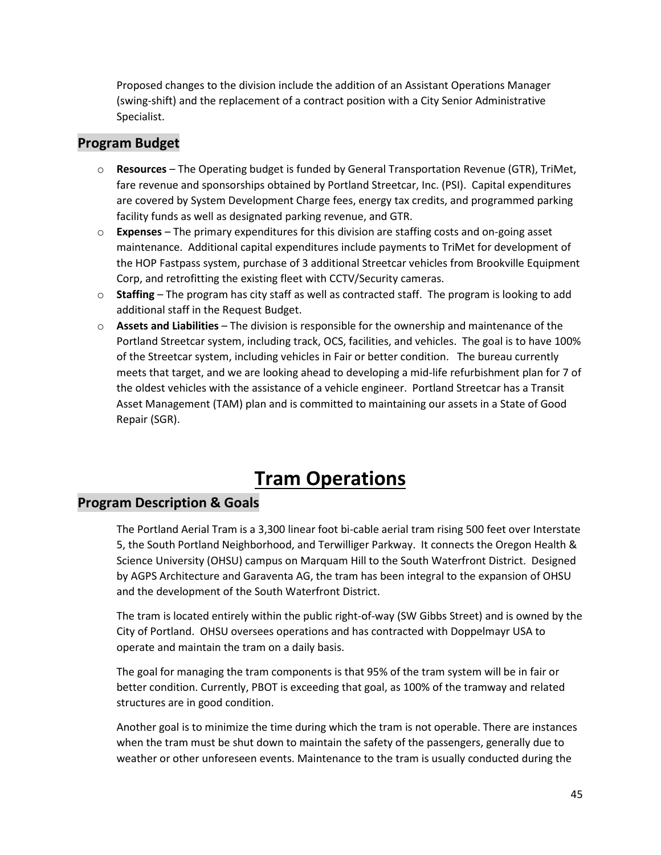Proposed changes to the division include the addition of an Assistant Operations Manager (swing-shift) and the replacement of a contract position with a City Senior Administrative Specialist.

# **Program Budget**

- o **Resources** The Operating budget is funded by General Transportation Revenue (GTR), TriMet, fare revenue and sponsorships obtained by Portland Streetcar, Inc. (PSI). Capital expenditures are covered by System Development Charge fees, energy tax credits, and programmed parking facility funds as well as designated parking revenue, and GTR.
- o **Expenses** The primary expenditures for this division are staffing costs and on-going asset maintenance. Additional capital expenditures include payments to TriMet for development of the HOP Fastpass system, purchase of 3 additional Streetcar vehicles from Brookville Equipment Corp, and retrofitting the existing fleet with CCTV/Security cameras.
- o **Staffing**  The program has city staff as well as contracted staff. The program is looking to add additional staff in the Request Budget.
- o **Assets and Liabilities** The division is responsible for the ownership and maintenance of the Portland Streetcar system, including track, OCS, facilities, and vehicles. The goal is to have 100% of the Streetcar system, including vehicles in Fair or better condition. The bureau currently meets that target, and we are looking ahead to developing a mid-life refurbishment plan for 7 of the oldest vehicles with the assistance of a vehicle engineer. Portland Streetcar has a Transit Asset Management (TAM) plan and is committed to maintaining our assets in a State of Good Repair (SGR).

# **Tram Operations**

# **Program Description & Goals**

The Portland Aerial Tram is a 3,300 linear foot bi-cable aerial tram rising 500 feet over Interstate 5, the South Portland Neighborhood, and Terwilliger Parkway. It connects the Oregon Health & Science University (OHSU) campus on Marquam Hill to the South Waterfront District. Designed by AGPS Architecture and Garaventa AG, the tram has been integral to the expansion of OHSU and the development of the South Waterfront District.

The tram is located entirely within the public right-of-way (SW Gibbs Street) and is owned by the City of Portland. OHSU oversees operations and has contracted with Doppelmayr USA to operate and maintain the tram on a daily basis.

The goal for managing the tram components is that 95% of the tram system will be in fair or better condition. Currently, PBOT is exceeding that goal, as 100% of the tramway and related structures are in good condition.

Another goal is to minimize the time during which the tram is not operable. There are instances when the tram must be shut down to maintain the safety of the passengers, generally due to weather or other unforeseen events. Maintenance to the tram is usually conducted during the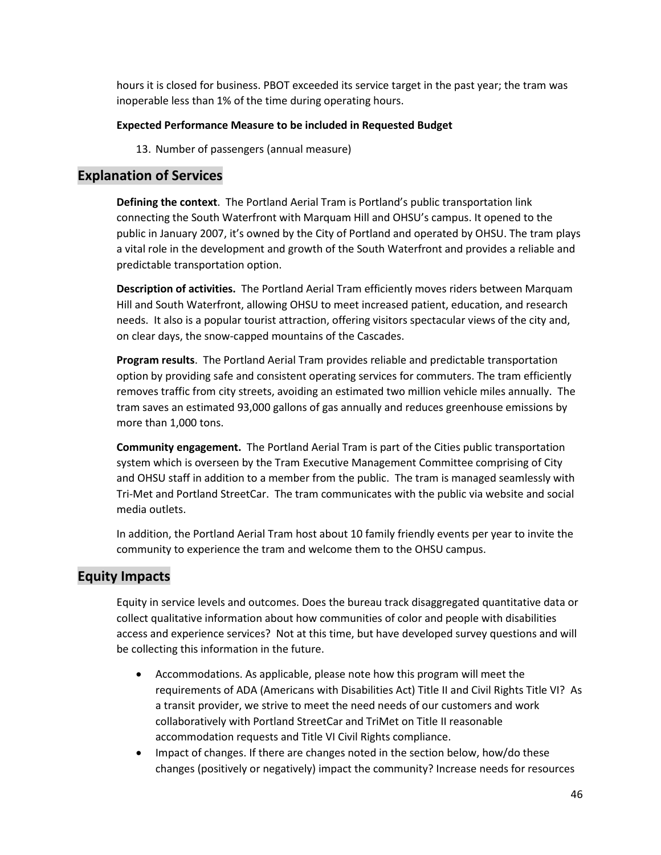hours it is closed for business. PBOT exceeded its service target in the past year; the tram was inoperable less than 1% of the time during operating hours.

#### **Expected Performance Measure to be included in Requested Budget**

13. Number of passengers (annual measure)

### **Explanation of Services**

**Defining the context**. The Portland Aerial Tram is Portland's public transportation link connecting the South Waterfront with Marquam Hill and OHSU's campus. It opened to the public in January 2007, it's owned by the City of Portland and operated by OHSU. The tram plays a vital role in the development and growth of the South Waterfront and provides a reliable and predictable transportation option.

**Description of activities.** The Portland Aerial Tram efficiently moves riders between Marquam Hill and South Waterfront, allowing OHSU to meet increased patient, education, and research needs. It also is a popular tourist attraction, offering visitors spectacular views of the city and, on clear days, the snow-capped mountains of the Cascades.

**Program results**. The Portland Aerial Tram provides reliable and predictable transportation option by providing safe and consistent operating services for commuters. The tram efficiently removes traffic from city streets, avoiding an estimated two million vehicle miles annually. The tram saves an estimated 93,000 gallons of gas annually and reduces greenhouse emissions by more than 1,000 tons.

**Community engagement.** The Portland Aerial Tram is part of the Cities public transportation system which is overseen by the Tram Executive Management Committee comprising of City and OHSU staff in addition to a member from the public. The tram is managed seamlessly with Tri-Met and Portland StreetCar. The tram communicates with the public via website and social media outlets.

In addition, the Portland Aerial Tram host about 10 family friendly events per year to invite the community to experience the tram and welcome them to the OHSU campus.

## **Equity Impacts**

Equity in service levels and outcomes. Does the bureau track disaggregated quantitative data or collect qualitative information about how communities of color and people with disabilities access and experience services? Not at this time, but have developed survey questions and will be collecting this information in the future.

- Accommodations. As applicable, please note how this program will meet the requirements of ADA (Americans with Disabilities Act) Title II and Civil Rights Title VI? As a transit provider, we strive to meet the need needs of our customers and work collaboratively with Portland StreetCar and TriMet on Title II reasonable accommodation requests and Title VI Civil Rights compliance.
- Impact of changes. If there are changes noted in the section below, how/do these changes (positively or negatively) impact the community? Increase needs for resources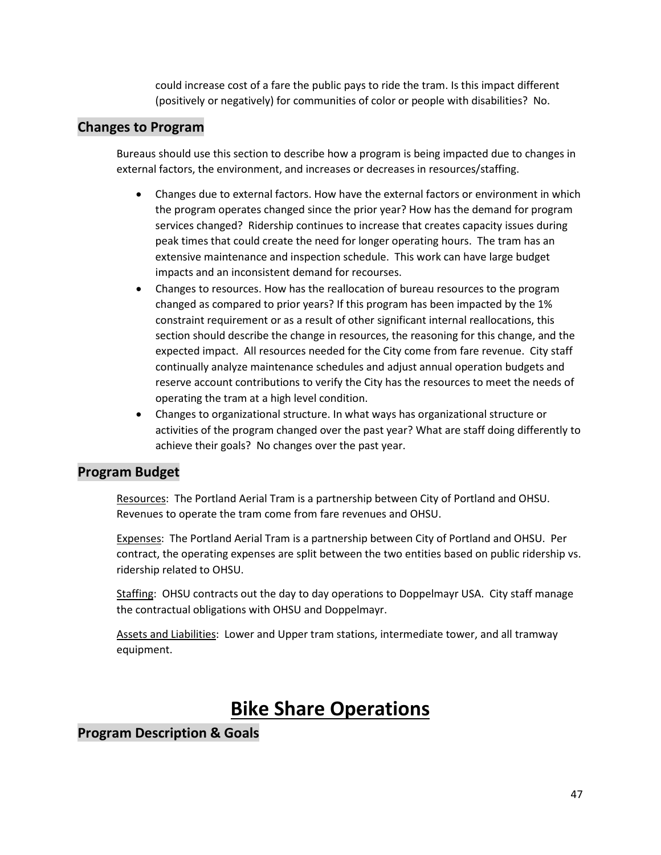could increase cost of a fare the public pays to ride the tram. Is this impact different (positively or negatively) for communities of color or people with disabilities? No.

## **Changes to Program**

Bureaus should use this section to describe how a program is being impacted due to changes in external factors, the environment, and increases or decreases in resources/staffing.

- Changes due to external factors. How have the external factors or environment in which the program operates changed since the prior year? How has the demand for program services changed? Ridership continues to increase that creates capacity issues during peak times that could create the need for longer operating hours. The tram has an extensive maintenance and inspection schedule. This work can have large budget impacts and an inconsistent demand for recourses.
- Changes to resources. How has the reallocation of bureau resources to the program changed as compared to prior years? If this program has been impacted by the 1% constraint requirement or as a result of other significant internal reallocations, this section should describe the change in resources, the reasoning for this change, and the expected impact. All resources needed for the City come from fare revenue. City staff continually analyze maintenance schedules and adjust annual operation budgets and reserve account contributions to verify the City has the resources to meet the needs of operating the tram at a high level condition.
- Changes to organizational structure. In what ways has organizational structure or activities of the program changed over the past year? What are staff doing differently to achieve their goals? No changes over the past year.

# **Program Budget**

Resources: The Portland Aerial Tram is a partnership between City of Portland and OHSU. Revenues to operate the tram come from fare revenues and OHSU.

Expenses: The Portland Aerial Tram is a partnership between City of Portland and OHSU. Per contract, the operating expenses are split between the two entities based on public ridership vs. ridership related to OHSU.

Staffing: OHSU contracts out the day to day operations to Doppelmayr USA. City staff manage the contractual obligations with OHSU and Doppelmayr.

Assets and Liabilities: Lower and Upper tram stations, intermediate tower, and all tramway equipment.

# **Bike Share Operations**

# **Program Description & Goals**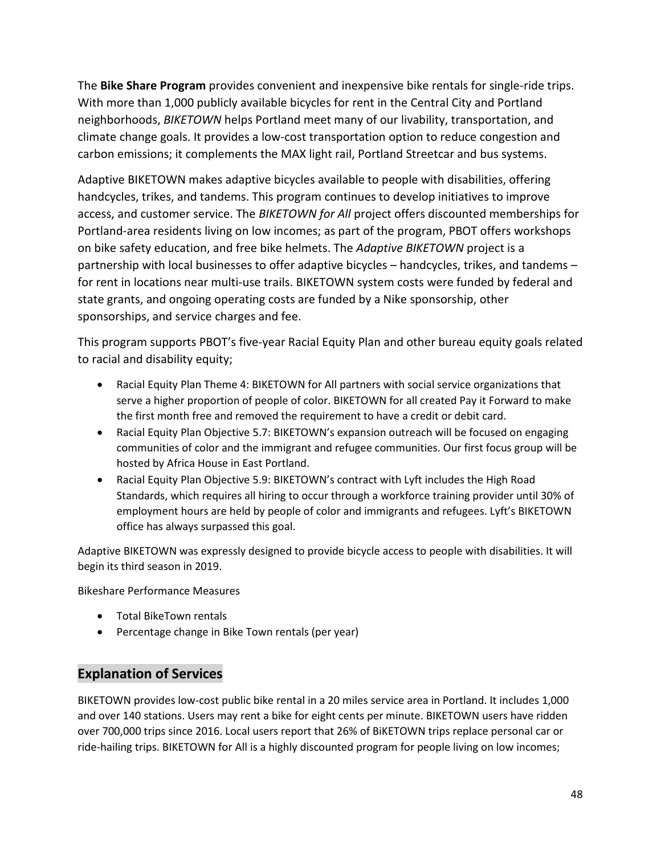The **Bike Share Program** provides convenient and inexpensive bike rentals for single-ride trips. With more than 1,000 publicly available bicycles for rent in the Central City and Portland neighborhoods, *BIKETOWN* helps Portland meet many of our livability, transportation, and climate change goals. It provides a low-cost transportation option to reduce congestion and carbon emissions; it complements the MAX light rail, Portland Streetcar and bus systems.

Adaptive BIKETOWN makes adaptive bicycles available to people with disabilities, offering handcycles, trikes, and tandems. This program continues to develop initiatives to improve access, and customer service. The *BIKETOWN for All* project offers discounted memberships for Portland-area residents living on low incomes; as part of the program, PBOT offers workshops on bike safety education, and free bike helmets. The *Adaptive BIKETOWN* project is a partnership with local businesses to offer adaptive bicycles – handcycles, trikes, and tandems – for rent in locations near multi-use trails. BIKETOWN system costs were funded by federal and state grants, and ongoing operating costs are funded by a Nike sponsorship, other sponsorships, and service charges and fee.

This program supports PBOT's five-year Racial Equity Plan and other bureau equity goals related to racial and disability equity;

- Racial Equity Plan Theme 4: BIKETOWN for All partners with social service organizations that serve a higher proportion of people of color. BIKETOWN for all created Pay it Forward to make the first month free and removed the requirement to have a credit or debit card.
- Racial Equity Plan Objective 5.7: BIKETOWN's expansion outreach will be focused on engaging communities of color and the immigrant and refugee communities. Our first focus group will be hosted by Africa House in East Portland.
- Racial Equity Plan Objective 5.9: BIKETOWN's contract with Lyft includes the High Road Standards, which requires all hiring to occur through a workforce training provider until 30% of employment hours are held by people of color and immigrants and refugees. Lyft's BIKETOWN office has always surpassed this goal.

Adaptive BIKETOWN was expressly designed to provide bicycle access to people with disabilities. It will begin its third season in 2019.

Bikeshare Performance Measures

- Total BikeTown rentals
- Percentage change in Bike Town rentals (per year)

# **Explanation of Services**

BIKETOWN provides low-cost public bike rental in a 20 miles service area in Portland. It includes 1,000 and over 140 stations. Users may rent a bike for eight cents per minute. BIKETOWN users have ridden over 700,000 trips since 2016. Local users report that 26% of BiKETOWN trips replace personal car or ride-hailing trips. BIKETOWN for All is a highly discounted program for people living on low incomes;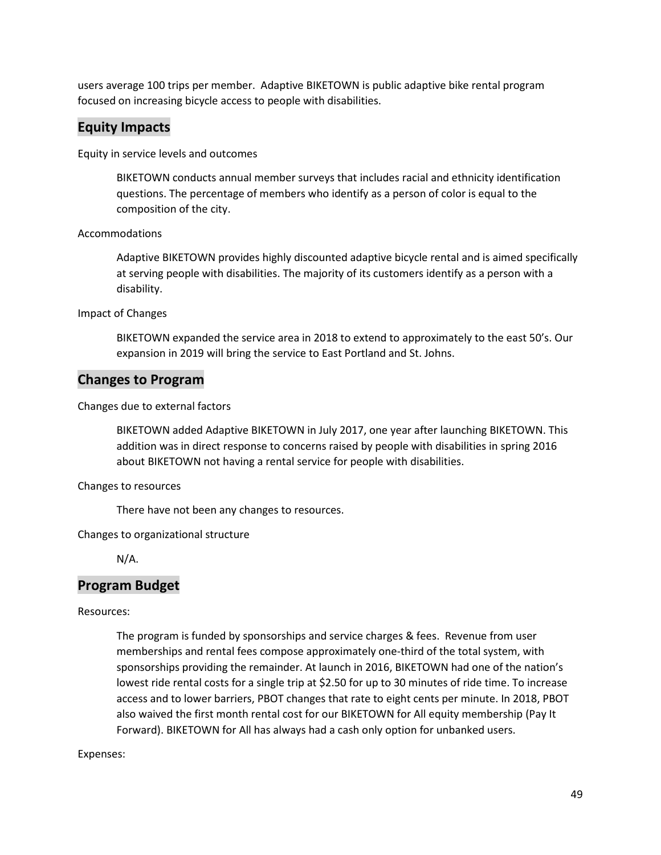users average 100 trips per member. Adaptive BIKETOWN is public adaptive bike rental program focused on increasing bicycle access to people with disabilities.

## **Equity Impacts**

Equity in service levels and outcomes

BIKETOWN conducts annual member surveys that includes racial and ethnicity identification questions. The percentage of members who identify as a person of color is equal to the composition of the city.

#### Accommodations

Adaptive BIKETOWN provides highly discounted adaptive bicycle rental and is aimed specifically at serving people with disabilities. The majority of its customers identify as a person with a disability.

Impact of Changes

BIKETOWN expanded the service area in 2018 to extend to approximately to the east 50's. Our expansion in 2019 will bring the service to East Portland and St. Johns.

### **Changes to Program**

Changes due to external factors

BIKETOWN added Adaptive BIKETOWN in July 2017, one year after launching BIKETOWN. This addition was in direct response to concerns raised by people with disabilities in spring 2016 about BIKETOWN not having a rental service for people with disabilities.

Changes to resources

There have not been any changes to resources.

Changes to organizational structure

N/A.

### **Program Budget**

#### Resources:

The program is funded by sponsorships and service charges & fees. Revenue from user memberships and rental fees compose approximately one-third of the total system, with sponsorships providing the remainder. At launch in 2016, BIKETOWN had one of the nation's lowest ride rental costs for a single trip at \$2.50 for up to 30 minutes of ride time. To increase access and to lower barriers, PBOT changes that rate to eight cents per minute. In 2018, PBOT also waived the first month rental cost for our BIKETOWN for All equity membership (Pay It Forward). BIKETOWN for All has always had a cash only option for unbanked users.

#### Expenses: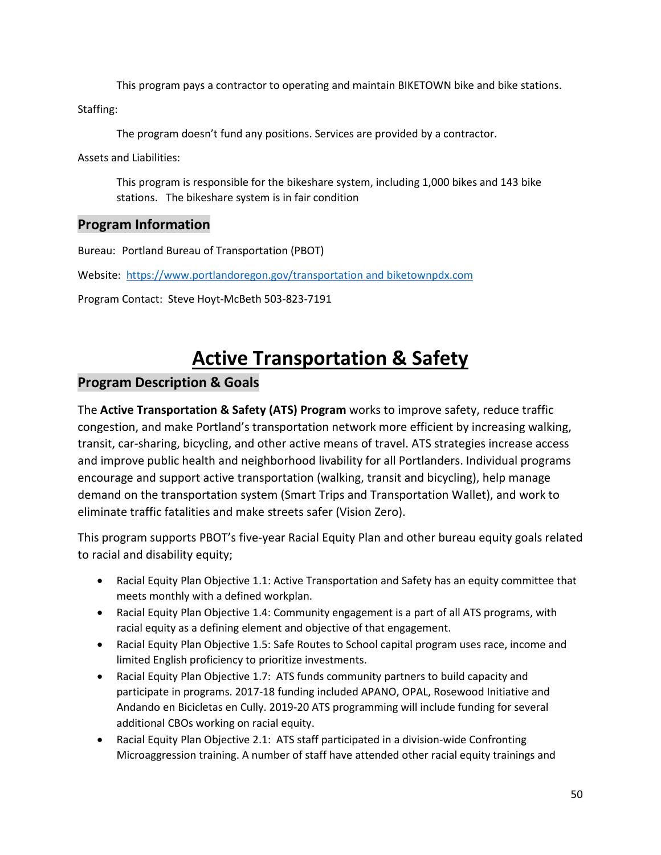This program pays a contractor to operating and maintain BIKETOWN bike and bike stations.

Staffing:

The program doesn't fund any positions. Services are provided by a contractor.

Assets and Liabilities:

This program is responsible for the bikeshare system, including 1,000 bikes and 143 bike stations. The bikeshare system is in fair condition

## **Program Information**

Bureau: Portland Bureau of Transportation (PBOT)

Website: <https://www.portlandoregon.gov/transportation> and biketownpdx.com

Program Contact: Steve Hoyt-McBeth 503-823-7191

# **Active Transportation & Safety**

# **Program Description & Goals**

The **Active Transportation & Safety (ATS) Program** works to improve safety, reduce traffic congestion, and make Portland's transportation network more efficient by increasing walking, transit, car-sharing, bicycling, and other active means of travel. ATS strategies increase access and improve public health and neighborhood livability for all Portlanders. Individual programs encourage and support active transportation (walking, transit and bicycling), help manage demand on the transportation system (Smart Trips and Transportation Wallet), and work to eliminate traffic fatalities and make streets safer (Vision Zero).

This program supports PBOT's five-year Racial Equity Plan and other bureau equity goals related to racial and disability equity;

- Racial Equity Plan Objective 1.1: Active Transportation and Safety has an equity committee that meets monthly with a defined workplan.
- Racial Equity Plan Objective 1.4: Community engagement is a part of all ATS programs, with racial equity as a defining element and objective of that engagement.
- Racial Equity Plan Objective 1.5: Safe Routes to School capital program uses race, income and limited English proficiency to prioritize investments.
- Racial Equity Plan Objective 1.7: ATS funds community partners to build capacity and participate in programs. 2017-18 funding included APANO, OPAL, Rosewood Initiative and Andando en Bicicletas en Cully. 2019-20 ATS programming will include funding for several additional CBOs working on racial equity.
- Racial Equity Plan Objective 2.1: ATS staff participated in a division-wide Confronting Microaggression training. A number of staff have attended other racial equity trainings and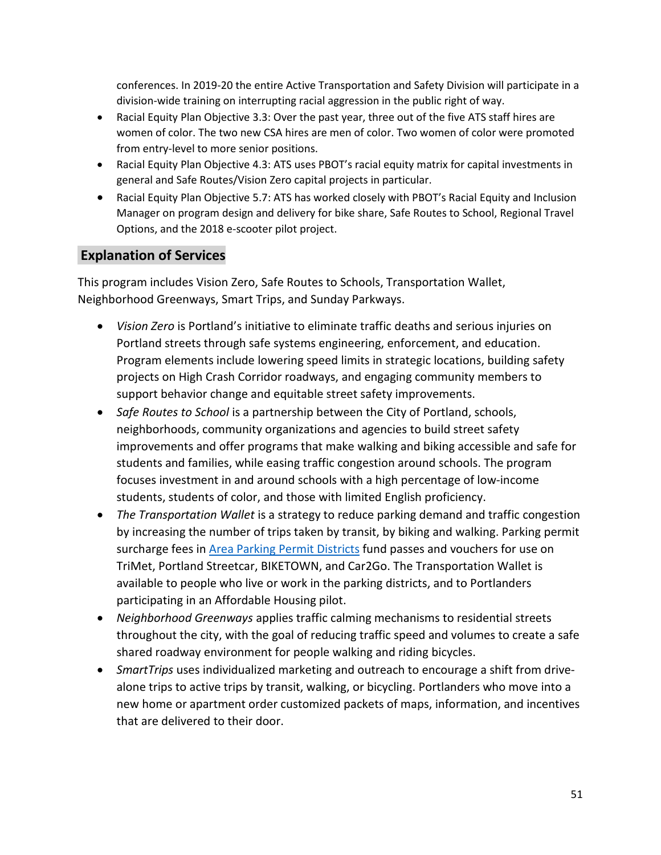conferences. In 2019-20 the entire Active Transportation and Safety Division will participate in a division-wide training on interrupting racial aggression in the public right of way.

- Racial Equity Plan Objective 3.3: Over the past year, three out of the five ATS staff hires are women of color. The two new CSA hires are men of color. Two women of color were promoted from entry-level to more senior positions.
- Racial Equity Plan Objective 4.3: ATS uses PBOT's racial equity matrix for capital investments in general and Safe Routes/Vision Zero capital projects in particular.
- Racial Equity Plan Objective 5.7: ATS has worked closely with PBOT's Racial Equity and Inclusion Manager on program design and delivery for bike share, Safe Routes to School, Regional Travel Options, and the 2018 e-scooter pilot project.

# **Explanation of Services**

This program includes Vision Zero, Safe Routes to Schools, Transportation Wallet, Neighborhood Greenways, Smart Trips, and Sunday Parkways.

- *Vision Zero* is Portland's initiative to eliminate traffic deaths and serious injuries on Portland streets through safe systems engineering, enforcement, and education. Program elements include lowering speed limits in strategic locations, building safety projects on High Crash Corridor roadways, and engaging community members to support behavior change and equitable street safety improvements.
- *Safe Routes to School* is a partnership between the City of Portland, schools, neighborhoods, community organizations and agencies to build street safety improvements and offer programs that make walking and biking accessible and safe for students and families, while easing traffic congestion around schools. The program focuses investment in and around schools with a high percentage of low-income students, students of color, and those with limited English proficiency.
- *The Transportation Wallet* is a strategy to reduce parking demand and traffic congestion by increasing the number of trips taken by transit, by biking and walking. Parking permit surcharge fees in [Area Parking Permit Districts](https://www.portlandoregon.gov/transportation/article/83231) fund passes and vouchers for use on TriMet, Portland Streetcar, BIKETOWN, and Car2Go. The Transportation Wallet is available to people who live or work in the parking districts, and to Portlanders participating in an Affordable Housing pilot.
- *Neighborhood Greenways* applies traffic calming mechanisms to residential streets throughout the city, with the goal of reducing traffic speed and volumes to create a safe shared roadway environment for people walking and riding bicycles.
- *SmartTrips* uses individualized marketing and outreach to encourage a shift from drivealone trips to active trips by transit, walking, or bicycling. Portlanders who move into a new home or apartment order customized packets of maps, information, and incentives that are delivered to their door.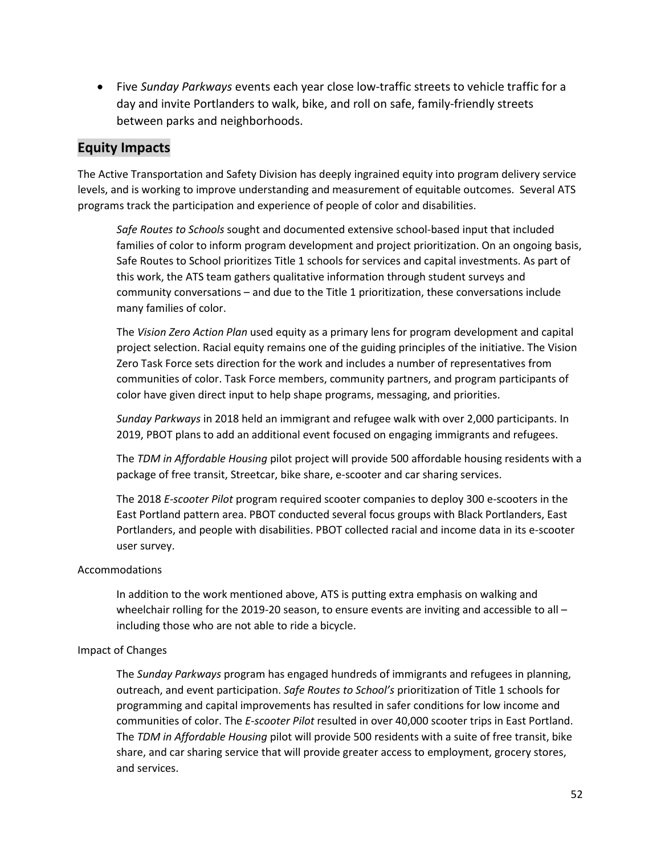• Five *Sunday Parkways* events each year close low-traffic streets to vehicle traffic for a day and invite Portlanders to walk, bike, and roll on safe, family-friendly streets between parks and neighborhoods.

## **Equity Impacts**

The Active Transportation and Safety Division has deeply ingrained equity into program delivery service levels, and is working to improve understanding and measurement of equitable outcomes. Several ATS programs track the participation and experience of people of color and disabilities.

*Safe Routes to Schools* sought and documented extensive school-based input that included families of color to inform program development and project prioritization. On an ongoing basis, Safe Routes to School prioritizes Title 1 schools for services and capital investments. As part of this work, the ATS team gathers qualitative information through student surveys and community conversations – and due to the Title 1 prioritization, these conversations include many families of color.

The *Vision Zero Action Plan* used equity as a primary lens for program development and capital project selection. Racial equity remains one of the guiding principles of the initiative. The Vision Zero Task Force sets direction for the work and includes a number of representatives from communities of color. Task Force members, community partners, and program participants of color have given direct input to help shape programs, messaging, and priorities.

*Sunday Parkways* in 2018 held an immigrant and refugee walk with over 2,000 participants. In 2019, PBOT plans to add an additional event focused on engaging immigrants and refugees.

The *TDM in Affordable Housing* pilot project will provide 500 affordable housing residents with a package of free transit, Streetcar, bike share, e-scooter and car sharing services.

The 2018 *E-scooter Pilot* program required scooter companies to deploy 300 e-scooters in the East Portland pattern area. PBOT conducted several focus groups with Black Portlanders, East Portlanders, and people with disabilities. PBOT collected racial and income data in its e-scooter user survey.

#### Accommodations

In addition to the work mentioned above, ATS is putting extra emphasis on walking and wheelchair rolling for the 2019-20 season, to ensure events are inviting and accessible to all – including those who are not able to ride a bicycle.

#### Impact of Changes

The *Sunday Parkways* program has engaged hundreds of immigrants and refugees in planning, outreach, and event participation. *Safe Routes to School's* prioritization of Title 1 schools for programming and capital improvements has resulted in safer conditions for low income and communities of color. The *E-scooter Pilot* resulted in over 40,000 scooter trips in East Portland. The *TDM in Affordable Housing* pilot will provide 500 residents with a suite of free transit, bike share, and car sharing service that will provide greater access to employment, grocery stores, and services.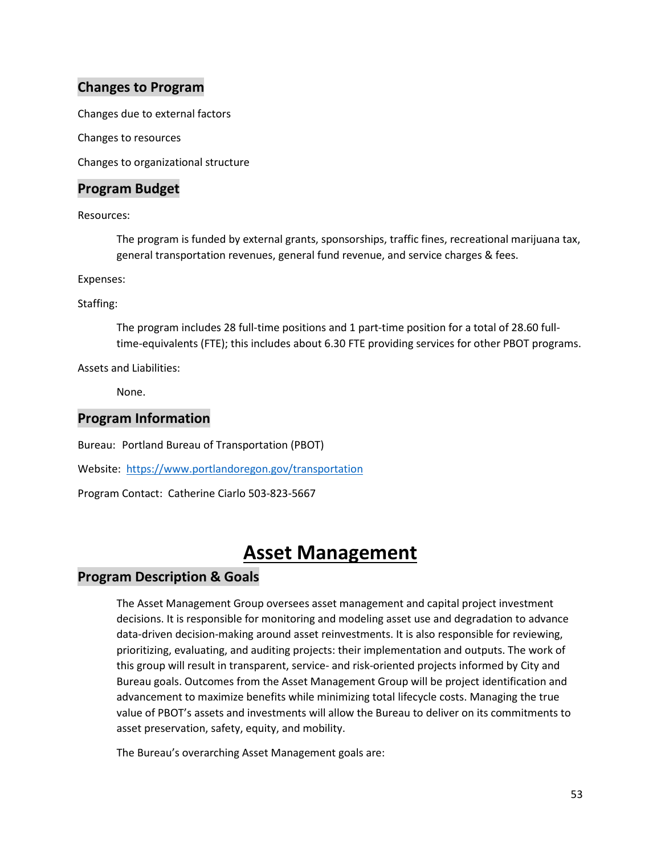## **Changes to Program**

Changes due to external factors

Changes to resources

Changes to organizational structure

### **Program Budget**

Resources:

The program is funded by external grants, sponsorships, traffic fines, recreational marijuana tax, general transportation revenues, general fund revenue, and service charges & fees.

Expenses:

Staffing:

The program includes 28 full-time positions and 1 part-time position for a total of 28.60 fulltime-equivalents (FTE); this includes about 6.30 FTE providing services for other PBOT programs.

Assets and Liabilities:

None.

# **Program Information**

Bureau: Portland Bureau of Transportation (PBOT)

Website: <https://www.portlandoregon.gov/transportation>

Program Contact: Catherine Ciarlo 503-823-5667

# **Asset Management**

## **Program Description & Goals**

The Asset Management Group oversees asset management and capital project investment decisions. It is responsible for monitoring and modeling asset use and degradation to advance data-driven decision-making around asset reinvestments. It is also responsible for reviewing, prioritizing, evaluating, and auditing projects: their implementation and outputs. The work of this group will result in transparent, service- and risk-oriented projects informed by City and Bureau goals. Outcomes from the Asset Management Group will be project identification and advancement to maximize benefits while minimizing total lifecycle costs. Managing the true value of PBOT's assets and investments will allow the Bureau to deliver on its commitments to asset preservation, safety, equity, and mobility.

The Bureau's overarching Asset Management goals are: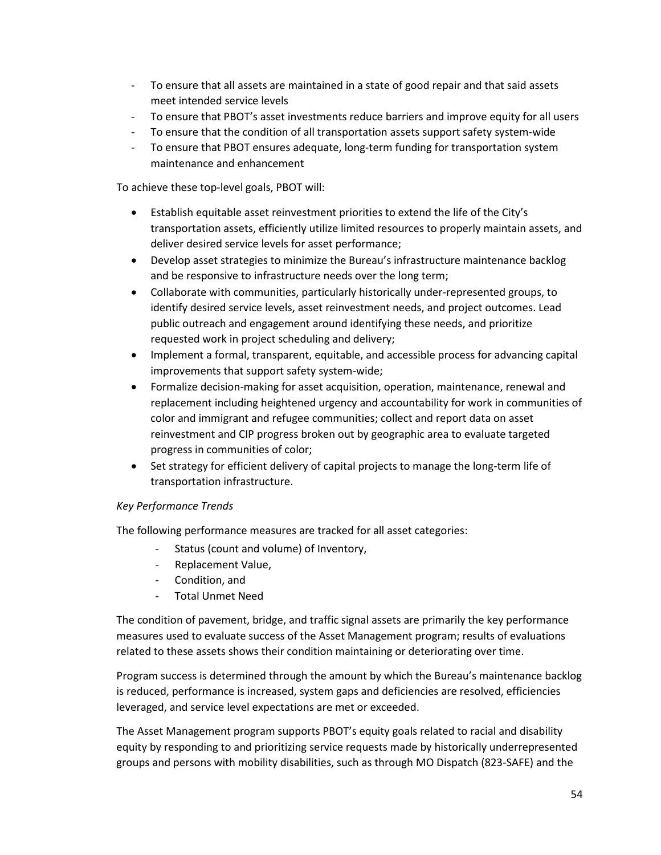- To ensure that all assets are maintained in a state of good repair and that said assets meet intended service levels
- To ensure that PBOT's asset investments reduce barriers and improve equity for all users
- To ensure that the condition of all transportation assets support safety system-wide
- To ensure that PBOT ensures adequate, long-term funding for transportation system maintenance and enhancement

To achieve these top-level goals, PBOT will:

- Establish equitable asset reinvestment priorities to extend the life of the City's transportation assets, efficiently utilize limited resources to properly maintain assets, and deliver desired service levels for asset performance;
- Develop asset strategies to minimize the Bureau's infrastructure maintenance backlog and be responsive to infrastructure needs over the long term;
- Collaborate with communities, particularly historically under-represented groups, to identify desired service levels, asset reinvestment needs, and project outcomes. Lead public outreach and engagement around identifying these needs, and prioritize requested work in project scheduling and delivery;
- Implement a formal, transparent, equitable, and accessible process for advancing capital improvements that support safety system-wide;
- Formalize decision-making for asset acquisition, operation, maintenance, renewal and replacement including heightened urgency and accountability for work in communities of color and immigrant and refugee communities; collect and report data on asset reinvestment and CIP progress broken out by geographic area to evaluate targeted progress in communities of color;
- Set strategy for efficient delivery of capital projects to manage the long-term life of transportation infrastructure.

#### *Key Performance Trends*

The following performance measures are tracked for all asset categories:

- Status (count and volume) of Inventory,
- Replacement Value,
- Condition, and
- Total Unmet Need

The condition of pavement, bridge, and traffic signal assets are primarily the key performance measures used to evaluate success of the Asset Management program; results of evaluations related to these assets shows their condition maintaining or deteriorating over time.

Program success is determined through the amount by which the Bureau's maintenance backlog is reduced, performance is increased, system gaps and deficiencies are resolved, efficiencies leveraged, and service level expectations are met or exceeded.

The Asset Management program supports PBOT's equity goals related to racial and disability equity by responding to and prioritizing service requests made by historically underrepresented groups and persons with mobility disabilities, such as through MO Dispatch (823-SAFE) and the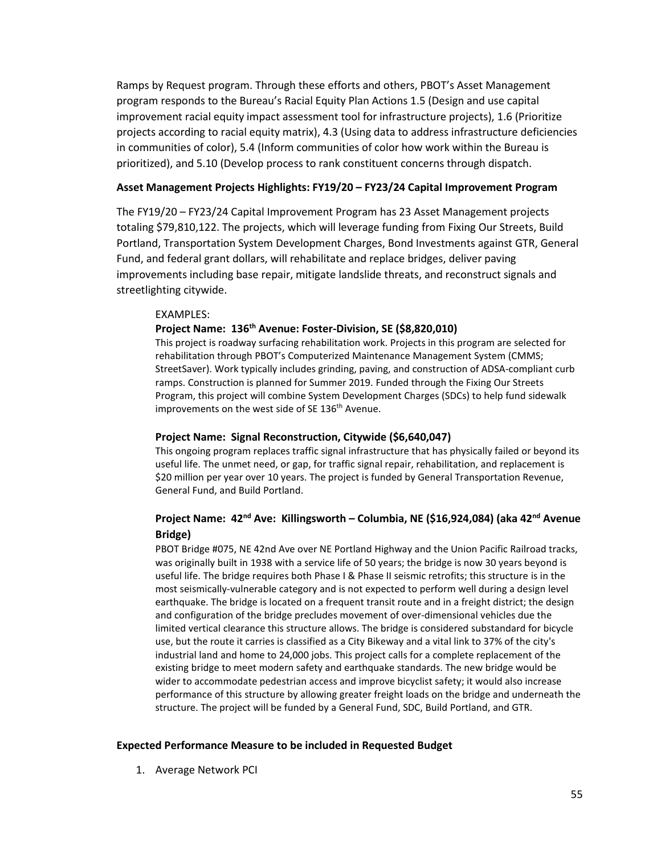Ramps by Request program. Through these efforts and others, PBOT's Asset Management program responds to the Bureau's Racial Equity Plan Actions 1.5 (Design and use capital improvement racial equity impact assessment tool for infrastructure projects), 1.6 (Prioritize projects according to racial equity matrix), 4.3 (Using data to address infrastructure deficiencies in communities of color), 5.4 (Inform communities of color how work within the Bureau is prioritized), and 5.10 (Develop process to rank constituent concerns through dispatch.

#### **Asset Management Projects Highlights: FY19/20 – FY23/24 Capital Improvement Program**

The FY19/20 – FY23/24 Capital Improvement Program has 23 Asset Management projects totaling \$79,810,122. The projects, which will leverage funding from Fixing Our Streets, Build Portland, Transportation System Development Charges, Bond Investments against GTR, General Fund, and federal grant dollars, will rehabilitate and replace bridges, deliver paving improvements including base repair, mitigate landslide threats, and reconstruct signals and streetlighting citywide.

#### EXAMPLES:

#### **Project Name: 136th Avenue: Foster-Division, SE (\$8,820,010)**

This project is roadway surfacing rehabilitation work. Projects in this program are selected for rehabilitation through PBOT's Computerized Maintenance Management System (CMMS; StreetSaver). Work typically includes grinding, paving, and construction of ADSA-compliant curb ramps. Construction is planned for Summer 2019. Funded through the Fixing Our Streets Program, this project will combine System Development Charges (SDCs) to help fund sidewalk improvements on the west side of SE 136<sup>th</sup> Avenue.

#### **Project Name: Signal Reconstruction, Citywide (\$6,640,047)**

This ongoing program replaces traffic signal infrastructure that has physically failed or beyond its useful life. The unmet need, or gap, for traffic signal repair, rehabilitation, and replacement is \$20 million per year over 10 years. The project is funded by General Transportation Revenue, General Fund, and Build Portland.

### **Project Name: 42nd Ave: Killingsworth – Columbia, NE (\$16,924,084) (aka 42nd Avenue Bridge)**

PBOT Bridge #075, NE 42nd Ave over NE Portland Highway and the Union Pacific Railroad tracks, was originally built in 1938 with a service life of 50 years; the bridge is now 30 years beyond is useful life. The bridge requires both Phase I & Phase II seismic retrofits; this structure is in the most seismically-vulnerable category and is not expected to perform well during a design level earthquake. The bridge is located on a frequent transit route and in a freight district; the design and configuration of the bridge precludes movement of over-dimensional vehicles due the limited vertical clearance this structure allows. The bridge is considered substandard for bicycle use, but the route it carries is classified as a City Bikeway and a vital link to 37% of the city's industrial land and home to 24,000 jobs. This project calls for a complete replacement of the existing bridge to meet modern safety and earthquake standards. The new bridge would be wider to accommodate pedestrian access and improve bicyclist safety; it would also increase performance of this structure by allowing greater freight loads on the bridge and underneath the structure. The project will be funded by a General Fund, SDC, Build Portland, and GTR.

#### **Expected Performance Measure to be included in Requested Budget**

1. Average Network PCI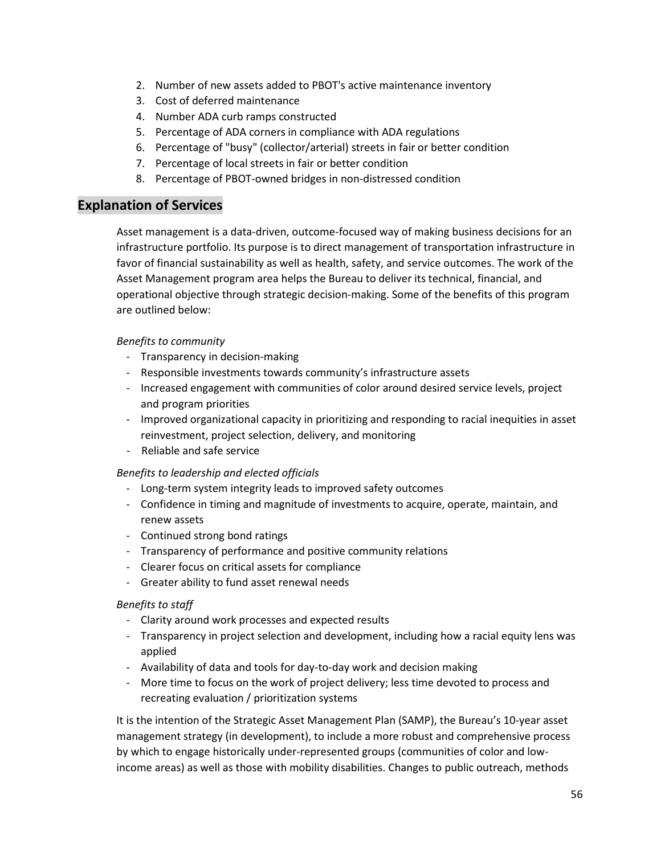- 2. Number of new assets added to PBOT's active maintenance inventory
- 3. Cost of deferred maintenance
- 4. Number ADA curb ramps constructed
- 5. Percentage of ADA corners in compliance with ADA regulations
- 6. Percentage of "busy" (collector/arterial) streets in fair or better condition
- 7. Percentage of local streets in fair or better condition
- 8. Percentage of PBOT-owned bridges in non-distressed condition

## **Explanation of Services**

Asset management is a data-driven, outcome-focused way of making business decisions for an infrastructure portfolio. Its purpose is to direct management of transportation infrastructure in favor of financial sustainability as well as health, safety, and service outcomes. The work of the Asset Management program area helps the Bureau to deliver its technical, financial, and operational objective through strategic decision-making. Some of the benefits of this program are outlined below:

#### *Benefits to community*

- Transparency in decision-making
- Responsible investments towards community's infrastructure assets
- Increased engagement with communities of color around desired service levels, project and program priorities
- Improved organizational capacity in prioritizing and responding to racial inequities in asset reinvestment, project selection, delivery, and monitoring
- Reliable and safe service

### *Benefits to leadership and elected officials*

- Long-term system integrity leads to improved safety outcomes
- Confidence in timing and magnitude of investments to acquire, operate, maintain, and renew assets
- Continued strong bond ratings
- Transparency of performance and positive community relations
- Clearer focus on critical assets for compliance
- Greater ability to fund asset renewal needs

### *Benefits to staff*

- Clarity around work processes and expected results
- Transparency in project selection and development, including how a racial equity lens was applied
- Availability of data and tools for day-to-day work and decision making
- More time to focus on the work of project delivery; less time devoted to process and recreating evaluation / prioritization systems

It is the intention of the Strategic Asset Management Plan (SAMP), the Bureau's 10-year asset management strategy (in development), to include a more robust and comprehensive process by which to engage historically under-represented groups (communities of color and lowincome areas) as well as those with mobility disabilities. Changes to public outreach, methods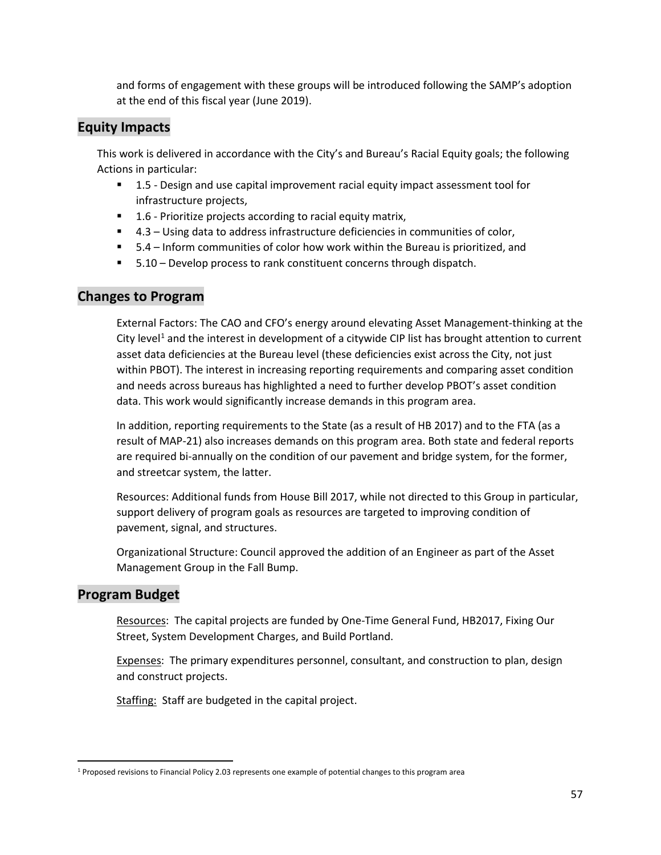and forms of engagement with these groups will be introduced following the SAMP's adoption at the end of this fiscal year (June 2019).

# **Equity Impacts**

This work is delivered in accordance with the City's and Bureau's Racial Equity goals; the following Actions in particular:

- 1.5 Design and use capital improvement racial equity impact assessment tool for infrastructure projects,
- 1.6 Prioritize projects according to racial equity matrix,
- 4.3 Using data to address infrastructure deficiencies in communities of color,
- 5.4 Inform communities of color how work within the Bureau is prioritized, and
- 5.10 Develop process to rank constituent concerns through dispatch.

## **Changes to Program**

External Factors: The CAO and CFO's energy around elevating Asset Management-thinking at the City level<sup>[1](#page-56-0)</sup> and the interest in development of a citywide CIP list has brought attention to current asset data deficiencies at the Bureau level (these deficiencies exist across the City, not just within PBOT). The interest in increasing reporting requirements and comparing asset condition and needs across bureaus has highlighted a need to further develop PBOT's asset condition data. This work would significantly increase demands in this program area.

In addition, reporting requirements to the State (as a result of HB 2017) and to the FTA (as a result of MAP-21) also increases demands on this program area. Both state and federal reports are required bi-annually on the condition of our pavement and bridge system, for the former, and streetcar system, the latter.

Resources: Additional funds from House Bill 2017, while not directed to this Group in particular, support delivery of program goals as resources are targeted to improving condition of pavement, signal, and structures.

Organizational Structure: Council approved the addition of an Engineer as part of the Asset Management Group in the Fall Bump.

# **Program Budget**

Resources: The capital projects are funded by One-Time General Fund, HB2017, Fixing Our Street, System Development Charges, and Build Portland.

Expenses: The primary expenditures personnel, consultant, and construction to plan, design and construct projects.

Staffing: Staff are budgeted in the capital project.

<span id="page-56-0"></span> <sup>1</sup> Proposed revisions to Financial Policy 2.03 represents one example of potential changes to this program area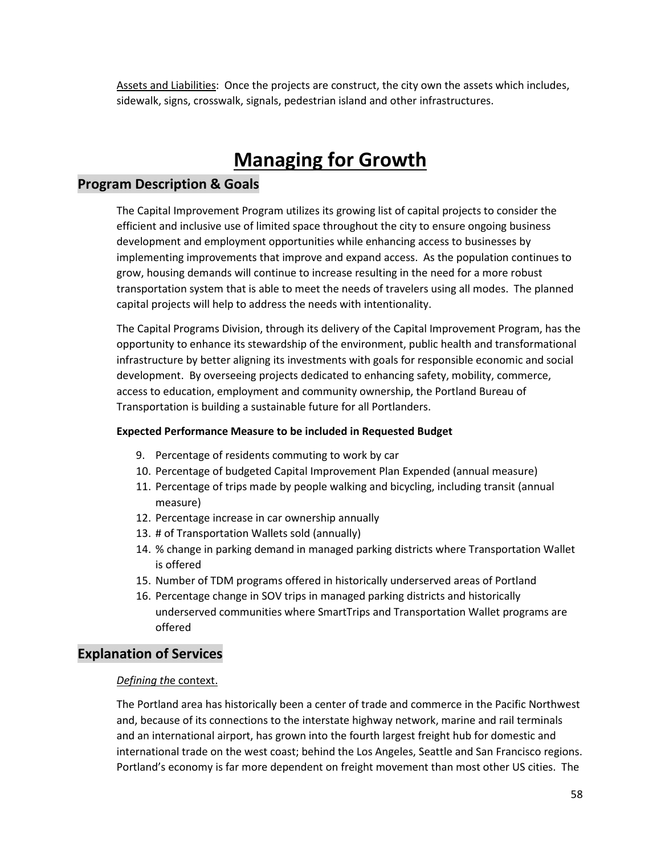Assets and Liabilities: Once the projects are construct, the city own the assets which includes, sidewalk, signs, crosswalk, signals, pedestrian island and other infrastructures.

# **Managing for Growth**

### **Program Description & Goals**

The Capital Improvement Program utilizes its growing list of capital projects to consider the efficient and inclusive use of limited space throughout the city to ensure ongoing business development and employment opportunities while enhancing access to businesses by implementing improvements that improve and expand access. As the population continues to grow, housing demands will continue to increase resulting in the need for a more robust transportation system that is able to meet the needs of travelers using all modes. The planned capital projects will help to address the needs with intentionality.

The Capital Programs Division, through its delivery of the Capital Improvement Program, has the opportunity to enhance its stewardship of the environment, public health and transformational infrastructure by better aligning its investments with goals for responsible economic and social development. By overseeing projects dedicated to enhancing safety, mobility, commerce, access to education, employment and community ownership, the Portland Bureau of Transportation is building a sustainable future for all Portlanders.

#### **Expected Performance Measure to be included in Requested Budget**

- 9. Percentage of residents commuting to work by car
- 10. Percentage of budgeted Capital Improvement Plan Expended (annual measure)
- 11. Percentage of trips made by people walking and bicycling, including transit (annual measure)
- 12. Percentage increase in car ownership annually
- 13. # of Transportation Wallets sold (annually)
- 14. % change in parking demand in managed parking districts where Transportation Wallet is offered
- 15. Number of TDM programs offered in historically underserved areas of Portland
- 16. Percentage change in SOV trips in managed parking districts and historically underserved communities where SmartTrips and Transportation Wallet programs are offered

### **Explanation of Services**

#### *Defining th*e context.

The Portland area has historically been a center of trade and commerce in the Pacific Northwest and, because of its connections to the interstate highway network, marine and rail terminals and an international airport, has grown into the fourth largest freight hub for domestic and international trade on the west coast; behind the Los Angeles, Seattle and San Francisco regions. Portland's economy is far more dependent on freight movement than most other US cities. The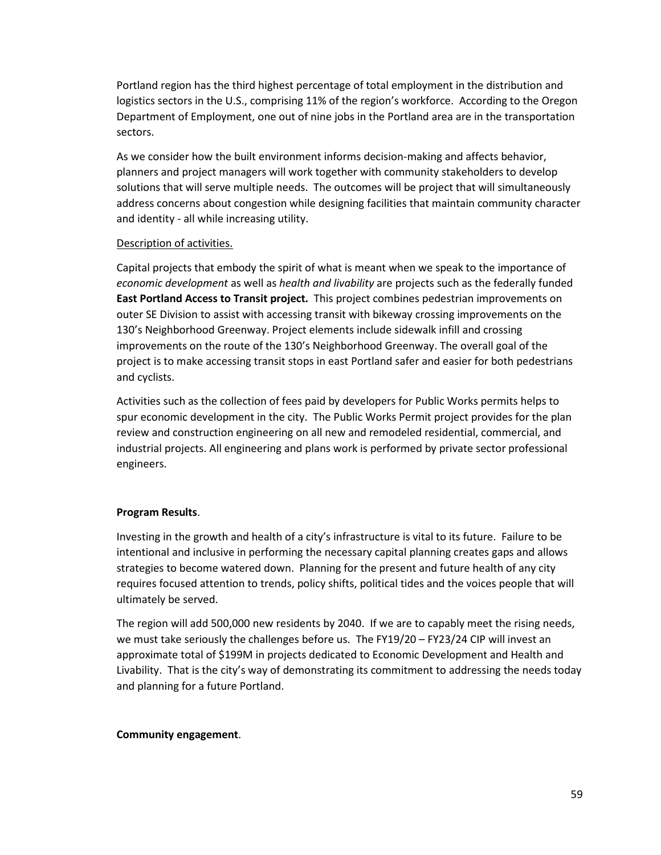Portland region has the third highest percentage of total employment in the distribution and logistics sectors in the U.S., comprising 11% of the region's workforce. According to the Oregon Department of Employment, one out of nine jobs in the Portland area are in the transportation sectors.

As we consider how the built environment informs decision-making and affects behavior, planners and project managers will work together with community stakeholders to develop solutions that will serve multiple needs. The outcomes will be project that will simultaneously address concerns about congestion while designing facilities that maintain community character and identity - all while increasing utility.

#### Description of activities.

Capital projects that embody the spirit of what is meant when we speak to the importance of *economic development* as well as *health and livability* are projects such as the federally funded **East Portland Access to Transit project.** This project combines pedestrian improvements on outer SE Division to assist with accessing transit with bikeway crossing improvements on the 130's Neighborhood Greenway. Project elements include sidewalk infill and crossing improvements on the route of the 130's Neighborhood Greenway. The overall goal of the project is to make accessing transit stops in east Portland safer and easier for both pedestrians and cyclists.

Activities such as the collection of fees paid by developers for Public Works permits helps to spur economic development in the city. The Public Works Permit project provides for the plan review and construction engineering on all new and remodeled residential, commercial, and industrial projects. All engineering and plans work is performed by private sector professional engineers.

#### **Program Results**.

Investing in the growth and health of a city's infrastructure is vital to its future. Failure to be intentional and inclusive in performing the necessary capital planning creates gaps and allows strategies to become watered down. Planning for the present and future health of any city requires focused attention to trends, policy shifts, political tides and the voices people that will ultimately be served.

The region will add 500,000 new residents by 2040. If we are to capably meet the rising needs, we must take seriously the challenges before us. The FY19/20 – FY23/24 CIP will invest an approximate total of \$199M in projects dedicated to Economic Development and Health and Livability. That is the city's way of demonstrating its commitment to addressing the needs today and planning for a future Portland.

#### **Community engagement**.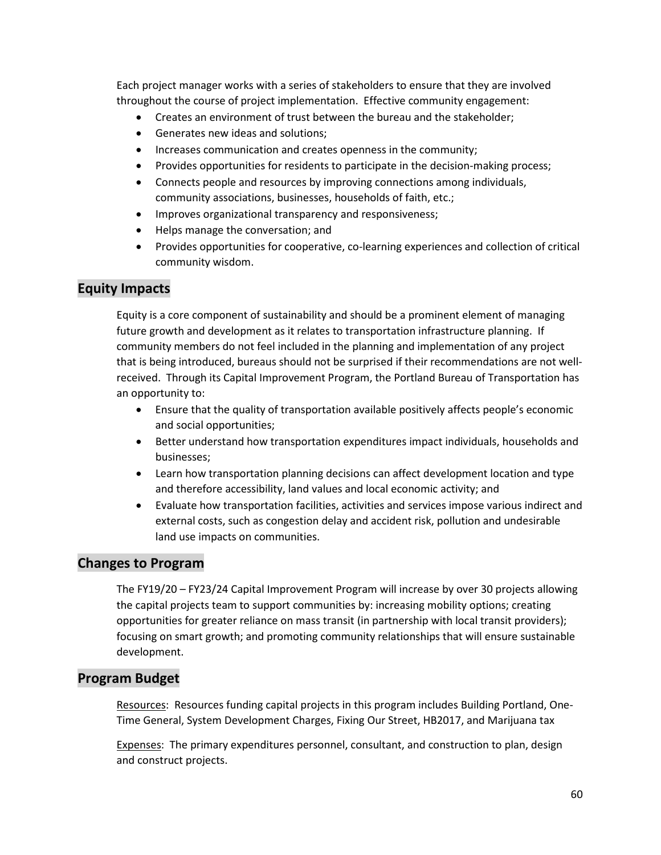Each project manager works with a series of stakeholders to ensure that they are involved throughout the course of project implementation. Effective community engagement:

- Creates an environment of trust between the bureau and the stakeholder;
- Generates new ideas and solutions;
- Increases communication and creates openness in the community;
- Provides opportunities for residents to participate in the decision-making process;
- Connects people and resources by improving connections among individuals, community associations, businesses, households of faith, etc.;
- Improves organizational transparency and responsiveness;
- Helps manage the conversation; and
- Provides opportunities for cooperative, co-learning experiences and collection of critical community wisdom.

## **Equity Impacts**

Equity is a core component of sustainability and should be a prominent element of managing future growth and development as it relates to transportation infrastructure planning. If community members do not feel included in the planning and implementation of any project that is being introduced, bureaus should not be surprised if their recommendations are not wellreceived. Through its Capital Improvement Program, the Portland Bureau of Transportation has an opportunity to:

- Ensure that the quality of transportation available positively affects people's economic and social opportunities;
- Better understand how transportation expenditures impact individuals, households and businesses;
- Learn how transportation planning decisions can affect development location and type and therefore accessibility, land values and local economic activity; and
- Evaluate how transportation facilities, activities and services impose various indirect and external costs, such as congestion delay and accident risk, pollution and undesirable land use impacts on communities.

## **Changes to Program**

The FY19/20 – FY23/24 Capital Improvement Program will increase by over 30 projects allowing the capital projects team to support communities by: increasing mobility options; creating opportunities for greater reliance on mass transit (in partnership with local transit providers); focusing on smart growth; and promoting community relationships that will ensure sustainable development.

## **Program Budget**

Resources: Resources funding capital projects in this program includes Building Portland, One-Time General, System Development Charges, Fixing Our Street, HB2017, and Marijuana tax

Expenses: The primary expenditures personnel, consultant, and construction to plan, design and construct projects.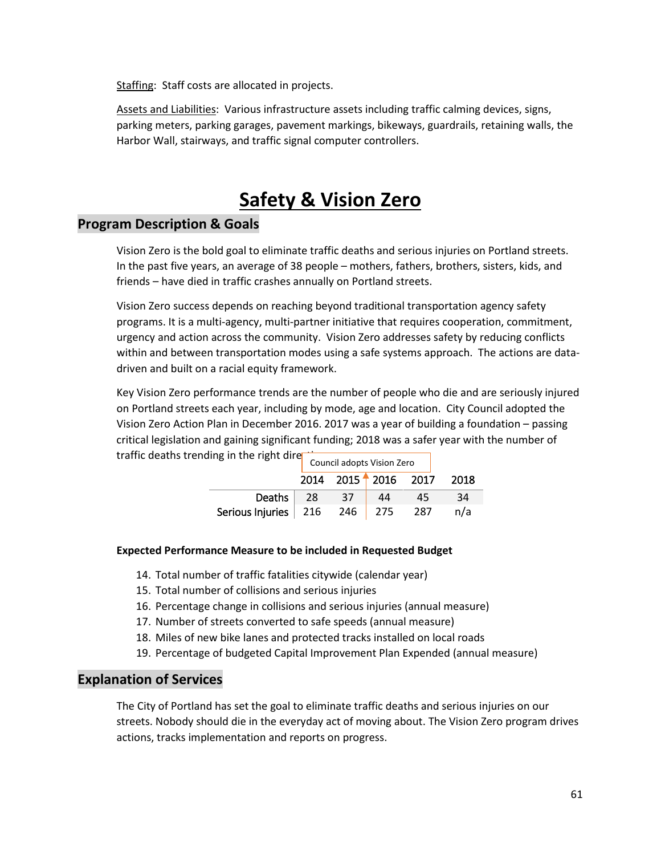Staffing: Staff costs are allocated in projects.

Assets and Liabilities: Various infrastructure assets including traffic calming devices, signs, parking meters, parking garages, pavement markings, bikeways, guardrails, retaining walls, the Harbor Wall, stairways, and traffic signal computer controllers.

# **Safety & Vision Zero**

### **Program Description & Goals**

Vision Zero is the bold goal to eliminate traffic deaths and serious injuries on Portland streets. In the past five years, an average of 38 people – mothers, fathers, brothers, sisters, kids, and friends – have died in traffic crashes annually on Portland streets.

Vision Zero success depends on reaching beyond traditional transportation agency safety programs. It is a multi-agency, multi-partner initiative that requires cooperation, commitment, urgency and action across the community. Vision Zero addresses safety by reducing conflicts within and between transportation modes using a safe systems approach. The actions are datadriven and built on a racial equity framework.

Key Vision Zero performance trends are the number of people who die and are seriously injured on Portland streets each year, including by mode, age and location. City Council adopted the Vision Zero Action Plan in December 2016. 2017 was a year of building a foundation – passing critical legislation and gaining significant funding; 2018 was a safer year with the number of traffic deaths trending in the right dire $\Box$ 

|                                              | Council adopts Vision Zero |                     |     |      |
|----------------------------------------------|----------------------------|---------------------|-----|------|
|                                              |                            | 2014 2015 2016 2017 |     | 2018 |
| Deaths   28                                  | - 37                       | 44                  | 45  | 34   |
| Serious Injuries $\vert$ 216 246 $\vert$ 275 |                            |                     | 287 | n/a  |

#### **Expected Performance Measure to be included in Requested Budget**

- 14. Total number of traffic fatalities citywide (calendar year)
- 15. Total number of collisions and serious injuries
- 16. Percentage change in collisions and serious injuries (annual measure)
- 17. Number of streets converted to safe speeds (annual measure)
- 18. Miles of new bike lanes and protected tracks installed on local roads
- 19. Percentage of budgeted Capital Improvement Plan Expended (annual measure)

### **Explanation of Services**

The City of Portland has set the goal to eliminate traffic deaths and serious injuries on our streets. Nobody should die in the everyday act of moving about. The Vision Zero program drives actions, tracks implementation and reports on progress.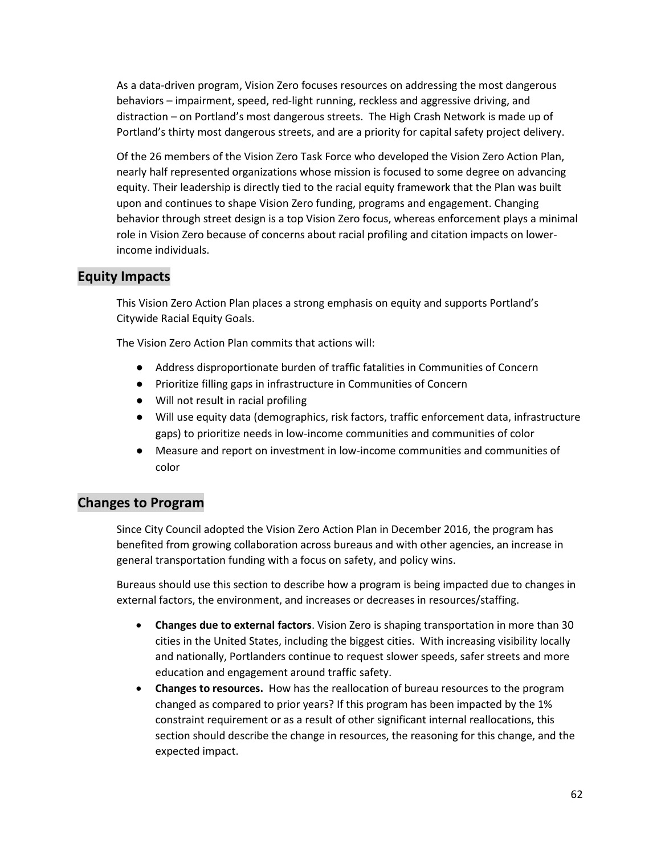As a data-driven program, Vision Zero focuses resources on addressing the most dangerous behaviors – impairment, speed, red-light running, reckless and aggressive driving, and distraction – on Portland's most dangerous streets. The High Crash Network is made up of Portland's thirty most dangerous streets, and are a priority for capital safety project delivery.

Of the 26 members of the Vision Zero Task Force who developed the Vision Zero Action Plan, nearly half represented organizations whose mission is focused to some degree on advancing equity. Their leadership is directly tied to the racial equity framework that the Plan was built upon and continues to shape Vision Zero funding, programs and engagement. Changing behavior through street design is a top Vision Zero focus, whereas enforcement plays a minimal role in Vision Zero because of concerns about racial profiling and citation impacts on lowerincome individuals.

## **Equity Impacts**

This Vision Zero Action Plan places a strong emphasis on equity and supports Portland's Citywide Racial Equity Goals.

The Vision Zero Action Plan commits that actions will:

- Address disproportionate burden of traffic fatalities in Communities of Concern
- Prioritize filling gaps in infrastructure in Communities of Concern
- Will not result in racial profiling
- Will use equity data (demographics, risk factors, traffic enforcement data, infrastructure gaps) to prioritize needs in low-income communities and communities of color
- Measure and report on investment in low-income communities and communities of color

# **Changes to Program**

Since City Council adopted the Vision Zero Action Plan in December 2016, the program has benefited from growing collaboration across bureaus and with other agencies, an increase in general transportation funding with a focus on safety, and policy wins.

Bureaus should use this section to describe how a program is being impacted due to changes in external factors, the environment, and increases or decreases in resources/staffing.

- **Changes due to external factors**. Vision Zero is shaping transportation in more than 30 cities in the United States, including the biggest cities. With increasing visibility locally and nationally, Portlanders continue to request slower speeds, safer streets and more education and engagement around traffic safety.
- **Changes to resources.** How has the reallocation of bureau resources to the program changed as compared to prior years? If this program has been impacted by the 1% constraint requirement or as a result of other significant internal reallocations, this section should describe the change in resources, the reasoning for this change, and the expected impact.